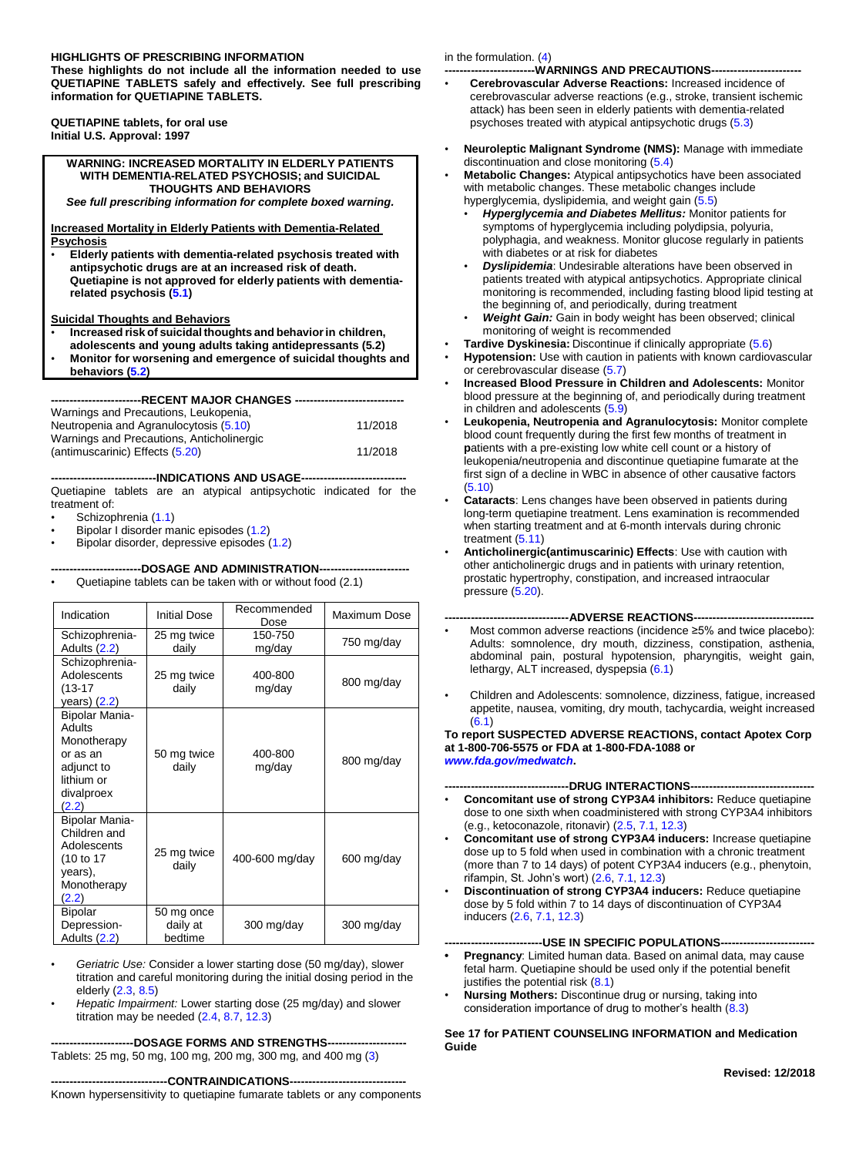#### **HIGHLIGHTS OF PRESCRIBING INFORMATION**

**These highlights do not include all the information needed to use QUETIAPINE TABLETS safely and effectively. See full prescribing information for QUETIAPINE TABLETS.**

**QUETIAPINE tablets, for oral use Initial U.S. Approval: 1997**

**WARNING: INCREASED MORTALITY IN ELDERLY PATIENTS WITH DEMENTIA-RELATED PSYCHOSIS; and SUICIDAL THOUGHTS AND BEHAVIORS**

*See full prescribing information for complete boxed warning.*

#### **Increased Mortality in Elderly Patients with Dementia-Related Psychosis**

• **Elderly patients with dementia-related psychosis treated with antipsychotic drugs are at an increased risk of death. Quetiapine is not approved for elderly patients with dementiarelated psychosis [\(5.1\)](#page-5-1)**

#### **Suicidal Thoughts and Behaviors**

• **Increased risk of suicidal thoughts and behaviorin children, adolescents and young adults taking antidepressants (5.2)** • **Monitor for worsening and emergence of suicidal thoughts and behaviors [\(5.2\)](#page-5-2)**

| ------------------------RECENT MAJOR CHANGES ------------------------------- |         |  |  |  |
|------------------------------------------------------------------------------|---------|--|--|--|
|                                                                              |         |  |  |  |
| Warnings and Precautions, Leukopenia,                                        |         |  |  |  |
| Neutropenia and Agranulocytosis (5.10)                                       | 11/2018 |  |  |  |
| Warnings and Precautions, Anticholinergic                                    |         |  |  |  |
| (antimuscarinic) Effects (5.20)                                              | 11/2018 |  |  |  |

**----------------------------INDICATIONS AND USAGE----------------------------** Quetiapine tablets are an atypical antipsychotic indicated for the treatment of:

Schizophrenia [\(1.1\)](#page-2-0)

• Bipolar I disorder manic episodes [\(1.2\)](#page-2-1)

• Bipolar disorder, depressive episodes [\(1.2\)](#page-2-1)

#### **------------------------DOSAGE AND ADMINISTRATION------------------------**

• Quetiapine tablets can be taken with or without food (2.1)

| Indication                                                                                             | <b>Initial Dose</b>               | Recommended<br>Dose | Maximum Dose |
|--------------------------------------------------------------------------------------------------------|-----------------------------------|---------------------|--------------|
| Schizophrenia-<br>Adults (2.2)                                                                         | 25 mg twice<br>daily              | 150-750<br>mg/day   | 750 mg/day   |
| Schizophrenia-<br>Adolescents<br>(13-17<br>years) $(2.2)$                                              | 25 mg twice<br>daily              | 400-800<br>mg/day   | 800 mg/day   |
| Bipolar Mania-<br>Adults<br>Monotherapy<br>or as an<br>adjunct to<br>lithium or<br>divalproex<br>(2.2) | 50 mg twice<br>daily              | 400-800<br>mg/day   | 800 mg/day   |
| Bipolar Mania-<br>Children and<br>Adolescents<br>(10 to 17<br>years),<br>Monotherapy<br>(2.2)          | 25 mg twice<br>daily              | 400-600 mg/day      | 600 mg/day   |
| Bipolar<br>Depression-<br>Adults (2.2)                                                                 | 50 mg once<br>daily at<br>bedtime | 300 mg/day          | 300 mg/day   |

- *Geriatric Use:* Consider a lower starting dose (50 mg/day), slower titration and careful monitoring during the initial dosing period in the elderly [\(2.3,](#page-4-0) [8.5\)](#page-27-0)
- *Hepatic Impairment:* Lower starting dose (25 mg/day) and slower titration may be needed [\(2.4,](#page-4-1) [8.7,](#page-27-1) [12.3\)](#page-29-0)

----DOSAGE FORMS AND STRENGTHS----Tablets: 25 mg, 50 mg, 100 mg, 200 mg, 300 mg, and 400 mg [\(3\)](#page-4-2)

#### ---CONTRAINDICATIONS---

Known hypersensitivity to quetiapine fumarate tablets or any components

#### in the formulation. [\(4\)](#page-5-0)

**------------------------WARNINGS AND PRECAUTIONS------------------------**

- **Cerebrovascular Adverse Reactions:** Increased incidence of cerebrovascular adverse reactions (e.g., stroke, transient ischemic attack) has been seen in elderly patients with dementia-related psychoses treated with atypical antipsychotic drugs [\(5.3\)](#page-6-0)
- **Neuroleptic Malignant Syndrome (NMS):** Manage with immediate discontinuation and close monitoring [\(5.4\)](#page-7-0)
- **Metabolic Changes:** Atypical antipsychotics have been associated with metabolic changes. These metabolic changes include hyperglycemia, dyslipidemia, and weight gain  $(5.5)$ 
	- *Hyperglycemia and Diabetes Mellitus:* Monitor patients for symptoms of hyperglycemia including polydipsia, polyuria, polyphagia, and weakness. Monitor glucose regularly in patients with diabetes or at risk for diabetes
	- *Dyslipidemia*: Undesirable alterations have been observed in patients treated with atypical antipsychotics. Appropriate clinical monitoring is recommended, including fasting blood lipid testing at the beginning of, and periodically, during treatment
	- *Weight Gain:* Gain in body weight has been observed; clinical monitoring of weight is recommended
- **Tardive Dyskinesia:** Discontinue if clinically appropriate [\(5.6\)](#page-10-0)
- **Hypotension:** Use with caution in patients with known cardiovascular or cerebrovascular disease [\(5.7\)](#page-11-1)
- **Increased Blood Pressure in Children and Adolescents:** Monitor blood pressure at the beginning of, and periodically during treatment in children and adolescents [\(5.9\)](#page-11-2)
- **Leukopenia, Neutropenia and Agranulocytosis:** Monitor complete blood count frequently during the first few months of treatment in **p**atients with a pre-existing low white cell count or a history of leukopenia/neutropenia and discontinue quetiapine fumarate at the first sign of a decline in WBC in absence of other causative factors [\(5.10\)](#page-11-0)
- **Cataracts**: Lens changes have been observed in patients during long-term quetiapine treatment. Lens examination is recommended when starting treatment and at 6-month intervals during chronic treatment [\(5.11\)](#page-12-0)
- **Anticholinergic(antimuscarinic) Effects**: Use with caution with other anticholinergic drugs and in patients with urinary retention, prostatic hypertrophy, constipation, and increased intraocular pressure  $(5.20)$ .

#### ---ADVERSE REACTIONS--

- Most common adverse reactions (incidence ≥5% and twice placebo): Adults: somnolence, dry mouth, dizziness, constipation, asthenia, abdominal pain, postural hypotension, pharyngitis, weight gain, lethargy, ALT increased, dyspepsia [\(6.1\)](#page-15-0)
- Children and Adolescents: somnolence, dizziness, fatigue, increased appetite, nausea, vomiting, dry mouth, tachycardia, weight increased  $(6.1)$

**To report SUSPECTED ADVERSE REACTIONS, contact Apotex Corp at 1-800-706-5575 or FDA at 1-800-FDA-1088 or**  *[www.fda.gov/medwatch](http://www.fda.gov/medwatch)***.**

---DRUG INTERACTIONS--

- **Concomitant use of strong CYP3A4 inhibitors:** Reduce quetiapine dose to one sixth when coadministered with strong CYP3A4 inhibitors (e.g., ketoconazole, ritonavir) [\(2.5,](#page-4-3) [7.1,](#page-24-0) [12.3\)](#page-29-0)
- **Concomitant use of strong CYP3A4 inducers:** Increase quetiapine dose up to 5 fold when used in combination with a chronic treatment (more than 7 to 14 days) of potent CYP3A4 inducers (e.g., phenytoin, rifampin, St. John's wort) [\(2.6,](#page-4-4) [7.1,](#page-24-0) [12.3\)](#page-29-0)
- **Discontinuation of strong CYP3A4 inducers:** Reduce quetiapine dose by 5 fold within 7 to 14 days of discontinuation of CYP3A4 inducers [\(2.6,](#page-4-4) [7.1,](#page-24-0) [12.3\)](#page-29-0)

#### ---USE IN SPECIFIC POPULATIONS---

- **• Pregnancy**: Limited human data. Based on animal data, may cause fetal harm. Quetiapine should be used only if the potential benefit justifies the potential risk  $(8.1)$
- **Nursing Mothers:** Discontinue drug or nursing, taking into consideration importance of drug to mother's health [\(8.3\)](#page-26-0)

**See 17 for PATIENT COUNSELING INFORMATION and Medication Guide**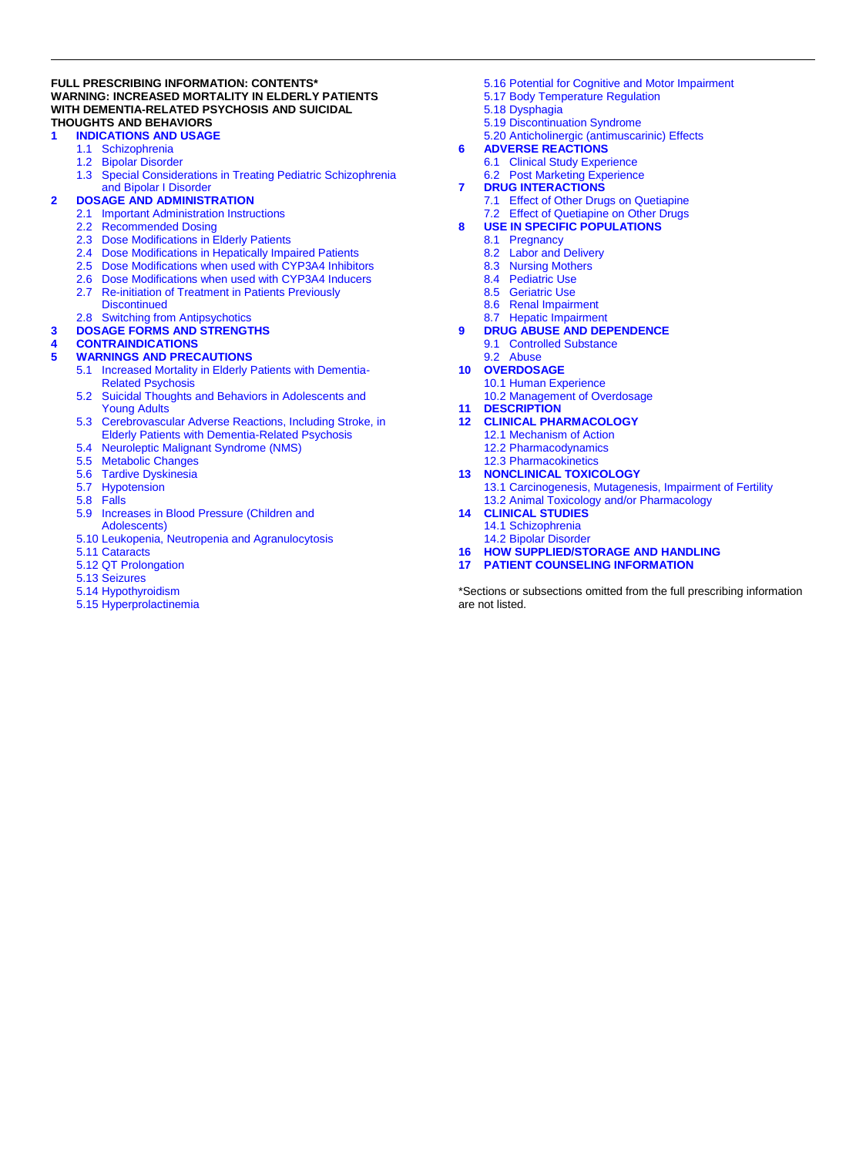#### **FULL PRESCRIBING INFORMATION: CONTENTS\* WARNING: INCREASED MORTALITY IN ELDERLY PATIENTS WITH DEMENTIA-RELATED PSYCHOSIS AND SUICIDAL THOUGHTS AND BEHAVIORS**

#### **[1 INDICATIONS AND USAGE](#page-2-2)**

- 1.1 [Schizophrenia](#page-2-0)
- 1.2 [Bipolar Disorder](#page-2-1)
- 1.3 [Special Considerations in Treating Pediatric Schizophrenia](#page-2-3)  [and Bipolar I Disorder](#page-2-3)

#### **2 [DOSAGE AND ADMINISTRATION](#page-2-4)**

- [2.1 Important Administration Instructions](#page-3-1)
- 2.2 [Recommended Dosing](#page-3-0)
- 2.3 [Dose Modifications in Elderly Patients](#page-4-0)
- 2.4 [Dose Modifications in Hepatically Impaired Patients](#page-4-1)
- 2.5 [Dose Modifications when used with CYP3A4 Inhibitors](#page-4-3)
- 2.6 [Dose Modifications when used with CYP3A4 Inducers](#page-4-4)
- 2.7 [Re-initiation of Treatment in Patients Previously](#page-4-5) **[Discontinued](#page-4-5)**
- 2.8 [Switching from Antipsychotics](#page-4-6)
- **3 [DOSAGE FORMS AND STRENGTHS](#page-4-2)**

# **4 [CONTRAINDICATIONS](#page-5-0)**

- **5 [WARNINGS AND PRECAUTIONS](#page-5-3)**
	- 5.1 [Increased Mortality in Elderly Patients with Dementia-](#page-5-1)[Related Psychosis](#page-5-1)
	- 5.2 [Suicidal Thoughts and Behaviors in Adolescents and](#page-5-2) [Young Adults](#page-5-2)
	- 5.3 [Cerebrovascular Adverse Reactions, Including Stroke,](#page-6-0) in [Elderly Patients with Dementia-Related Psychosis](#page-6-0)
	- 5.4 [Neuroleptic Malignant Syndrome \(NMS\)](#page-7-0)
	- 5.5 [Metabolic Changes](#page-7-1)
	- 5.6 [Tardive Dyskinesia](#page-10-0)
	- 5.7 [Hypotension](#page-11-1)
	- 5.8 [Falls](#page-11-3)
	- 5.9 [Increases in Blood Pressure \(Children and](#page-11-2) [Adolescents\)](#page-11-2)
	- 5.10 [Leukopenia, Neutropenia and Agranulocytosis](#page-11-0)
	- 5.11 [Cataracts](#page-12-0)
	- 5.12 [QT Prolongation](#page-12-1)
	- 5.13 [Seizures](#page-12-2)
	- 5.14 [Hypothyroidism](#page-12-3)
	- 5.15 [Hyperprolactinemia](#page-13-0)
- 5.16 [Potential for Cognitive and Motor Impairment](#page-14-1)
- 5.17 [Body Temperature Regulation](#page-14-2)
- 5.18 [Dysphagia](#page-14-3)
- 5.19 [Discontinuation Syndrome](#page-14-4)
- 5.20 [Anticholinergic \(antimuscarinic\) Effects](#page-14-0)
- **6 [ADVERSE REACTIONS](#page-15-1)** 6.1 [Clinical Study Experience](#page-15-0)
	- 6.2 Post [Marketing Experience](#page-24-1)
- **7 [DRUG INTERACTIONS](#page-24-2)**
	- 7.1 [Effect of Other Drugs on Quetiapine](#page-24-0)
	- 7.2 [Effect of Quetiapine on Other Drugs](#page-25-1)
- **8 [USE IN SPECIFIC POPULATIONS](#page-25-2)**
	-
	- 8.1 [Pregnancy](#page-25-0)<br>8.2 Labor and **[Labor and Delivery](#page-26-1)**
	- 8.3 [Nursing Mothers](#page-26-0)
	- 8.4 [Pediatric Use](#page-26-2)
	- 8.5 [Geriatric Use](#page-27-0)
	- 8.6 [Renal Impairment](#page-27-2)
	- 8.7 [Hepatic Impairment](#page-27-1)

#### **9 [DRUG ABUSE AND DEPENDENCE](#page-27-3)**

- 9.1 [Controlled Substance](#page-27-4)
- 9.2 [Abuse](#page-27-5)
- **10 [OVERDOSAGE](#page-27-6)**
	- 10.1 [Human Experience](#page-27-7) 10.2 [Management of Overdosage](#page-27-8)
- **11 [DESCRIPTION](#page-28-0)**
- **12 [CLINICAL PHARMACOLOGY](#page-28-1)**
- 12.1 [Mechanism of Action](#page-28-2)
- 12.2 [Pharmacodynamics](#page-28-3)
- 12.3 [Pharmacokinetics](#page-29-0)
- **13 [NONCLINICAL TOXICOLOGY](#page-31-0)** 13.1 [Carcinogenesis, Mutagenesis, Impairment of Fertility](#page-31-1) 13.2 [Animal Toxicology and/or Pharmacology](#page-32-0)

#### **14 [CLINICAL STUDIES](#page-32-1)**

- 14.1 [Schizophrenia](#page-32-2)
- 14.2 [Bipolar Disorder](#page-33-0)
- **16 [HOW SUPPLIED/STORAGE AND HANDLING](#page-37-0)**
- **17 [PATIENT COUNSELING INFORMATION](#page-38-0)**

\*Sections or subsections omitted from the full prescribing information are not listed.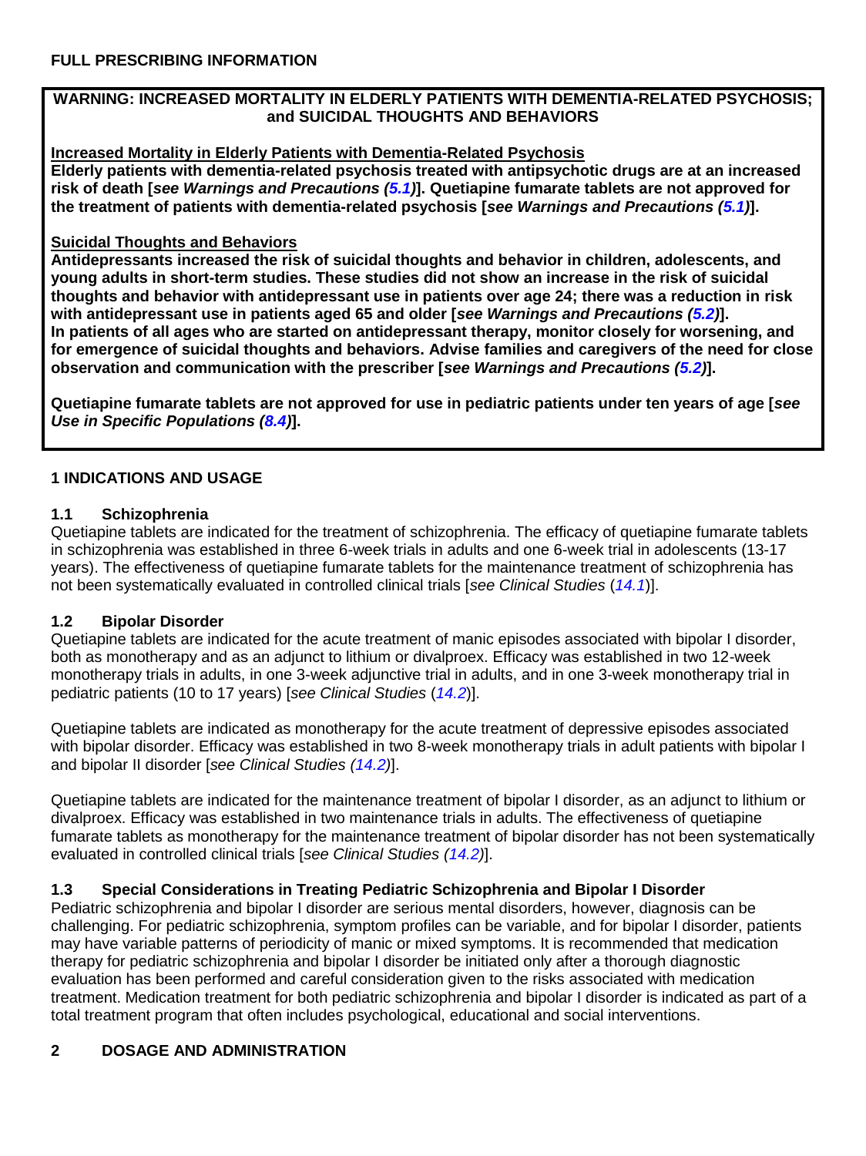## <span id="page-2-5"></span>**WARNING: INCREASED MORTALITY IN ELDERLY PATIENTS WITH DEMENTIA-RELATED PSYCHOSIS; and SUICIDAL THOUGHTS AND BEHAVIORS**

**Increased Mortality in Elderly Patients with Dementia-Related Psychosis**

**Elderly patients with dementia-related psychosis treated with antipsychotic drugs are at an increased risk of death [***see Warnings and Precautions [\(5.1\)](#page-5-1)***]. Quetiapine fumarate tablets are not approved for the treatment of patients with dementia-related psychosis [***see Warnings and Precautions [\(5.1\)](#page-5-1)***].**

# **Suicidal Thoughts and Behaviors**

**Antidepressants increased the risk of suicidal thoughts and behavior in children, adolescents, and young adults in short-term studies. These studies did not show an increase in the risk of suicidal thoughts and behavior with antidepressant use in patients over age 24; there was a reduction in risk with antidepressant use in patients aged 65 and older [***see Warnings and Precautions [\(5.2\)](#page-5-2)***]. In patients of all ages who are started on antidepressant therapy, monitor closely for worsening, and for emergence of suicidal thoughts and behaviors. Advise families and caregivers of the need for close observation and communication with the prescriber [***see Warnings and Precautions [\(5.2\)](#page-5-2)***].**

**Quetiapine fumarate tablets are not approved for use in pediatric patients under ten years of age [***see Use in Specific Populations [\(8.4\)](#page-26-2)***].**

# <span id="page-2-2"></span>**1 INDICATIONS AND USAGE**

# <span id="page-2-0"></span>**1.1 Schizophrenia**

Quetiapine tablets are indicated for the treatment of schizophrenia. The efficacy of quetiapine fumarate tablets in schizophrenia was established in three 6-week trials in adults and one 6-week trial in adolescents (13-17 years). The effectiveness of quetiapine fumarate tablets for the maintenance treatment of schizophrenia has not been systematically evaluated in controlled clinical trials [*see Clinical Studies* (*[14.1](#page-32-2)*)].

# <span id="page-2-1"></span>**1.2 Bipolar Disorder**

Quetiapine tablets are indicated for the acute treatment of manic episodes associated with bipolar I disorder, both as monotherapy and as an adjunct to lithium or divalproex. Efficacy was established in two 12-week monotherapy trials in adults, in one 3-week adjunctive trial in adults, and in one 3-week monotherapy trial in pediatric patients (10 to 17 years) [*see Clinical Studies* (*[14.2](#page-33-0)*)].

Quetiapine tablets are indicated as monotherapy for the acute treatment of depressive episodes associated with bipolar disorder. Efficacy was established in two 8-week monotherapy trials in adult patients with bipolar I and bipolar II disorder [*see Clinical Studies [\(14.2\)](#page-33-0)*].

Quetiapine tablets are indicated for the maintenance treatment of bipolar I disorder, as an adjunct to lithium or divalproex. Efficacy was established in two maintenance trials in adults. The effectiveness of quetiapine fumarate tablets as monotherapy for the maintenance treatment of bipolar disorder has not been systematically evaluated in controlled clinical trials [*see Clinical Studies [\(14.2\)](#page-33-0)*].

# <span id="page-2-3"></span>**1.3 Special Considerations in Treating Pediatric Schizophrenia and Bipolar I Disorder**

Pediatric schizophrenia and bipolar I disorder are serious mental disorders, however, diagnosis can be challenging. For pediatric schizophrenia, symptom profiles can be variable, and for bipolar I disorder, patients may have variable patterns of periodicity of manic or mixed symptoms. It is recommended that medication therapy for pediatric schizophrenia and bipolar I disorder be initiated only after a thorough diagnostic evaluation has been performed and careful consideration given to the risks associated with medication treatment. Medication treatment for both pediatric schizophrenia and bipolar I disorder is indicated as part of a total treatment program that often includes psychological, educational and social interventions.

# <span id="page-2-4"></span>**2 DOSAGE AND ADMINISTRATION**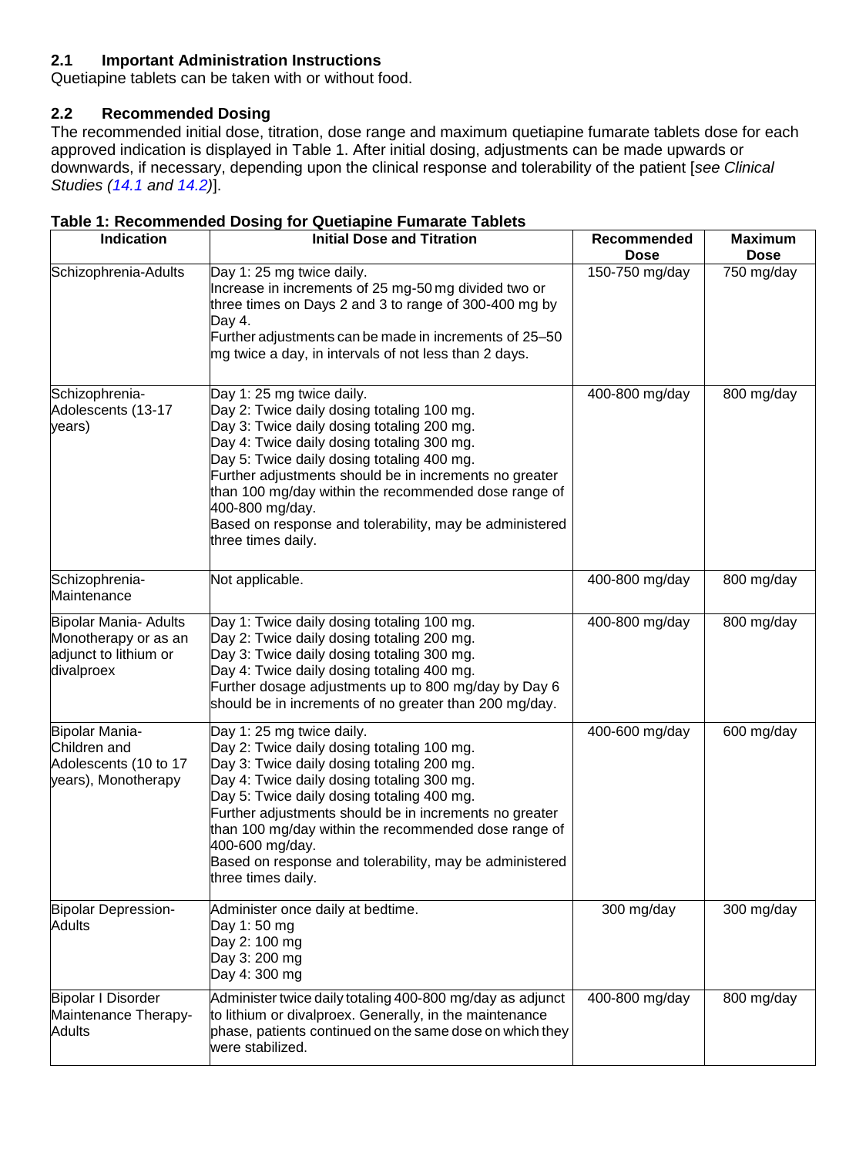# <span id="page-3-1"></span>**2.1 Important Administration Instructions**

Quetiapine tablets can be taken with or without food.

#### <span id="page-3-0"></span>**2.2 Recommended Dosing**

The recommended initial dose, titration, dose range and maximum quetiapine fumarate tablets dose for each approved indication is displayed in Table 1. After initial dosing, adjustments can be made upwards or downwards, if necessary, depending upon the clinical response and tolerability of the patient [*see Clinical Studies [\(14.1](#page-32-2) and [14.2\)](#page-33-0)*].

| <b>Indication</b>                                                                    | <b>Initial Dose and Titration</b>                                                                                                                                                                                                                                                                                                                                                                                                       | Recommended<br><b>Dose</b> | <b>Maximum</b><br><b>Dose</b> |
|--------------------------------------------------------------------------------------|-----------------------------------------------------------------------------------------------------------------------------------------------------------------------------------------------------------------------------------------------------------------------------------------------------------------------------------------------------------------------------------------------------------------------------------------|----------------------------|-------------------------------|
| Schizophrenia-Adults                                                                 | Day 1: 25 mg twice daily.<br>Increase in increments of 25 mg-50 mg divided two or<br>three times on Days 2 and 3 to range of 300-400 mg by<br>Day 4.<br>Further adjustments can be made in increments of 25-50<br>mg twice a day, in intervals of not less than 2 days.                                                                                                                                                                 | 150-750 mg/day             | 750 mg/day                    |
| Schizophrenia-<br>Adolescents (13-17<br>years)                                       | Day 1: 25 mg twice daily.<br>Day 2: Twice daily dosing totaling 100 mg.<br>Day 3: Twice daily dosing totaling 200 mg.<br>Day 4: Twice daily dosing totaling 300 mg.<br>Day 5: Twice daily dosing totaling 400 mg.<br>Further adjustments should be in increments no greater<br>than 100 mg/day within the recommended dose range of<br>400-800 mg/day.<br>Based on response and tolerability, may be administered<br>three times daily. | 400-800 mg/day             | 800 mg/day                    |
| Schizophrenia-<br>Maintenance                                                        | Not applicable.                                                                                                                                                                                                                                                                                                                                                                                                                         | 400-800 mg/day             | 800 mg/day                    |
| Bipolar Mania- Adults<br>Monotherapy or as an<br>adjunct to lithium or<br>divalproex | Day 1: Twice daily dosing totaling 100 mg.<br>Day 2: Twice daily dosing totaling 200 mg.<br>Day 3: Twice daily dosing totaling 300 mg.<br>Day 4: Twice daily dosing totaling 400 mg.<br>Further dosage adjustments up to 800 mg/day by Day 6<br>should be in increments of no greater than 200 mg/day.                                                                                                                                  | 400-800 mg/day             | 800 mg/day                    |
| Bipolar Mania-<br>Children and<br>Adolescents (10 to 17<br>years), Monotherapy       | Day 1: 25 mg twice daily.<br>Day 2: Twice daily dosing totaling 100 mg.<br>Day 3: Twice daily dosing totaling 200 mg.<br>Day 4: Twice daily dosing totaling 300 mg.<br>Day 5: Twice daily dosing totaling 400 mg.<br>Further adjustments should be in increments no greater<br>than 100 mg/day within the recommended dose range of<br>400-600 mg/day.<br>Based on response and tolerability, may be administered<br>three times daily. | 400-600 mg/day             | 600 mg/day                    |
| <b>Bipolar Depression-</b><br>Adults                                                 | Administer once daily at bedtime.<br>Day 1:50 mg<br>Day 2: 100 mg<br>Day 3: 200 mg<br>Day 4: 300 mg                                                                                                                                                                                                                                                                                                                                     | 300 mg/day                 | 300 mg/day                    |
| Bipolar I Disorder<br>Maintenance Therapy-<br><b>Adults</b>                          | Administer twice daily totaling 400-800 mg/day as adjunct<br>to lithium or divalproex. Generally, in the maintenance<br>phase, patients continued on the same dose on which they<br>were stabilized.                                                                                                                                                                                                                                    | 400-800 mg/day             | 800 mg/day                    |

# **Table 1: Recommended Dosing for Quetiapine Fumarate Tablets**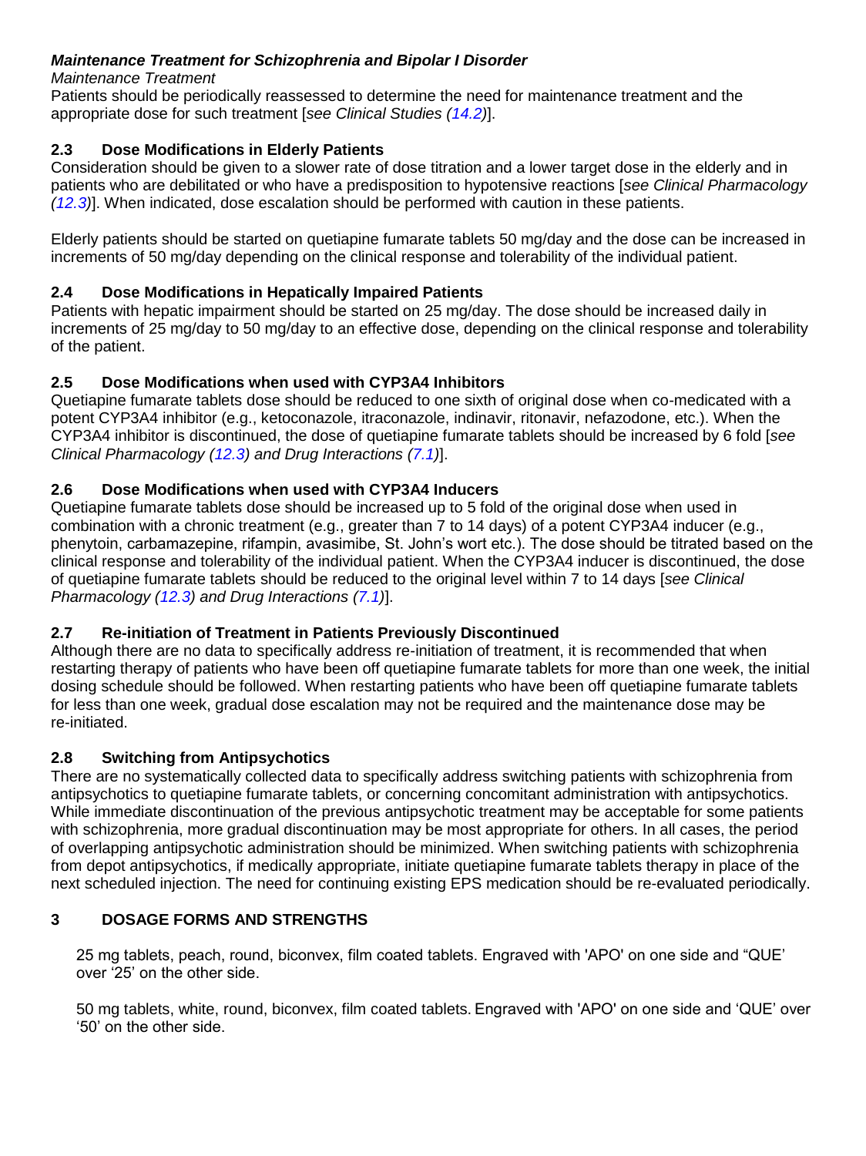## *Maintenance Treatment for Schizophrenia and Bipolar I Disorder*

*Maintenance Treatment*

Patients should be periodically reassessed to determine the need for maintenance treatment and the appropriate dose for such treatment [*see Clinical Studies [\(14.2\)](#page-33-0)*].

# <span id="page-4-0"></span>**2.3 Dose Modifications in Elderly Patients**

Consideration should be given to a slower rate of dose titration and a lower target dose in the elderly and in patients who are debilitated or who have a predisposition to hypotensive reactions [*see Clinical Pharmacology [\(12.3\)](#page-29-0)*]. When indicated, dose escalation should be performed with caution in these patients.

Elderly patients should be started on quetiapine fumarate tablets 50 mg/day and the dose can be increased in increments of 50 mg/day depending on the clinical response and tolerability of the individual patient.

# <span id="page-4-1"></span>**2.4 Dose Modifications in Hepatically Impaired Patients**

Patients with hepatic impairment should be started on 25 mg/day. The dose should be increased daily in increments of 25 mg/day to 50 mg/day to an effective dose, depending on the clinical response and tolerability of the patient.

# <span id="page-4-3"></span>**2.5 Dose Modifications when used with CYP3A4 Inhibitors**

Quetiapine fumarate tablets dose should be reduced to one sixth of original dose when co-medicated with a potent CYP3A4 inhibitor (e.g., ketoconazole, itraconazole, indinavir, ritonavir, nefazodone, etc.). When the CYP3A4 inhibitor is discontinued, the dose of quetiapine fumarate tablets should be increased by 6 fold [*see Clinical Pharmacology [\(12.3\)](#page-29-0) and Drug Interactions [\(7.1\)](#page-24-0)*].

# <span id="page-4-4"></span>**2.6 Dose Modifications when used with CYP3A4 Inducers**

Quetiapine fumarate tablets dose should be increased up to 5 fold of the original dose when used in combination with a chronic treatment (e.g., greater than 7 to 14 days) of a potent CYP3A4 inducer (e.g., phenytoin, carbamazepine, rifampin, avasimibe, St. John's wort etc.). The dose should be titrated based on the clinical response and tolerability of the individual patient. When the CYP3A4 inducer is discontinued, the dose of quetiapine fumarate tablets should be reduced to the original level within 7 to 14 days [*see Clinical Pharmacology [\(12.3\)](#page-29-0) and Drug Interactions [\(7.1\)](#page-24-0)*].

## <span id="page-4-5"></span>**2.7 Re-initiation of Treatment in Patients Previously Discontinued**

Although there are no data to specifically address re-initiation of treatment, it is recommended that when restarting therapy of patients who have been off quetiapine fumarate tablets for more than one week, the initial dosing schedule should be followed. When restarting patients who have been off quetiapine fumarate tablets for less than one week, gradual dose escalation may not be required and the maintenance dose may be re-initiated.

## <span id="page-4-6"></span>**2.8 Switching from Antipsychotics**

There are no systematically collected data to specifically address switching patients with schizophrenia from antipsychotics to quetiapine fumarate tablets, or concerning concomitant administration with antipsychotics. While immediate discontinuation of the previous antipsychotic treatment may be acceptable for some patients with schizophrenia, more gradual discontinuation may be most appropriate for others. In all cases, the period of overlapping antipsychotic administration should be minimized. When switching patients with schizophrenia from depot antipsychotics, if medically appropriate, initiate quetiapine fumarate tablets therapy in place of the next scheduled injection. The need for continuing existing EPS medication should be re-evaluated periodically.

# <span id="page-4-2"></span>**3 DOSAGE FORMS AND STRENGTHS**

25 mg tablets, peach, round, biconvex, film coated tablets. Engraved with 'APO' on one side and "QUE' over '25' on the other side.

50 mg tablets, white, round, biconvex, film coated tablets. Engraved with 'APO' on one side and 'QUE' over '50' on the other side.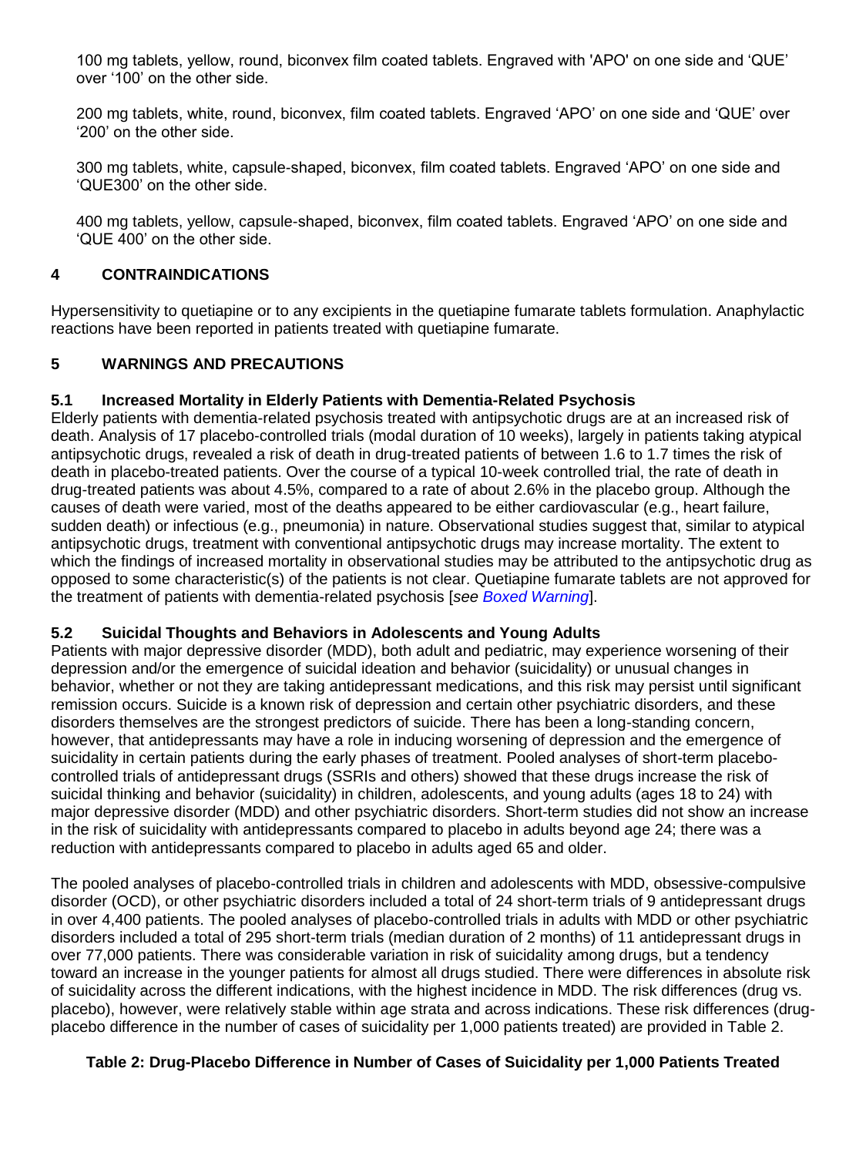100 mg tablets, yellow, round, biconvex film coated tablets. Engraved with 'APO' on one side and 'QUE' over '100' on the other side.

200 mg tablets, white, round, biconvex, film coated tablets. Engraved 'APO' on one side and 'QUE' over '200' on the other side.

300 mg tablets, white, capsule-shaped, biconvex, film coated tablets. Engraved 'APO' on one side and 'QUE300' on the other side.

400 mg tablets, yellow, capsule-shaped, biconvex, film coated tablets. Engraved 'APO' on one side and 'QUE 400' on the other side.

# <span id="page-5-0"></span>**4 CONTRAINDICATIONS**

Hypersensitivity to quetiapine or to any excipients in the quetiapine fumarate tablets formulation. Anaphylactic reactions have been reported in patients treated with quetiapine fumarate.

# <span id="page-5-3"></span>**5 WARNINGS AND PRECAUTIONS**

# <span id="page-5-1"></span>**5.1 Increased Mortality in Elderly Patients with Dementia-Related Psychosis**

Elderly patients with dementia-related psychosis treated with antipsychotic drugs are at an increased risk of death. Analysis of 17 placebo-controlled trials (modal duration of 10 weeks), largely in patients taking atypical antipsychotic drugs, revealed a risk of death in drug-treated patients of between 1.6 to 1.7 times the risk of death in placebo-treated patients. Over the course of a typical 10-week controlled trial, the rate of death in drug-treated patients was about 4.5%, compared to a rate of about 2.6% in the placebo group. Although the causes of death were varied, most of the deaths appeared to be either cardiovascular (e.g., heart failure, sudden death) or infectious (e.g., pneumonia) in nature. Observational studies suggest that, similar to atypical antipsychotic drugs, treatment with conventional antipsychotic drugs may increase mortality. The extent to which the findings of increased mortality in observational studies may be attributed to the antipsychotic drug as opposed to some characteristic(s) of the patients is not clear. Quetiapine fumarate tablets are not approved for the treatment of patients with dementia-related psychosis [*see [Boxed Warning](#page-2-5)*].

## <span id="page-5-2"></span>**5.2 Suicidal Thoughts and Behaviors in Adolescents and Young Adults**

Patients with major depressive disorder (MDD), both adult and pediatric, may experience worsening of their depression and/or the emergence of suicidal ideation and behavior (suicidality) or unusual changes in behavior, whether or not they are taking antidepressant medications, and this risk may persist until significant remission occurs. Suicide is a known risk of depression and certain other psychiatric disorders, and these disorders themselves are the strongest predictors of suicide. There has been a long-standing concern, however, that antidepressants may have a role in inducing worsening of depression and the emergence of suicidality in certain patients during the early phases of treatment. Pooled analyses of short-term placebocontrolled trials of antidepressant drugs (SSRIs and others) showed that these drugs increase the risk of suicidal thinking and behavior (suicidality) in children, adolescents, and young adults (ages 18 to 24) with major depressive disorder (MDD) and other psychiatric disorders. Short-term studies did not show an increase in the risk of suicidality with antidepressants compared to placebo in adults beyond age 24; there was a reduction with antidepressants compared to placebo in adults aged 65 and older.

The pooled analyses of placebo-controlled trials in children and adolescents with MDD, obsessive-compulsive disorder (OCD), or other psychiatric disorders included a total of 24 short-term trials of 9 antidepressant drugs in over 4,400 patients. The pooled analyses of placebo-controlled trials in adults with MDD or other psychiatric disorders included a total of 295 short-term trials (median duration of 2 months) of 11 antidepressant drugs in over 77,000 patients. There was considerable variation in risk of suicidality among drugs, but a tendency toward an increase in the younger patients for almost all drugs studied. There were differences in absolute risk of suicidality across the different indications, with the highest incidence in MDD. The risk differences (drug vs. placebo), however, were relatively stable within age strata and across indications. These risk differences (drugplacebo difference in the number of cases of suicidality per 1,000 patients treated) are provided in Table 2.

# **Table 2: Drug-Placebo Difference in Number of Cases of Suicidality per 1,000 Patients Treated**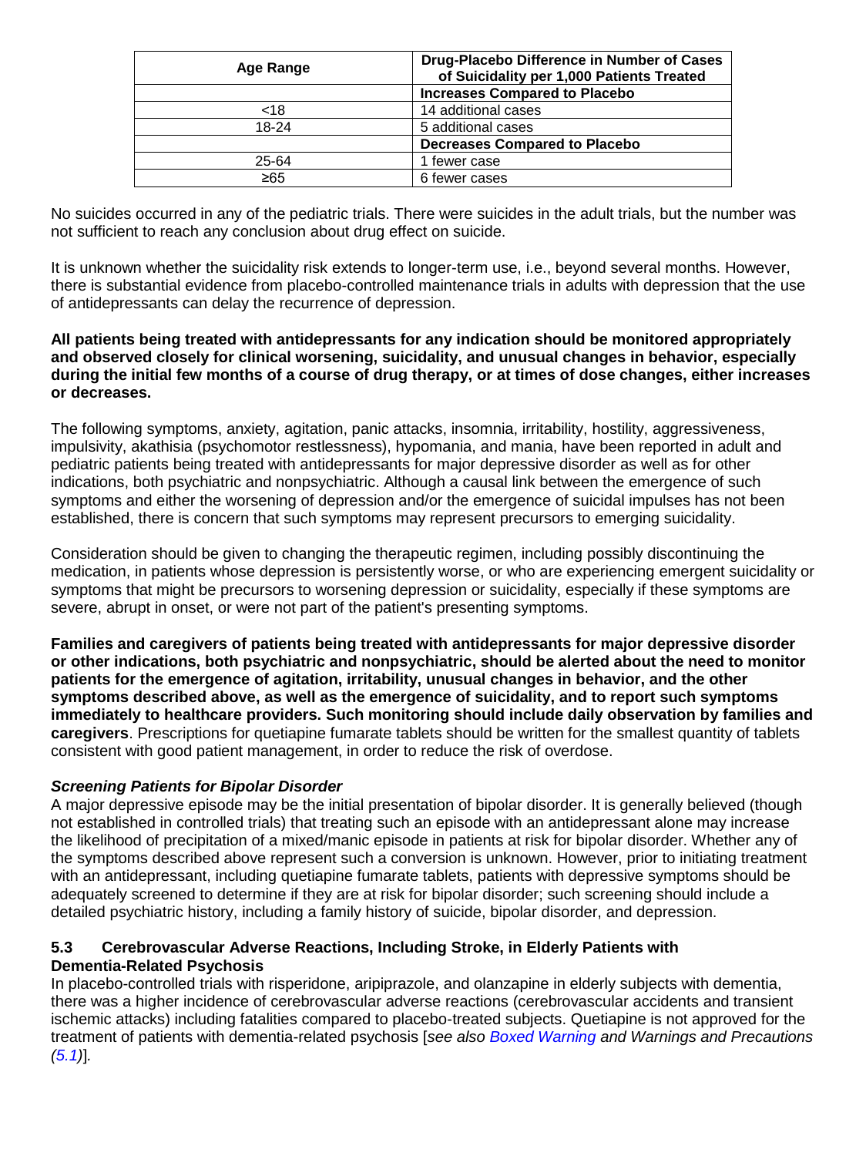| <b>Age Range</b> | Drug-Placebo Difference in Number of Cases<br>of Suicidality per 1,000 Patients Treated |  |
|------------------|-----------------------------------------------------------------------------------------|--|
|                  | <b>Increases Compared to Placebo</b>                                                    |  |
| <18              | 14 additional cases                                                                     |  |
| 18-24            | 5 additional cases                                                                      |  |
|                  | <b>Decreases Compared to Placebo</b>                                                    |  |
| 25-64            | 1 fewer case                                                                            |  |
| ≥65              | 6 fewer cases                                                                           |  |

No suicides occurred in any of the pediatric trials. There were suicides in the adult trials, but the number was not sufficient to reach any conclusion about drug effect on suicide.

It is unknown whether the suicidality risk extends to longer-term use, i.e., beyond several months. However, there is substantial evidence from placebo-controlled maintenance trials in adults with depression that the use of antidepressants can delay the recurrence of depression.

#### **All patients being treated with antidepressants for any indication should be monitored appropriately and observed closely for clinical worsening, suicidality, and unusual changes in behavior, especially during the initial few months of a course of drug therapy, or at times of dose changes, either increases or decreases.**

The following symptoms, anxiety, agitation, panic attacks, insomnia, irritability, hostility, aggressiveness, impulsivity, akathisia (psychomotor restlessness), hypomania, and mania, have been reported in adult and pediatric patients being treated with antidepressants for major depressive disorder as well as for other indications, both psychiatric and nonpsychiatric. Although a causal link between the emergence of such symptoms and either the worsening of depression and/or the emergence of suicidal impulses has not been established, there is concern that such symptoms may represent precursors to emerging suicidality.

Consideration should be given to changing the therapeutic regimen, including possibly discontinuing the medication, in patients whose depression is persistently worse, or who are experiencing emergent suicidality or symptoms that might be precursors to worsening depression or suicidality, especially if these symptoms are severe, abrupt in onset, or were not part of the patient's presenting symptoms.

**Families and caregivers of patients being treated with antidepressants for major depressive disorder or other indications, both psychiatric and nonpsychiatric, should be alerted about the need to monitor patients for the emergence of agitation, irritability, unusual changes in behavior, and the other symptoms described above, as well as the emergence of suicidality, and to report such symptoms immediately to healthcare providers. Such monitoring should include daily observation by families and caregivers**. Prescriptions for quetiapine fumarate tablets should be written for the smallest quantity of tablets consistent with good patient management, in order to reduce the risk of overdose.

## *Screening Patients for Bipolar Disorder*

A major depressive episode may be the initial presentation of bipolar disorder. It is generally believed (though not established in controlled trials) that treating such an episode with an antidepressant alone may increase the likelihood of precipitation of a mixed/manic episode in patients at risk for bipolar disorder. Whether any of the symptoms described above represent such a conversion is unknown. However, prior to initiating treatment with an antidepressant, including quetiapine fumarate tablets, patients with depressive symptoms should be adequately screened to determine if they are at risk for bipolar disorder; such screening should include a detailed psychiatric history, including a family history of suicide, bipolar disorder, and depression.

## <span id="page-6-0"></span>**5.3 Cerebrovascular Adverse Reactions, Including Stroke, in Elderly Patients with Dementia-Related Psychosis**

In placebo-controlled trials with risperidone, aripiprazole, and olanzapine in elderly subjects with dementia, there was a higher incidence of cerebrovascular adverse reactions (cerebrovascular accidents and transient ischemic attacks) including fatalities compared to placebo-treated subjects. Quetiapine is not approved for the treatment of patients with dementia-related psychosis [*see also [Boxed Warning](#page-2-5) and Warnings and Precautions [\(5.1\)](#page-5-1)*]*.*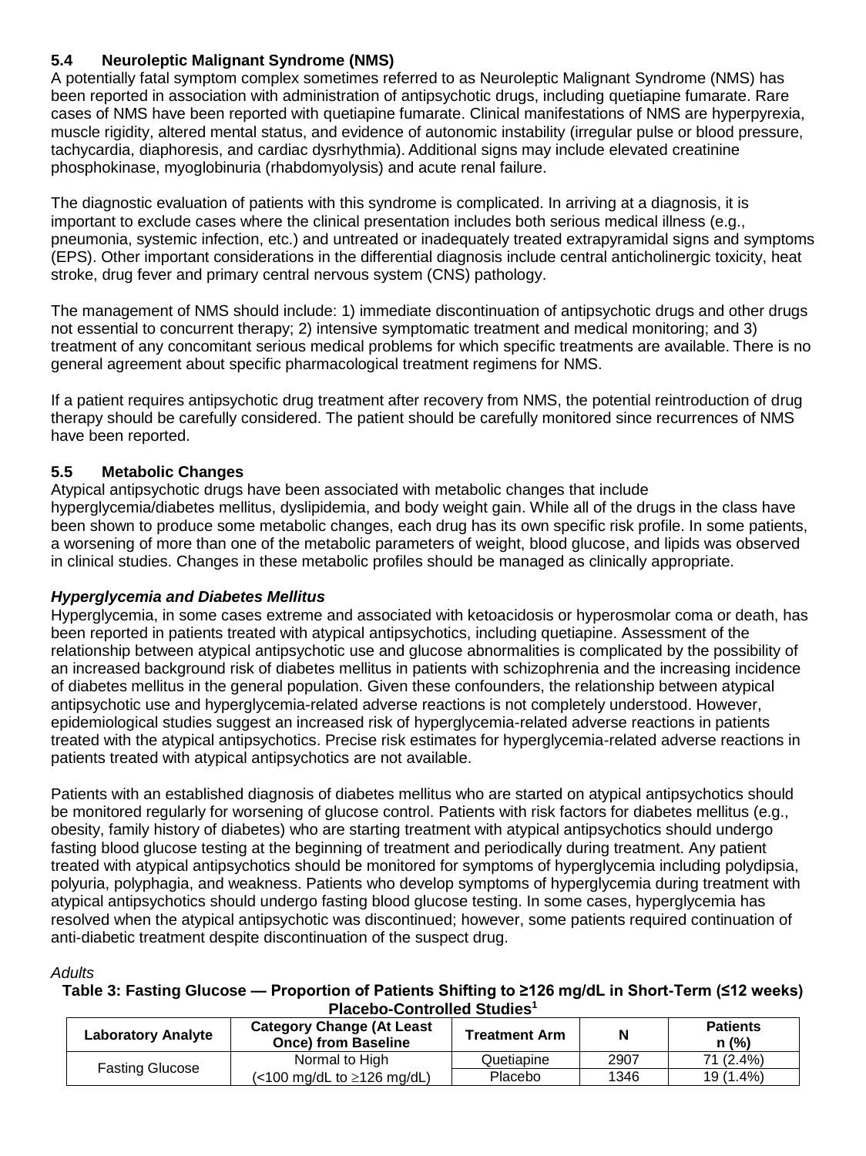# <span id="page-7-0"></span>**5.4 Neuroleptic Malignant Syndrome (NMS)**

A potentially fatal symptom complex sometimes referred to as Neuroleptic Malignant Syndrome (NMS) has been reported in association with administration of antipsychotic drugs, including quetiapine fumarate. Rare cases of NMS have been reported with quetiapine fumarate. Clinical manifestations of NMS are hyperpyrexia, muscle rigidity, altered mental status, and evidence of autonomic instability (irregular pulse or blood pressure, tachycardia, diaphoresis, and cardiac dysrhythmia). Additional signs may include elevated creatinine phosphokinase, myoglobinuria (rhabdomyolysis) and acute renal failure.

The diagnostic evaluation of patients with this syndrome is complicated. In arriving at a diagnosis, it is important to exclude cases where the clinical presentation includes both serious medical illness (e.g., pneumonia, systemic infection, etc.) and untreated or inadequately treated extrapyramidal signs and symptoms (EPS). Other important considerations in the differential diagnosis include central anticholinergic toxicity, heat stroke, drug fever and primary central nervous system (CNS) pathology.

The management of NMS should include: 1) immediate discontinuation of antipsychotic drugs and other drugs not essential to concurrent therapy; 2) intensive symptomatic treatment and medical monitoring; and 3) treatment of any concomitant serious medical problems for which specific treatments are available. There is no general agreement about specific pharmacological treatment regimens for NMS.

If a patient requires antipsychotic drug treatment after recovery from NMS, the potential reintroduction of drug therapy should be carefully considered. The patient should be carefully monitored since recurrences of NMS have been reported.

# <span id="page-7-1"></span>**5.5 Metabolic Changes**

Atypical antipsychotic drugs have been associated with metabolic changes that include hyperglycemia/diabetes mellitus, dyslipidemia, and body weight gain. While all of the drugs in the class have been shown to produce some metabolic changes, each drug has its own specific risk profile. In some patients, a worsening of more than one of the metabolic parameters of weight, blood glucose, and lipids was observed in clinical studies. Changes in these metabolic profiles should be managed as clinically appropriate.

# *Hyperglycemia and Diabetes Mellitus*

Hyperglycemia, in some cases extreme and associated with ketoacidosis or hyperosmolar coma or death, has been reported in patients treated with atypical antipsychotics, including quetiapine. Assessment of the relationship between atypical antipsychotic use and glucose abnormalities is complicated by the possibility of an increased background risk of diabetes mellitus in patients with schizophrenia and the increasing incidence of diabetes mellitus in the general population. Given these confounders, the relationship between atypical antipsychotic use and hyperglycemia-related adverse reactions is not completely understood. However, epidemiological studies suggest an increased risk of hyperglycemia-related adverse reactions in patients treated with the atypical antipsychotics. Precise risk estimates for hyperglycemia-related adverse reactions in patients treated with atypical antipsychotics are not available.

Patients with an established diagnosis of diabetes mellitus who are started on atypical antipsychotics should be monitored regularly for worsening of glucose control. Patients with risk factors for diabetes mellitus (e.g., obesity, family history of diabetes) who are starting treatment with atypical antipsychotics should undergo fasting blood glucose testing at the beginning of treatment and periodically during treatment. Any patient treated with atypical antipsychotics should be monitored for symptoms of hyperglycemia including polydipsia, polyuria, polyphagia, and weakness. Patients who develop symptoms of hyperglycemia during treatment with atypical antipsychotics should undergo fasting blood glucose testing. In some cases, hyperglycemia has resolved when the atypical antipsychotic was discontinued; however, some patients required continuation of anti-diabetic treatment despite discontinuation of the suspect drug.

## *Adults*

**Table 3: Fasting Glucose — Proportion of Patients Shifting to ≥126 mg/dL in Short-Term (≤12 weeks) Placebo-Controlled Studies<sup>1</sup>**

| <b>Laboratory Analyte</b> | <b>Category Change (At Least</b><br><b>Once) from Baseline</b> | <b>Treatment Arm</b> |      | <b>Patients</b><br>n (%) |
|---------------------------|----------------------------------------------------------------|----------------------|------|--------------------------|
|                           | Normal to High                                                 | Quetiapine           | 2907 | 71 (2.4%)                |
| <b>Fasting Glucose</b>    | $\left($ <100 mg/dL to $\geq$ 126 mg/dL)                       | Placebo              | 1346 | 19 (1.4%)                |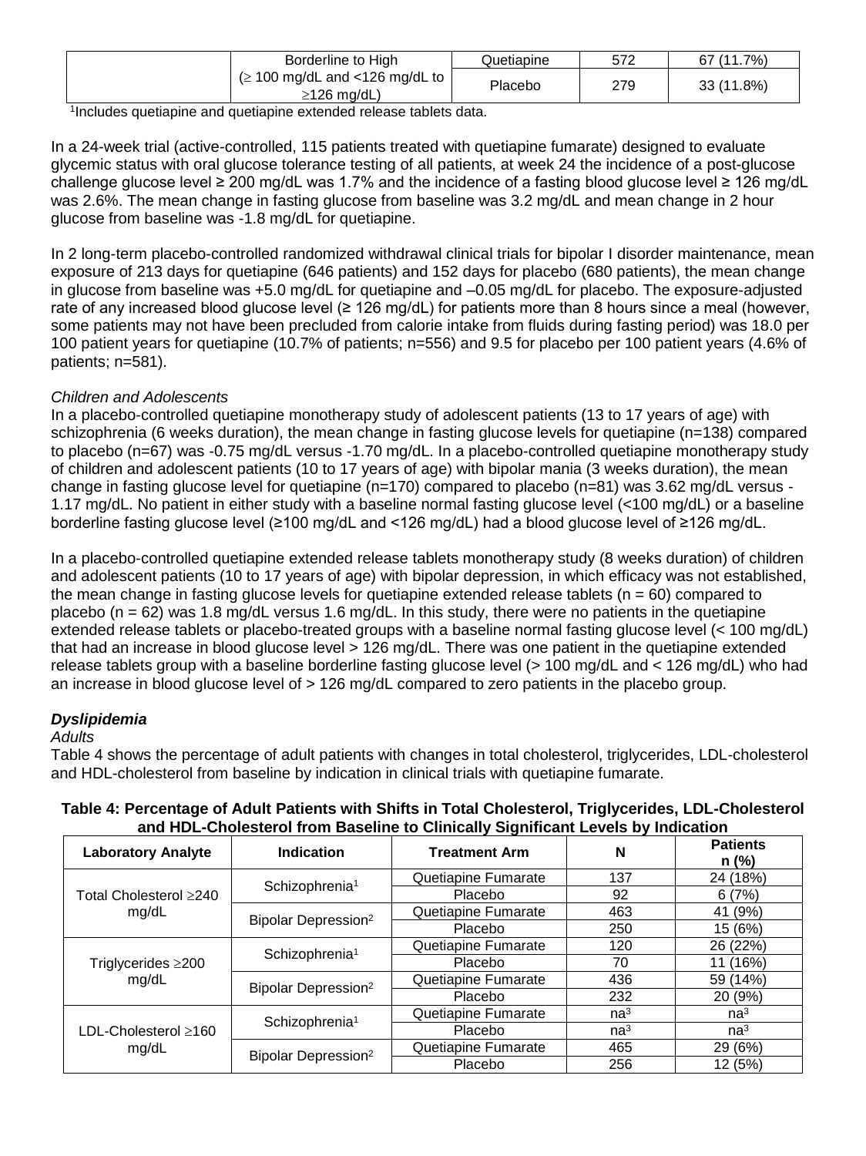| Borderline to High                                        | Quetiapine | 572 | $(11.7\%)$<br>67 |
|-----------------------------------------------------------|------------|-----|------------------|
| $\geq$ 100 mg/dL and <126 mg/dL to  <br>$\geq$ 126 mg/dL) | Placebo    | 279 | 33 (11.8%)       |

1 Includes quetiapine and quetiapine extended release tablets data.

In a 24-week trial (active-controlled, 115 patients treated with quetiapine fumarate) designed to evaluate glycemic status with oral glucose tolerance testing of all patients, at week 24 the incidence of a post-glucose challenge glucose level ≥ 200 mg/dL was 1.7% and the incidence of a fasting blood glucose level ≥ 126 mg/dL was 2.6%. The mean change in fasting glucose from baseline was 3.2 mg/dL and mean change in 2 hour glucose from baseline was -1.8 mg/dL for quetiapine.

In 2 long-term placebo-controlled randomized withdrawal clinical trials for bipolar I disorder maintenance, mean exposure of 213 days for quetiapine (646 patients) and 152 days for placebo (680 patients), the mean change in glucose from baseline was +5.0 mg/dL for quetiapine and –0.05 mg/dL for placebo. The exposure-adjusted rate of any increased blood glucose level (≥ 126 mg/dL) for patients more than 8 hours since a meal (however, some patients may not have been precluded from calorie intake from fluids during fasting period) was 18.0 per 100 patient years for quetiapine (10.7% of patients; n=556) and 9.5 for placebo per 100 patient years (4.6% of patients; n=581).

## *Children and Adolescents*

In a placebo-controlled quetiapine monotherapy study of adolescent patients (13 to 17 years of age) with schizophrenia (6 weeks duration), the mean change in fasting glucose levels for quetiapine (n=138) compared to placebo (n=67) was -0.75 mg/dL versus -1.70 mg/dL. In a placebo-controlled quetiapine monotherapy study of children and adolescent patients (10 to 17 years of age) with bipolar mania (3 weeks duration), the mean change in fasting glucose level for quetiapine (n=170) compared to placebo (n=81) was 3.62 mg/dL versus - 1.17 mg/dL. No patient in either study with a baseline normal fasting glucose level (<100 mg/dL) or a baseline borderline fasting glucose level (≥100 mg/dL and <126 mg/dL) had a blood glucose level of ≥126 mg/dL.

In a placebo-controlled quetiapine extended release tablets monotherapy study (8 weeks duration) of children and adolescent patients (10 to 17 years of age) with bipolar depression, in which efficacy was not established, the mean change in fasting glucose levels for quetiapine extended release tablets ( $n = 60$ ) compared to placebo ( $n = 62$ ) was 1.8 mg/dL versus 1.6 mg/dL. In this study, there were no patients in the quetiapine extended release tablets or placebo-treated groups with a baseline normal fasting glucose level (< 100 mg/dL) that had an increase in blood glucose level > 126 mg/dL. There was one patient in the quetiapine extended release tablets group with a baseline borderline fasting glucose level (> 100 mg/dL and < 126 mg/dL) who had an increase in blood glucose level of > 126 mg/dL compared to zero patients in the placebo group.

## *Dyslipidemia*

## *Adults*

Table 4 shows the percentage of adult patients with changes in total cholesterol, triglycerides, LDL-cholesterol and HDL-cholesterol from baseline by indication in clinical trials with quetiapine fumarate.

| and the Undicated it from Basemic to Uninoany Uigninoant Ecycle by Indication |                                 |                      |                 |                          |
|-------------------------------------------------------------------------------|---------------------------------|----------------------|-----------------|--------------------------|
| <b>Laboratory Analyte</b>                                                     | <b>Indication</b>               | <b>Treatment Arm</b> | N               | <b>Patients</b><br>n (%) |
|                                                                               |                                 | Quetiapine Fumarate  | 137             | 24 (18%)                 |
| Total Cholesterol ≥240                                                        | Schizophrenia <sup>1</sup>      | Placebo              | 92              | 6(7%)                    |
| mg/dL                                                                         |                                 | Quetiapine Fumarate  | 463             | 41 (9%)                  |
|                                                                               | Bipolar Depression <sup>2</sup> | Placebo              | 250             | 15 (6%)                  |
|                                                                               |                                 | Quetiapine Fumarate  | 120             | 26 (22%)                 |
| Triglycerides ≥200                                                            | Schizophrenia <sup>1</sup>      | Placebo              | 70              | 11 (16%)                 |
| mg/dL                                                                         |                                 | Quetiapine Fumarate  | 436             | 59 (14%)                 |
|                                                                               | Bipolar Depression <sup>2</sup> | Placebo              | 232             | 20 (9%)                  |
| LDL-Cholesterol ≥160                                                          |                                 | Quetiapine Fumarate  | na <sup>3</sup> | na <sup>3</sup>          |
|                                                                               | Schizophrenia <sup>1</sup>      | Placebo              | na <sup>3</sup> | na <sup>3</sup>          |
| mg/dL                                                                         |                                 | Quetiapine Fumarate  | 465             | 29 (6%)                  |
|                                                                               | Bipolar Depression <sup>2</sup> | Placebo              | 256             | 12 (5%)                  |

## **Table 4: Percentage of Adult Patients with Shifts in Total Cholesterol, Triglycerides, LDL-Cholesterol and HDL-Cholesterol from Baseline to Clinically Significant Levels by Indication**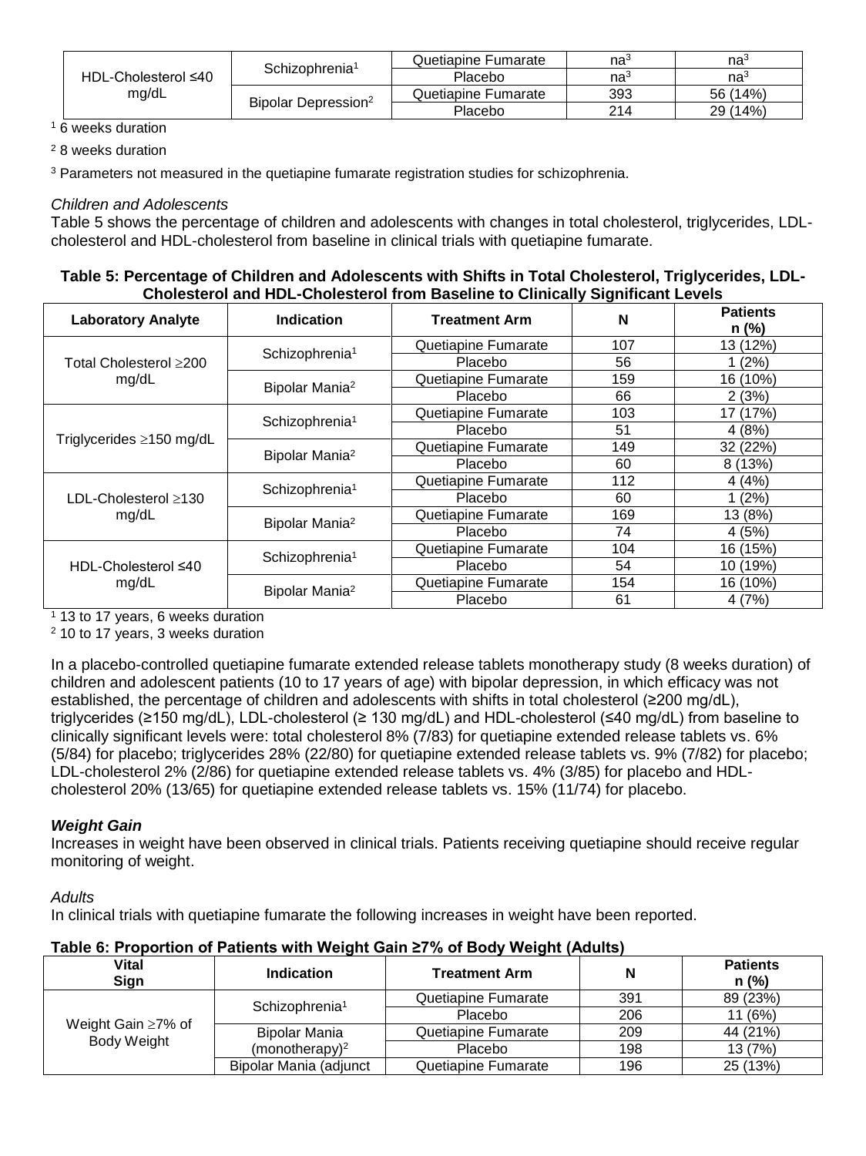|                     | Schizophrenia <sup>1</sup>      | Quetiapine Fumarate | naª | na <sup>3</sup> |
|---------------------|---------------------------------|---------------------|-----|-----------------|
| HDL-Cholesterol ≤40 |                                 | Placebo             | naª | na <sup>3</sup> |
| mg/dL               |                                 | Quetiapine Fumarate | 393 | 56 (14%)        |
|                     | Bipolar Depression <sup>2</sup> | Placebo             | 214 | 29 (14%)        |

<sup>1</sup> 6 weeks duration

<sup>2</sup> 8 weeks duration

<sup>3</sup> Parameters not measured in the quetiapine fumarate registration studies for schizophrenia.

#### *Children and Adolescents*

Table 5 shows the percentage of children and adolescents with changes in total cholesterol, triglycerides, LDLcholesterol and HDL-cholesterol from baseline in clinical trials with quetiapine fumarate.

| Table 5: Percentage of Children and Adolescents with Shifts in Total Cholesterol, Triglycerides, LDL- |
|-------------------------------------------------------------------------------------------------------|
| Cholesterol and HDL-Cholesterol from Baseline to Clinically Significant Levels                        |

| <b>Laboratory Analyte</b> | <b>Indication</b>          | <b>Treatment Arm</b> | N   | <b>Patients</b><br>$n$ (%) |
|---------------------------|----------------------------|----------------------|-----|----------------------------|
|                           |                            | Quetiapine Fumarate  | 107 | 13 (12%)                   |
| Total Cholesterol ≥200    | Schizophrenia <sup>1</sup> | Placebo              | 56  | 1(2%)                      |
| mg/dL                     |                            | Quetiapine Fumarate  | 159 | 16 (10%)                   |
|                           | Bipolar Mania <sup>2</sup> | Placebo              | 66  | 2(3%)                      |
|                           | Schizophrenia <sup>1</sup> | Quetiapine Fumarate  | 103 | 17 (17%)                   |
|                           |                            | Placebo              | 51  | 4(8%)                      |
| Triglycerides ≥150 mg/dL  | Bipolar Mania <sup>2</sup> | Quetiapine Fumarate  | 149 | 32 (22%)                   |
|                           |                            | Placebo              | 60  | 8(13%)                     |
|                           | Schizophrenia <sup>1</sup> | Quetiapine Fumarate  | 112 | 4(4%)                      |
| LDL-Cholesterol ≥130      |                            | Placebo              | 60  | (2%)                       |
| mg/dL                     | Bipolar Mania <sup>2</sup> | Quetiapine Fumarate  | 169 | 13 (8%)                    |
|                           |                            | Placebo              | 74  | 4(5%)                      |
|                           | Schizophrenia <sup>1</sup> | Quetiapine Fumarate  | 104 | 16 (15%)                   |
| HDL-Cholesterol ≤40       |                            | Placebo              | 54  | 10 (19%)                   |
| mg/dL                     | Bipolar Mania <sup>2</sup> | Quetiapine Fumarate  | 154 | 16 (10%)                   |
|                           |                            | Placebo              | 61  | 4(7%)                      |

<sup>1</sup> 13 to 17 years, 6 weeks duration

<sup>2</sup> 10 to 17 years, 3 weeks duration

In a placebo-controlled quetiapine fumarate extended release tablets monotherapy study (8 weeks duration) of children and adolescent patients (10 to 17 years of age) with bipolar depression, in which efficacy was not established, the percentage of children and adolescents with shifts in total cholesterol (≥200 mg/dL), triglycerides (≥150 mg/dL), LDL-cholesterol (≥ 130 mg/dL) and HDL-cholesterol (≤40 mg/dL) from baseline to clinically significant levels were: total cholesterol 8% (7/83) for quetiapine extended release tablets vs. 6% (5/84) for placebo; triglycerides 28% (22/80) for quetiapine extended release tablets vs. 9% (7/82) for placebo; LDL-cholesterol 2% (2/86) for quetiapine extended release tablets vs. 4% (3/85) for placebo and HDLcholesterol 20% (13/65) for quetiapine extended release tablets vs. 15% (11/74) for placebo.

## *Weight Gain*

Increases in weight have been observed in clinical trials. Patients receiving quetiapine should receive regular monitoring of weight.

#### *Adults*

In clinical trials with quetiapine fumarate the following increases in weight have been reported.

| $1800$ v. Topollion of Fallonto milli moight bail =170 of Doug moight (Addition |                            |                      |     |                            |  |
|---------------------------------------------------------------------------------|----------------------------|----------------------|-----|----------------------------|--|
| Vital<br>Sign                                                                   | <b>Indication</b>          | <b>Treatment Arm</b> | N   | <b>Patients</b><br>$n$ (%) |  |
|                                                                                 | Schizophrenia <sup>1</sup> | Quetiapine Fumarate  | 391 | 89 (23%)                   |  |
|                                                                                 |                            | Placebo              | 206 | 11 (6%)                    |  |
| Weight Gain ≥7% of                                                              | <b>Bipolar Mania</b>       | Quetiapine Fumarate  | 209 | 44 (21%)                   |  |
| <b>Body Weight</b>                                                              | (monotherapy) <sup>2</sup> | Placebo              | 198 | 13 (7%)                    |  |
|                                                                                 | Bipolar Mania (adjunct     | Quetiapine Fumarate  | 196 | 25 (13%)                   |  |

# **Table 6: Proportion of Patients with Weight Gain ≥7% of Body Weight (Adults)**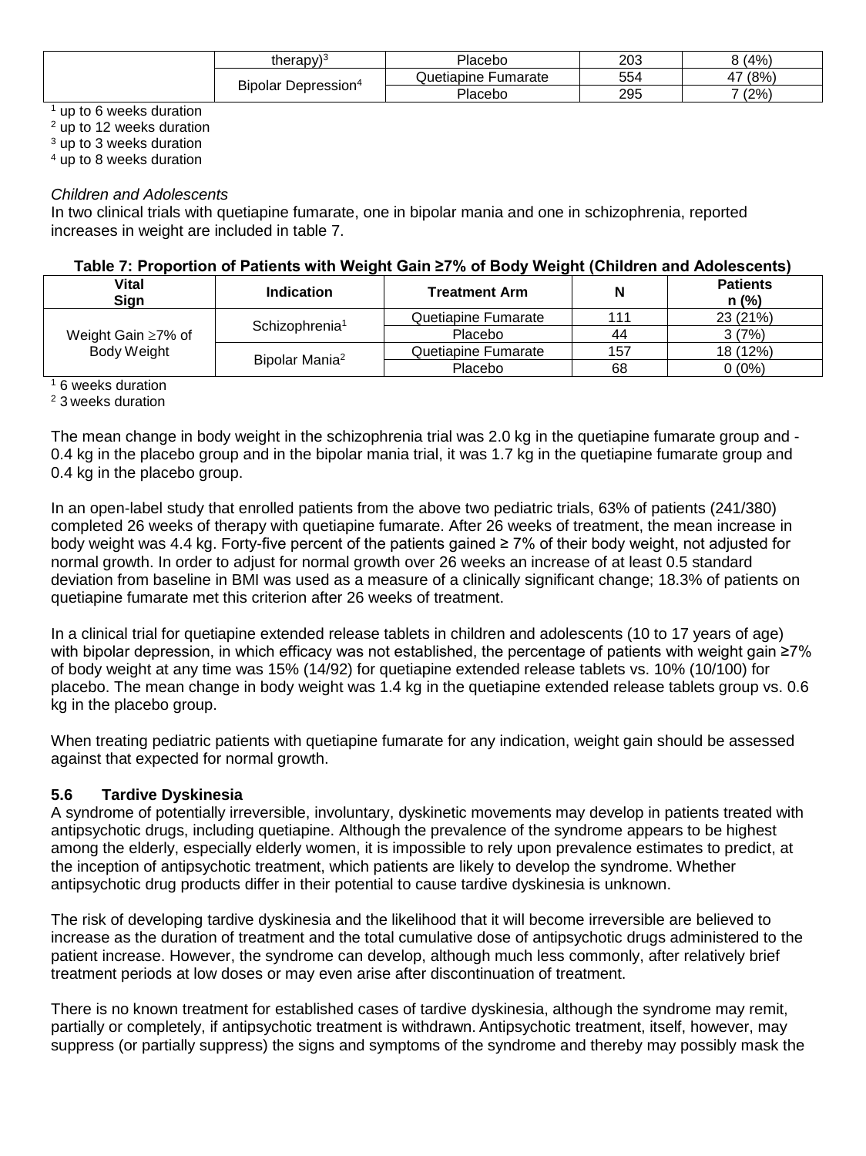|  | therapy) $3$               | Placebo                | 203 | (4%)<br>ົ |
|--|----------------------------|------------------------|-----|-----------|
|  | <b>Bipolar Depression4</b> | Fumarate<br>Quetiapine | 554 | (8%)<br>4 |
|  |                            | Placebo                | 295 | (2%)      |

 $1$  up to 6 weeks duration

<sup>2</sup> up to 12 weeks duration  $3$  up to 3 weeks duration

<sup>4</sup> up to 8 weeks duration

## *Children and Adolescents*

In two clinical trials with quetiapine fumarate, one in bipolar mania and one in schizophrenia, reported increases in weight are included in table 7.

#### **Table 7: Proportion of Patients with Weight Gain ≥7% of Body Weight (Children and Adolescents)**

| Vital<br>Sign      | <b>Indication</b>          | <b>Treatment Arm</b> |     | <b>Patients</b><br>$n$ (%) |
|--------------------|----------------------------|----------------------|-----|----------------------------|
|                    | Schizophrenia <sup>1</sup> | Quetiapine Fumarate  | 111 | 23 (21%)                   |
| Weight Gain ≥7% of |                            | Placebo              | 44  | 3(7%)                      |
| Body Weight        |                            | Quetiapine Fumarate  | 157 | 18 (12%)                   |
|                    | Bipolar Mania <sup>2</sup> | Placebo              | 68  | 0 (0%)                     |

<sup>1</sup> 6 weeks duration

<sup>2</sup> 3 weeks duration

The mean change in body weight in the schizophrenia trial was 2.0 kg in the quetiapine fumarate group and - 0.4 kg in the placebo group and in the bipolar mania trial, it was 1.7 kg in the quetiapine fumarate group and 0.4 kg in the placebo group.

In an open-label study that enrolled patients from the above two pediatric trials, 63% of patients (241/380) completed 26 weeks of therapy with quetiapine fumarate. After 26 weeks of treatment, the mean increase in body weight was 4.4 kg. Forty-five percent of the patients gained ≥ 7% of their body weight, not adjusted for normal growth. In order to adjust for normal growth over 26 weeks an increase of at least 0.5 standard deviation from baseline in BMI was used as a measure of a clinically significant change; 18.3% of patients on quetiapine fumarate met this criterion after 26 weeks of treatment.

In a clinical trial for quetiapine extended release tablets in children and adolescents (10 to 17 years of age) with bipolar depression, in which efficacy was not established, the percentage of patients with weight gain ≥7% of body weight at any time was 15% (14/92) for quetiapine extended release tablets vs. 10% (10/100) for placebo. The mean change in body weight was 1.4 kg in the quetiapine extended release tablets group vs. 0.6 kg in the placebo group.

When treating pediatric patients with quetiapine fumarate for any indication, weight gain should be assessed against that expected for normal growth.

## <span id="page-10-0"></span>**5.6 Tardive Dyskinesia**

A syndrome of potentially irreversible, involuntary, dyskinetic movements may develop in patients treated with antipsychotic drugs, including quetiapine. Although the prevalence of the syndrome appears to be highest among the elderly, especially elderly women, it is impossible to rely upon prevalence estimates to predict, at the inception of antipsychotic treatment, which patients are likely to develop the syndrome. Whether antipsychotic drug products differ in their potential to cause tardive dyskinesia is unknown.

The risk of developing tardive dyskinesia and the likelihood that it will become irreversible are believed to increase as the duration of treatment and the total cumulative dose of antipsychotic drugs administered to the patient increase. However, the syndrome can develop, although much less commonly, after relatively brief treatment periods at low doses or may even arise after discontinuation of treatment.

There is no known treatment for established cases of tardive dyskinesia, although the syndrome may remit, partially or completely, if antipsychotic treatment is withdrawn. Antipsychotic treatment, itself, however, may suppress (or partially suppress) the signs and symptoms of the syndrome and thereby may possibly mask the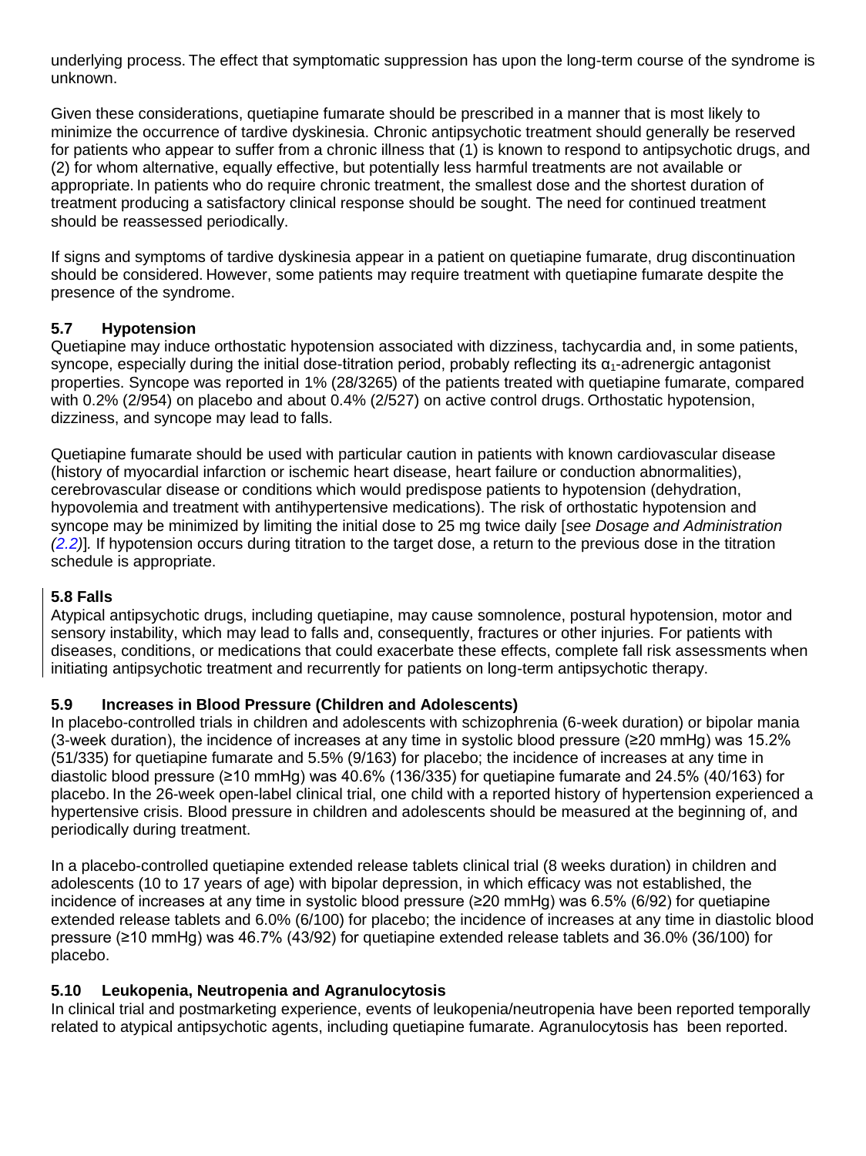underlying process. The effect that symptomatic suppression has upon the long-term course of the syndrome is unknown.

Given these considerations, quetiapine fumarate should be prescribed in a manner that is most likely to minimize the occurrence of tardive dyskinesia. Chronic antipsychotic treatment should generally be reserved for patients who appear to suffer from a chronic illness that (1) is known to respond to antipsychotic drugs, and (2) for whom alternative, equally effective, but potentially less harmful treatments are not available or appropriate. In patients who do require chronic treatment, the smallest dose and the shortest duration of treatment producing a satisfactory clinical response should be sought. The need for continued treatment should be reassessed periodically.

If signs and symptoms of tardive dyskinesia appear in a patient on quetiapine fumarate, drug discontinuation should be considered. However, some patients may require treatment with quetiapine fumarate despite the presence of the syndrome.

# <span id="page-11-1"></span>**5.7 Hypotension**

Quetiapine may induce orthostatic hypotension associated with dizziness, tachycardia and, in some patients, syncope, especially during the initial dose-titration period, probably reflecting its  $\alpha_1$ -adrenergic antagonist properties. Syncope was reported in 1% (28/3265) of the patients treated with quetiapine fumarate, compared with 0.2% (2/954) on placebo and about 0.4% (2/527) on active control drugs. Orthostatic hypotension, dizziness, and syncope may lead to falls.

Quetiapine fumarate should be used with particular caution in patients with known cardiovascular disease (history of myocardial infarction or ischemic heart disease, heart failure or conduction abnormalities), cerebrovascular disease or conditions which would predispose patients to hypotension (dehydration, hypovolemia and treatment with antihypertensive medications). The risk of orthostatic hypotension and syncope may be minimized by limiting the initial dose to 25 mg twice daily [*see Dosage and Administration [\(2.2\)](#page-3-0)*]*.* If hypotension occurs during titration to the target dose, a return to the previous dose in the titration schedule is appropriate.

## <span id="page-11-3"></span>**5.8 Falls**

Atypical antipsychotic drugs, including quetiapine, may cause somnolence, postural hypotension, motor and sensory instability, which may lead to falls and, consequently, fractures or other injuries. For patients with diseases, conditions, or medications that could exacerbate these effects, complete fall risk assessments when initiating antipsychotic treatment and recurrently for patients on long-term antipsychotic therapy.

## <span id="page-11-2"></span>**5.9 Increases in Blood Pressure (Children and Adolescents)**

In placebo-controlled trials in children and adolescents with schizophrenia (6-week duration) or bipolar mania (3-week duration), the incidence of increases at any time in systolic blood pressure (≥20 mmHg) was 15.2% (51/335) for quetiapine fumarate and 5.5% (9/163) for placebo; the incidence of increases at any time in diastolic blood pressure (≥10 mmHg) was 40.6% (136/335) for quetiapine fumarate and 24.5% (40/163) for placebo. In the 26-week open-label clinical trial, one child with a reported history of hypertension experienced a hypertensive crisis. Blood pressure in children and adolescents should be measured at the beginning of, and periodically during treatment.

In a placebo-controlled quetiapine extended release tablets clinical trial (8 weeks duration) in children and adolescents (10 to 17 years of age) with bipolar depression, in which efficacy was not established, the incidence of increases at any time in systolic blood pressure (≥20 mmHg) was 6.5% (6/92) for quetiapine extended release tablets and 6.0% (6/100) for placebo; the incidence of increases at any time in diastolic blood pressure (≥10 mmHg) was 46.7% (43/92) for quetiapine extended release tablets and 36.0% (36/100) for placebo.

## <span id="page-11-0"></span>**5.10 Leukopenia, Neutropenia and Agranulocytosis**

In clinical trial and postmarketing experience, events of leukopenia/neutropenia have been reported temporally related to atypical antipsychotic agents, including quetiapine fumarate. Agranulocytosis has been reported.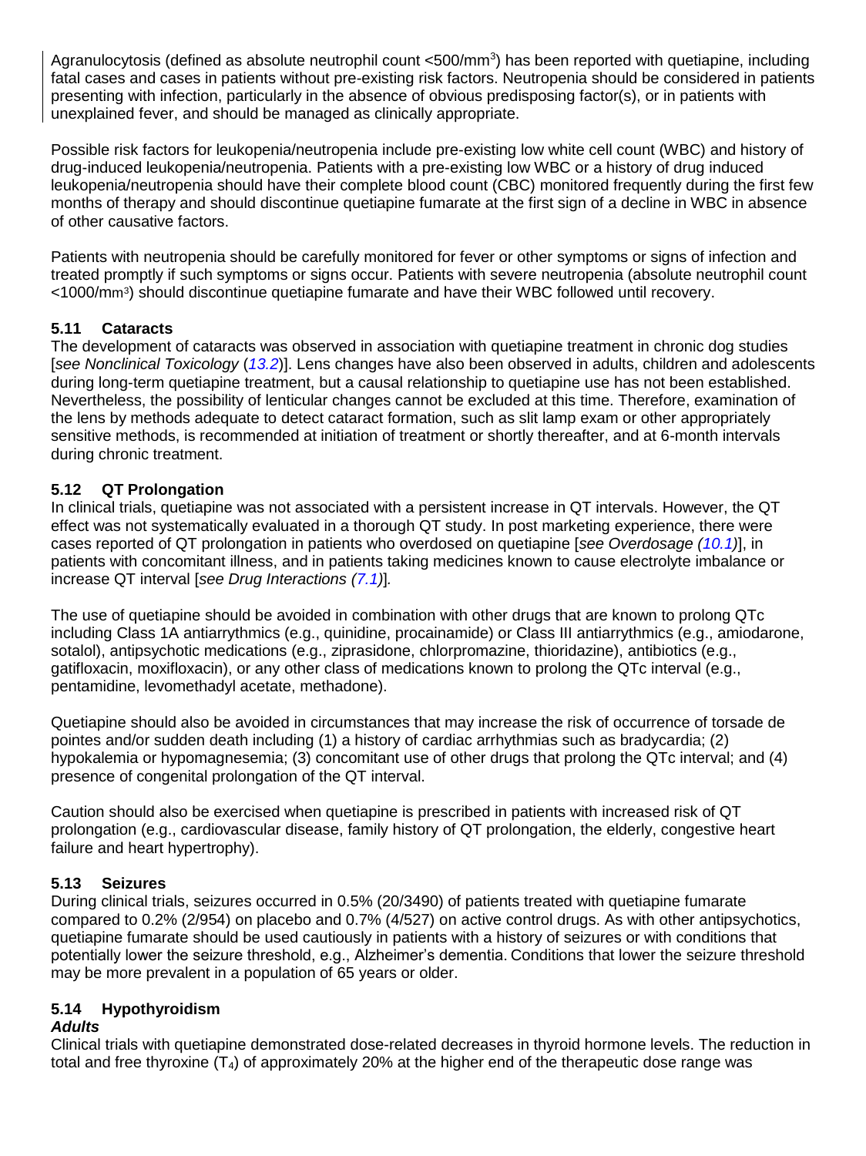Agranulocytosis (defined as absolute neutrophil count <500/mm<sup>3</sup>) has been reported with quetiapine, including fatal cases and cases in patients without pre-existing risk factors. Neutropenia should be considered in patients presenting with infection, particularly in the absence of obvious predisposing factor(s), or in patients with unexplained fever, and should be managed as clinically appropriate.

Possible risk factors for leukopenia/neutropenia include pre-existing low white cell count (WBC) and history of drug-induced leukopenia/neutropenia. Patients with a pre-existing low WBC or a history of drug induced leukopenia/neutropenia should have their complete blood count (CBC) monitored frequently during the first few months of therapy and should discontinue quetiapine fumarate at the first sign of a decline in WBC in absence of other causative factors.

Patients with neutropenia should be carefully monitored for fever or other symptoms or signs of infection and treated promptly if such symptoms or signs occur. Patients with severe neutropenia (absolute neutrophil count <1000/mm<sup>3</sup> ) should discontinue quetiapine fumarate and have their WBC followed until recovery.

# <span id="page-12-0"></span>**5.11 Cataracts**

The development of cataracts was observed in association with quetiapine treatment in chronic dog studies [*see Nonclinical Toxicology* (*[13.2](#page-32-0)*)]. Lens changes have also been observed in adults, children and adolescents during long-term quetiapine treatment, but a causal relationship to quetiapine use has not been established. Nevertheless, the possibility of lenticular changes cannot be excluded at this time. Therefore, examination of the lens by methods adequate to detect cataract formation, such as slit lamp exam or other appropriately sensitive methods, is recommended at initiation of treatment or shortly thereafter, and at 6-month intervals during chronic treatment.

# <span id="page-12-1"></span>**5.12 QT Prolongation**

In clinical trials, quetiapine was not associated with a persistent increase in QT intervals. However, the QT effect was not systematically evaluated in a thorough QT study. In post marketing experience, there were cases reported of QT prolongation in patients who overdosed on quetiapine [*see Overdosage [\(10.1\)](#page-27-7)*], in patients with concomitant illness, and in patients taking medicines known to cause electrolyte imbalance or increase QT interval [*see Drug Interactions [\(7.1\)](#page-24-0)*]*.*

The use of quetiapine should be avoided in combination with other drugs that are known to prolong QTc including Class 1A antiarrythmics (e.g., quinidine, procainamide) or Class III antiarrythmics (e.g., amiodarone, sotalol), antipsychotic medications (e.g., ziprasidone, chlorpromazine, thioridazine), antibiotics (e.g., gatifloxacin, moxifloxacin), or any other class of medications known to prolong the QTc interval (e.g., pentamidine, levomethadyl acetate, methadone).

Quetiapine should also be avoided in circumstances that may increase the risk of occurrence of torsade de pointes and/or sudden death including (1) a history of cardiac arrhythmias such as bradycardia; (2) hypokalemia or hypomagnesemia; (3) concomitant use of other drugs that prolong the QTc interval; and (4) presence of congenital prolongation of the QT interval.

Caution should also be exercised when quetiapine is prescribed in patients with increased risk of QT prolongation (e.g., cardiovascular disease, family history of QT prolongation, the elderly, congestive heart failure and heart hypertrophy).

## <span id="page-12-2"></span>**5.13 Seizures**

During clinical trials, seizures occurred in 0.5% (20/3490) of patients treated with quetiapine fumarate compared to 0.2% (2/954) on placebo and 0.7% (4/527) on active control drugs. As with other antipsychotics, quetiapine fumarate should be used cautiously in patients with a history of seizures or with conditions that potentially lower the seizure threshold, e.g., Alzheimer's dementia. Conditions that lower the seizure threshold may be more prevalent in a population of 65 years or older.

# <span id="page-12-3"></span>**5.14 Hypothyroidism**

# *Adults*

Clinical trials with quetiapine demonstrated dose-related decreases in thyroid hormone levels. The reduction in total and free thyroxine  $(T_4)$  of approximately 20% at the higher end of the therapeutic dose range was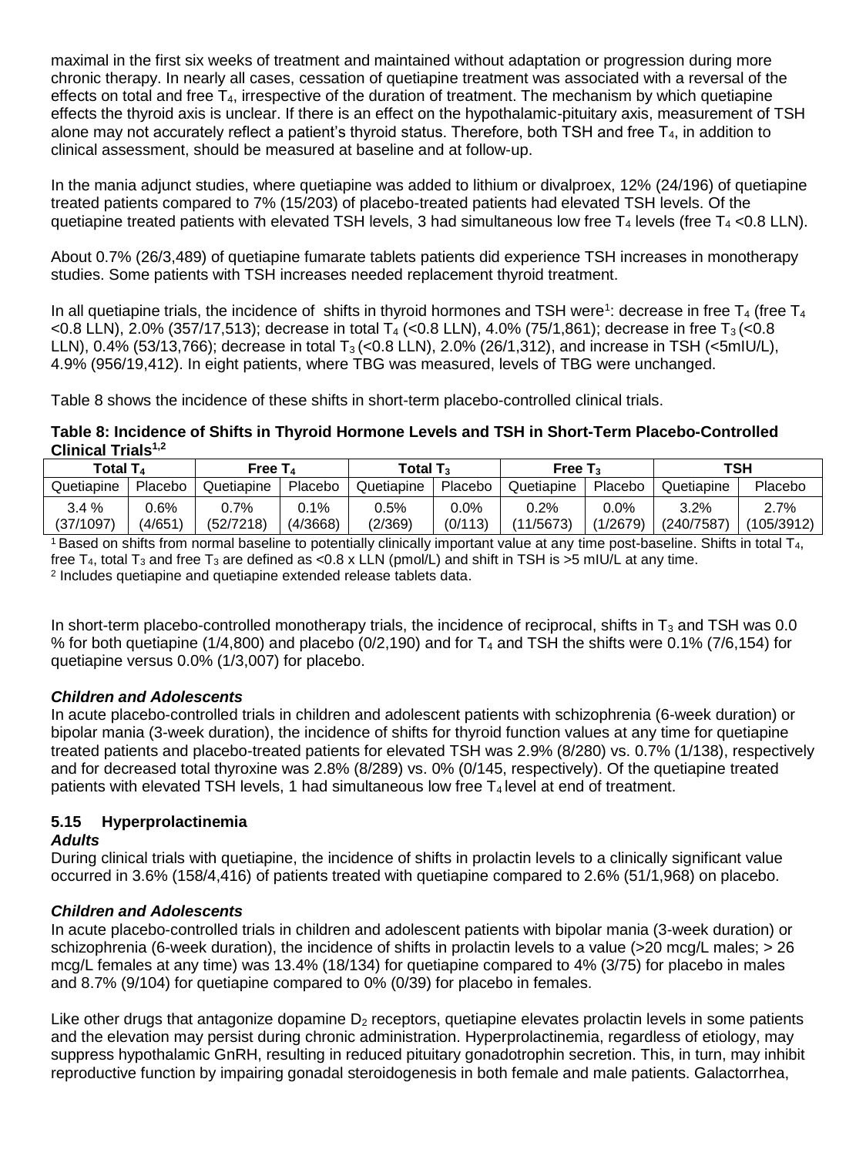maximal in the first six weeks of treatment and maintained without adaptation or progression during more chronic therapy. In nearly all cases, cessation of quetiapine treatment was associated with a reversal of the effects on total and free  $T<sub>4</sub>$ , irrespective of the duration of treatment. The mechanism by which quetiapine effects the thyroid axis is unclear. If there is an effect on the hypothalamic-pituitary axis, measurement of TSH alone may not accurately reflect a patient's thyroid status. Therefore, both TSH and free T<sub>4</sub>, in addition to clinical assessment, should be measured at baseline and at follow-up.

In the mania adjunct studies, where quetiapine was added to lithium or divalproex, 12% (24/196) of quetiapine treated patients compared to 7% (15/203) of placebo-treated patients had elevated TSH levels. Of the quetiapine treated patients with elevated TSH levels, 3 had simultaneous low free  $T_4$  levels (free  $T_4$  <0.8 LLN).

About 0.7% (26/3,489) of quetiapine fumarate tablets patients did experience TSH increases in monotherapy studies. Some patients with TSH increases needed replacement thyroid treatment.

In all quetiapine trials, the incidence of shifts in thyroid hormones and TSH were<sup>1</sup>: decrease in free T<sub>4</sub> (free T<sub>4</sub>  $\leq$  0.8 LLN), 2.0% (357/17,513); decrease in total T<sub>4</sub> ( $\leq$  0.8 LLN), 4.0% (75/1,861); decrease in free T<sub>3</sub> ( $\leq$  0.8 LLN), 0.4% (53/13,766); decrease in total  $T_3$  (<0.8 LLN), 2.0% (26/1,312), and increase in TSH (<5mIU/L), 4.9% (956/19,412). In eight patients, where TBG was measured, levels of TBG were unchanged.

Table 8 shows the incidence of these shifts in short-term placebo-controlled clinical trials.

**Table 8: Incidence of Shifts in Thyroid Hormone Levels and TSH in Short-Term Placebo-Controlled Clinical Trials1,2**

| Total $T_4$       |                 | Free T $_4$       |                | Total T $_3$    |                 | Free $T_3$           |                  | TSH                |                    |
|-------------------|-----------------|-------------------|----------------|-----------------|-----------------|----------------------|------------------|--------------------|--------------------|
| Quetiapine        | Placebo         | Quetiapine        | Placebo        | Quetiapine      | Placebo         | Quetiapine           | Placebo          | Quetiapine         | Placebo            |
| 3.4%<br>(37/1097) | 0.6%<br>(4/651) | 0.7%<br>(52/7218) | 1%<br>(4/3668) | 0.5%<br>(2/369) | 0.0%<br>(0/113) | $0.2\%$<br>(11/5673) | 0.0%<br>(1/2679) | 3.2%<br>(240/7587) | 2.7%<br>(105/3912) |

 $1$  Based on shifts from normal baseline to potentially clinically important value at any time post-baseline. Shifts in total  $T_4$ , free  $T_4$ , total  $T_3$  and free  $T_3$  are defined as <0.8 x LLN (pmol/L) and shift in TSH is >5 mIU/L at any time. 2 Includes quetiapine and quetiapine extended release tablets data.

In short-term placebo-controlled monotherapy trials, the incidence of reciprocal, shifts in  $T_3$  and TSH was 0.0 % for both quetiapine (1/4,800) and placebo (0/2,190) and for  $T_4$  and TSH the shifts were 0.1% (7/6,154) for quetiapine versus 0.0% (1/3,007) for placebo.

## *Children and Adolescents*

In acute placebo-controlled trials in children and adolescent patients with schizophrenia (6-week duration) or bipolar mania (3-week duration), the incidence of shifts for thyroid function values at any time for quetiapine treated patients and placebo-treated patients for elevated TSH was 2.9% (8/280) vs. 0.7% (1/138), respectively and for decreased total thyroxine was 2.8% (8/289) vs. 0% (0/145, respectively). Of the quetiapine treated patients with elevated TSH levels, 1 had simultaneous low free  $T_4$  level at end of treatment.

# <span id="page-13-0"></span>**5.15 Hyperprolactinemia**

## *Adults*

During clinical trials with quetiapine, the incidence of shifts in prolactin levels to a clinically significant value occurred in 3.6% (158/4,416) of patients treated with quetiapine compared to 2.6% (51/1,968) on placebo.

## *Children and Adolescents*

In acute placebo-controlled trials in children and adolescent patients with bipolar mania (3-week duration) or schizophrenia (6-week duration), the incidence of shifts in prolactin levels to a value (>20 mcg/L males; > 26 mcg/L females at any time) was 13.4% (18/134) for quetiapine compared to 4% (3/75) for placebo in males and 8.7% (9/104) for quetiapine compared to 0% (0/39) for placebo in females.

Like other drugs that antagonize dopamine  $D_2$  receptors, quetiapine elevates prolactin levels in some patients and the elevation may persist during chronic administration. Hyperprolactinemia, regardless of etiology, may suppress hypothalamic GnRH, resulting in reduced pituitary gonadotrophin secretion. This, in turn, may inhibit reproductive function by impairing gonadal steroidogenesis in both female and male patients. Galactorrhea,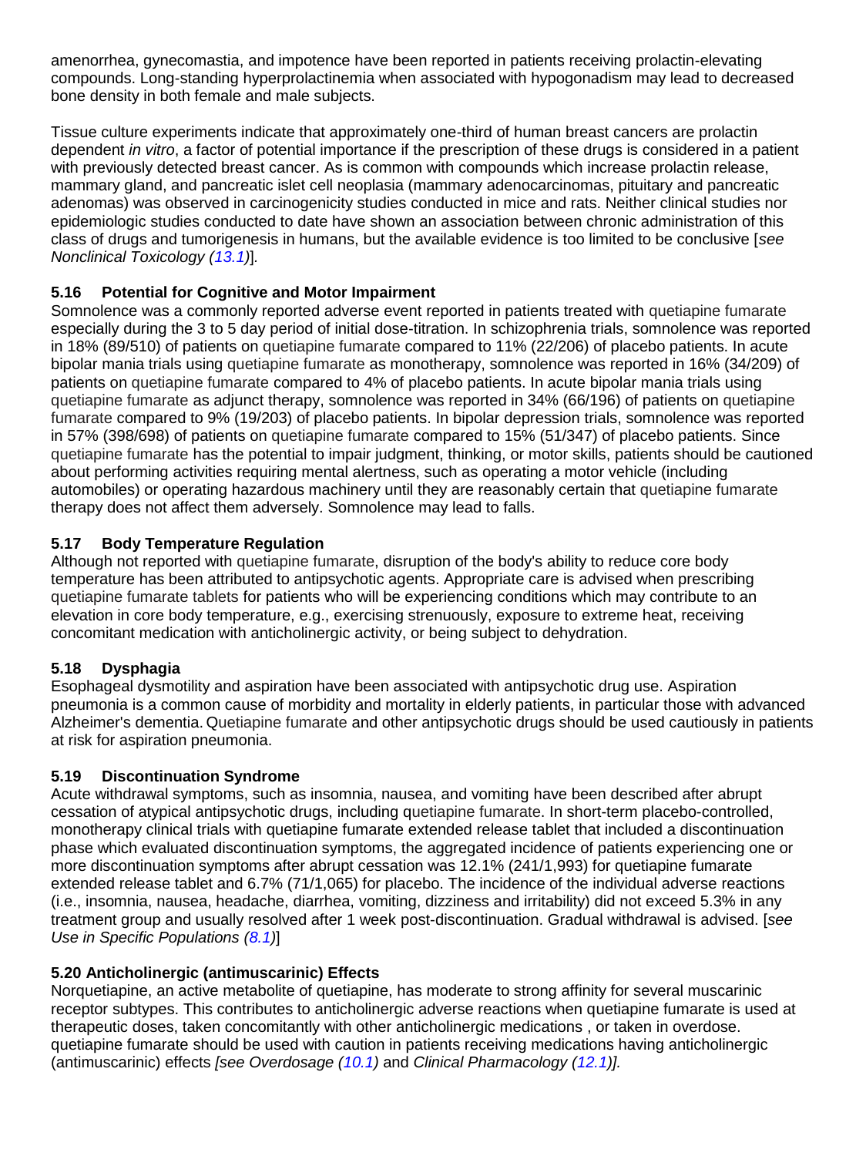amenorrhea, gynecomastia, and impotence have been reported in patients receiving prolactin-elevating compounds. Long-standing hyperprolactinemia when associated with hypogonadism may lead to decreased bone density in both female and male subjects.

Tissue culture experiments indicate that approximately one-third of human breast cancers are prolactin dependent *in vitro*, a factor of potential importance if the prescription of these drugs is considered in a patient with previously detected breast cancer. As is common with compounds which increase prolactin release, mammary gland, and pancreatic islet cell neoplasia (mammary adenocarcinomas, pituitary and pancreatic adenomas) was observed in carcinogenicity studies conducted in mice and rats. Neither clinical studies nor epidemiologic studies conducted to date have shown an association between chronic administration of this class of drugs and tumorigenesis in humans, but the available evidence is too limited to be conclusive [*see Nonclinical Toxicology [\(13.1\)](#page-31-1)*]*.*

# <span id="page-14-1"></span>**5.16 Potential for Cognitive and Motor Impairment**

Somnolence was a commonly reported adverse event reported in patients treated with quetiapine fumarate especially during the 3 to 5 day period of initial dose-titration. In schizophrenia trials, somnolence was reported in 18% (89/510) of patients on quetiapine fumarate compared to 11% (22/206) of placebo patients. In acute bipolar mania trials using quetiapine fumarate as monotherapy, somnolence was reported in 16% (34/209) of patients on quetiapine fumarate compared to 4% of placebo patients. In acute bipolar mania trials using quetiapine fumarate as adjunct therapy, somnolence was reported in 34% (66/196) of patients on quetiapine fumarate compared to 9% (19/203) of placebo patients. In bipolar depression trials, somnolence was reported in 57% (398/698) of patients on quetiapine fumarate compared to 15% (51/347) of placebo patients. Since quetiapine fumarate has the potential to impair judgment, thinking, or motor skills, patients should be cautioned about performing activities requiring mental alertness, such as operating a motor vehicle (including automobiles) or operating hazardous machinery until they are reasonably certain that quetiapine fumarate therapy does not affect them adversely. Somnolence may lead to falls.

## <span id="page-14-2"></span>**5.17 Body Temperature Regulation**

Although not reported with quetiapine fumarate, disruption of the body's ability to reduce core body temperature has been attributed to antipsychotic agents. Appropriate care is advised when prescribing quetiapine fumarate tablets for patients who will be experiencing conditions which may contribute to an elevation in core body temperature, e.g., exercising strenuously, exposure to extreme heat, receiving concomitant medication with anticholinergic activity, or being subject to dehydration.

## <span id="page-14-3"></span>**5.18 Dysphagia**

Esophageal dysmotility and aspiration have been associated with antipsychotic drug use. Aspiration pneumonia is a common cause of morbidity and mortality in elderly patients, in particular those with advanced Alzheimer's dementia. Quetiapine fumarate and other antipsychotic drugs should be used cautiously in patients at risk for aspiration pneumonia.

## <span id="page-14-4"></span>**5.19 Discontinuation Syndrome**

Acute withdrawal symptoms, such as insomnia, nausea, and vomiting have been described after abrupt cessation of atypical antipsychotic drugs, including quetiapine fumarate. In short-term placebo-controlled, monotherapy clinical trials with quetiapine fumarate extended release tablet that included a discontinuation phase which evaluated discontinuation symptoms, the aggregated incidence of patients experiencing one or more discontinuation symptoms after abrupt cessation was 12.1% (241/1,993) for quetiapine fumarate extended release tablet and 6.7% (71/1,065) for placebo. The incidence of the individual adverse reactions (i.e., insomnia, nausea, headache, diarrhea, vomiting, dizziness and irritability) did not exceed 5.3% in any treatment group and usually resolved after 1 week post-discontinuation. Gradual withdrawal is advised. [*see Use in Specific Populations [\(8.1\)](#page-25-0)*]

## <span id="page-14-0"></span>**5.20 Anticholinergic (antimuscarinic) Effects**

Norquetiapine, an active metabolite of quetiapine, has moderate to strong affinity for several muscarinic receptor subtypes. This contributes to anticholinergic adverse reactions when quetiapine fumarate is used at therapeutic doses, taken concomitantly with other anticholinergic medications , or taken in overdose. quetiapine fumarate should be used with caution in patients receiving medications having anticholinergic (antimuscarinic) effects *[see Overdosage [\(10.1\)](#page-27-7)* and *Clinical Pharmacology [\(12.1\)](#page-28-2)].*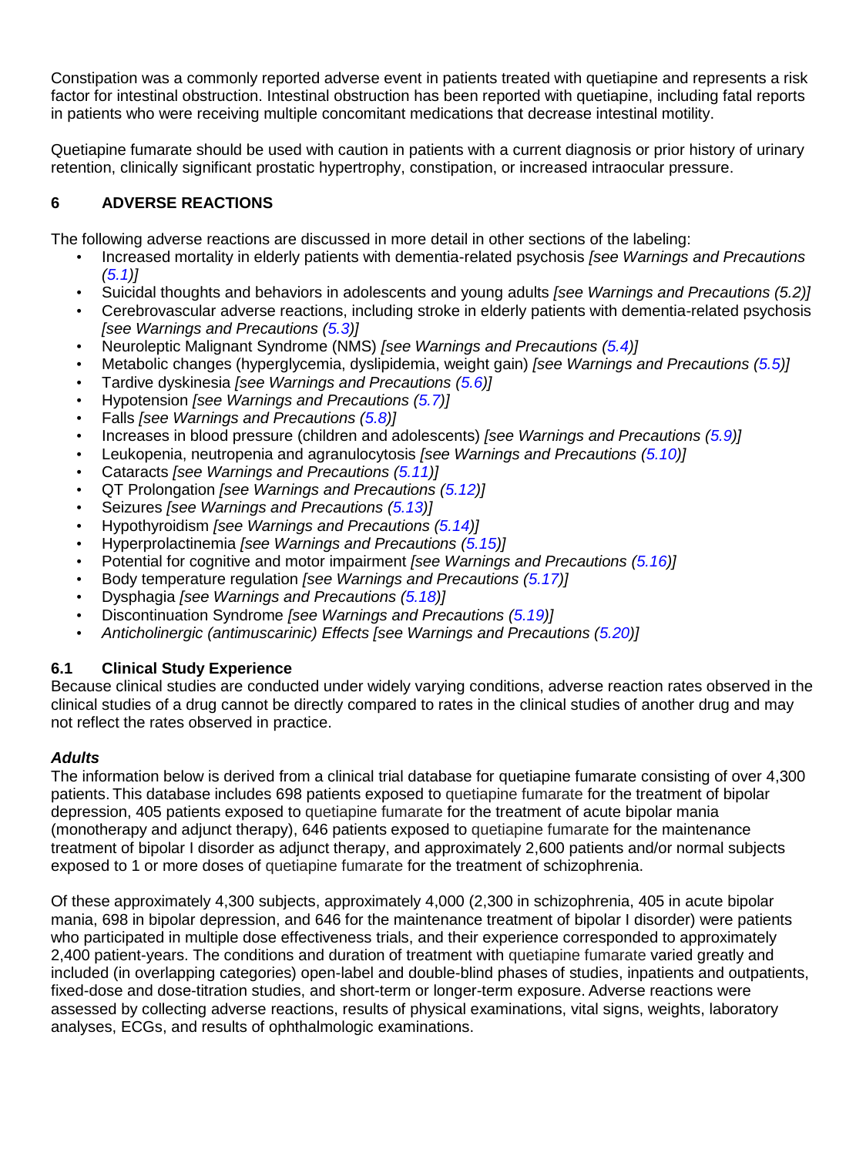Constipation was a commonly reported adverse event in patients treated with quetiapine and represents a risk factor for intestinal obstruction. Intestinal obstruction has been reported with quetiapine, including fatal reports in patients who were receiving multiple concomitant medications that decrease intestinal motility.

Quetiapine fumarate should be used with caution in patients with a current diagnosis or prior history of urinary retention, clinically significant prostatic hypertrophy, constipation, or increased intraocular pressure.

# <span id="page-15-1"></span>**6 ADVERSE REACTIONS**

The following adverse reactions are discussed in more detail in other sections of the labeling:

- Increased mortality in elderly patients with dementia-related psychosis *[see Warnings and Precautions [\(5.1\)](#page-5-1)]*
- Suicidal thoughts and behaviors in adolescents and young adults *[see Warnings and Precautions (5.2)]*
- Cerebrovascular adverse reactions, including stroke in elderly patients with dementia-related psychosis *[see Warnings and Precautions [\(5.3\)](#page-6-0)]*
- Neuroleptic Malignant Syndrome (NMS) *[see Warnings and Precautions [\(5.4\)](#page-7-0)]*
- Metabolic changes (hyperglycemia, dyslipidemia, weight gain) *[see Warnings and Precautions [\(5.5\)](#page-7-1)]*
- Tardive dyskinesia *[see Warnings and Precautions [\(5.6\)](#page-10-0)]*
- Hypotension *[see Warnings and Precautions [\(5.7\)](#page-11-1)]*
- Falls *[see Warnings and Precautions [\(5.8\)](#page-11-3)]*
- Increases in blood pressure (children and adolescents) *[see Warnings and Precautions [\(5.9\)](#page-11-2)]*
- Leukopenia, neutropenia and agranulocytosis *[see Warnings and Precautions [\(5.10\)](#page-11-0)]*
- Cataracts *[see Warnings and Precautions [\(5.11\)](#page-12-0)]*
- QT Prolongation *[see Warnings and Precautions [\(5.12\)](#page-12-1)]*
- Seizures *[see Warnings and Precautions [\(5.13\)](#page-12-2)]*
- Hypothyroidism *[see Warnings and Precautions [\(5.14\)](#page-12-3)]*
- Hyperprolactinemia *[see Warnings and Precautions [\(5.15\)](#page-13-0)]*
- Potential for cognitive and motor impairment *[see Warnings and Precautions [\(5.16\)](#page-14-1)]*
- Body temperature regulation *[see Warnings and Precautions [\(5.17\)](#page-14-2)]*
- Dysphagia *[see Warnings and Precautions [\(5.18\)](#page-14-3)]*
- Discontinuation Syndrome *[see Warnings and Precautions [\(5.19\)](#page-14-4)]*
- *Anticholinergic (antimuscarinic) Effects [see Warnings and Precautions [\(5.20\)](#page-14-0)]*

## <span id="page-15-0"></span>**6.1 Clinical Study Experience**

Because clinical studies are conducted under widely varying conditions, adverse reaction rates observed in the clinical studies of a drug cannot be directly compared to rates in the clinical studies of another drug and may not reflect the rates observed in practice.

## *Adults*

The information below is derived from a clinical trial database for quetiapine fumarate consisting of over 4,300 patients. This database includes 698 patients exposed to quetiapine fumarate for the treatment of bipolar depression, 405 patients exposed to quetiapine fumarate for the treatment of acute bipolar mania (monotherapy and adjunct therapy), 646 patients exposed to quetiapine fumarate for the maintenance treatment of bipolar I disorder as adjunct therapy, and approximately 2,600 patients and/or normal subjects exposed to 1 or more doses of quetiapine fumarate for the treatment of schizophrenia.

Of these approximately 4,300 subjects, approximately 4,000 (2,300 in schizophrenia, 405 in acute bipolar mania, 698 in bipolar depression, and 646 for the maintenance treatment of bipolar I disorder) were patients who participated in multiple dose effectiveness trials, and their experience corresponded to approximately 2,400 patient-years. The conditions and duration of treatment with quetiapine fumarate varied greatly and included (in overlapping categories) open-label and double-blind phases of studies, inpatients and outpatients, fixed-dose and dose-titration studies, and short-term or longer-term exposure. Adverse reactions were assessed by collecting adverse reactions, results of physical examinations, vital signs, weights, laboratory analyses, ECGs, and results of ophthalmologic examinations.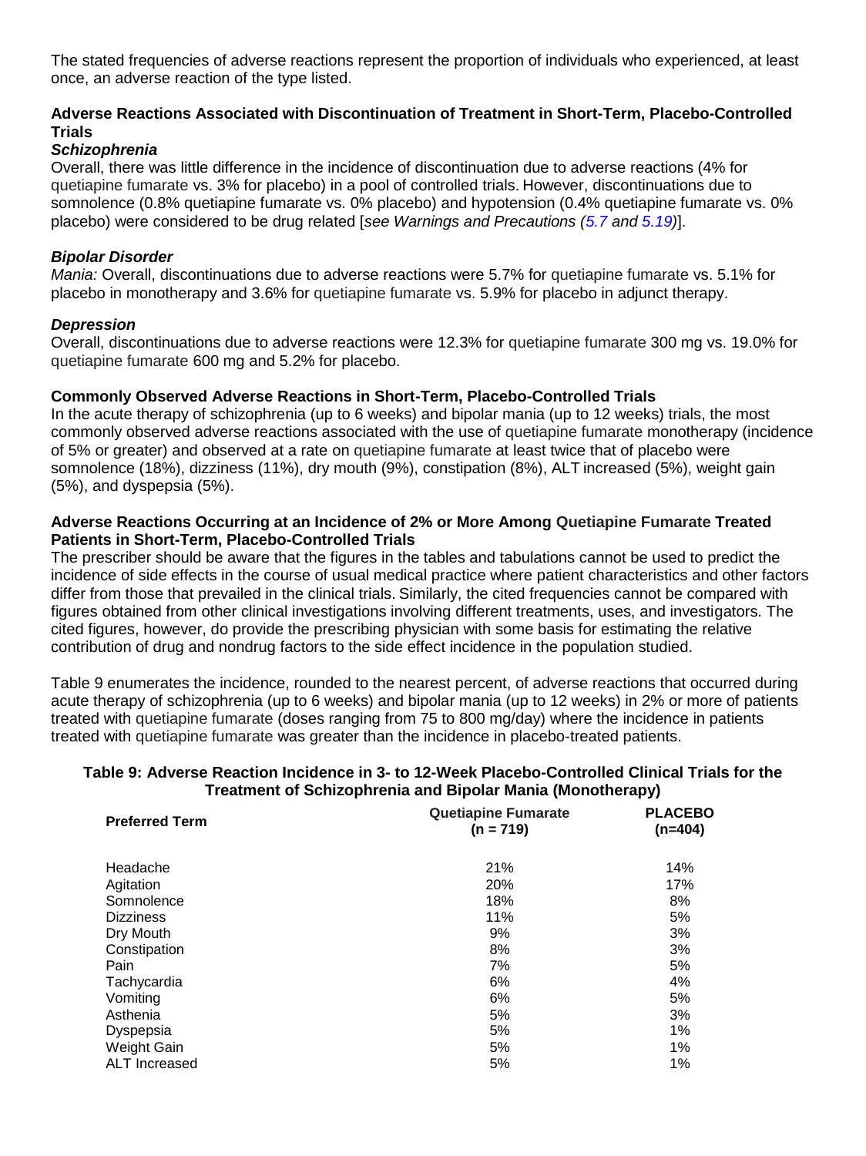The stated frequencies of adverse reactions represent the proportion of individuals who experienced, at least once, an adverse reaction of the type listed.

## **Adverse Reactions Associated with Discontinuation of Treatment in Short-Term, Placebo-Controlled Trials**

#### *Schizophrenia*

Overall, there was little difference in the incidence of discontinuation due to adverse reactions (4% for quetiapine fumarate vs. 3% for placebo) in a pool of controlled trials. However, discontinuations due to somnolence (0.8% quetiapine fumarate vs. 0% placebo) and hypotension (0.4% quetiapine fumarate vs. 0% placebo) were considered to be drug related [*see Warnings and Precautions [\(5.7](#page-11-1) and [5.19\)](#page-14-4)*].

#### *Bipolar Disorder*

*Mania:* Overall, discontinuations due to adverse reactions were 5.7% for quetiapine fumarate vs. 5.1% for placebo in monotherapy and 3.6% for quetiapine fumarate vs. 5.9% for placebo in adjunct therapy.

#### *Depression*

Overall, discontinuations due to adverse reactions were 12.3% for quetiapine fumarate 300 mg vs. 19.0% for quetiapine fumarate 600 mg and 5.2% for placebo.

## **Commonly Observed Adverse Reactions in Short-Term, Placebo-Controlled Trials**

In the acute therapy of schizophrenia (up to 6 weeks) and bipolar mania (up to 12 weeks) trials, the most commonly observed adverse reactions associated with the use of quetiapine fumarate monotherapy (incidence of 5% or greater) and observed at a rate on quetiapine fumarate at least twice that of placebo were somnolence (18%), dizziness (11%), dry mouth (9%), constipation (8%), ALT increased (5%), weight gain (5%), and dyspepsia (5%).

#### **Adverse Reactions Occurring at an Incidence of 2% or More Among Quetiapine Fumarate Treated Patients in Short-Term, Placebo-Controlled Trials**

The prescriber should be aware that the figures in the tables and tabulations cannot be used to predict the incidence of side effects in the course of usual medical practice where patient characteristics and other factors differ from those that prevailed in the clinical trials. Similarly, the cited frequencies cannot be compared with figures obtained from other clinical investigations involving different treatments, uses, and investigators. The cited figures, however, do provide the prescribing physician with some basis for estimating the relative contribution of drug and nondrug factors to the side effect incidence in the population studied.

Table 9 enumerates the incidence, rounded to the nearest percent, of adverse reactions that occurred during acute therapy of schizophrenia (up to 6 weeks) and bipolar mania (up to 12 weeks) in 2% or more of patients treated with quetiapine fumarate (doses ranging from 75 to 800 mg/day) where the incidence in patients treated with quetiapine fumarate was greater than the incidence in placebo-treated patients.

#### **Table 9: Adverse Reaction Incidence in 3- to 12-Week Placebo-Controlled Clinical Trials for the Treatment of Schizophrenia and Bipolar Mania (Monotherapy)**

| <b>Preferred Term</b> | <b>Quetiapine Fumarate</b><br>$(n = 719)$ | <b>PLACEBO</b><br>$(n=404)$ |  |
|-----------------------|-------------------------------------------|-----------------------------|--|
| Headache              | 21%                                       | 14%                         |  |
| Agitation             | 20%                                       | 17%                         |  |
| Somnolence            | 18%                                       | 8%                          |  |
| <b>Dizziness</b>      | 11%                                       | 5%                          |  |
| Dry Mouth             | 9%                                        | 3%                          |  |
| Constipation          | 8%                                        | 3%                          |  |
| Pain                  | 7%                                        | 5%                          |  |
| Tachycardia           | 6%                                        | 4%                          |  |
| Vomiting              | 6%                                        | 5%                          |  |
| Asthenia              | 5%                                        | 3%                          |  |
| Dyspepsia             | 5%                                        | 1%                          |  |
| Weight Gain           | 5%                                        | 1%                          |  |
| <b>ALT</b> Increased  | 5%                                        | 1%                          |  |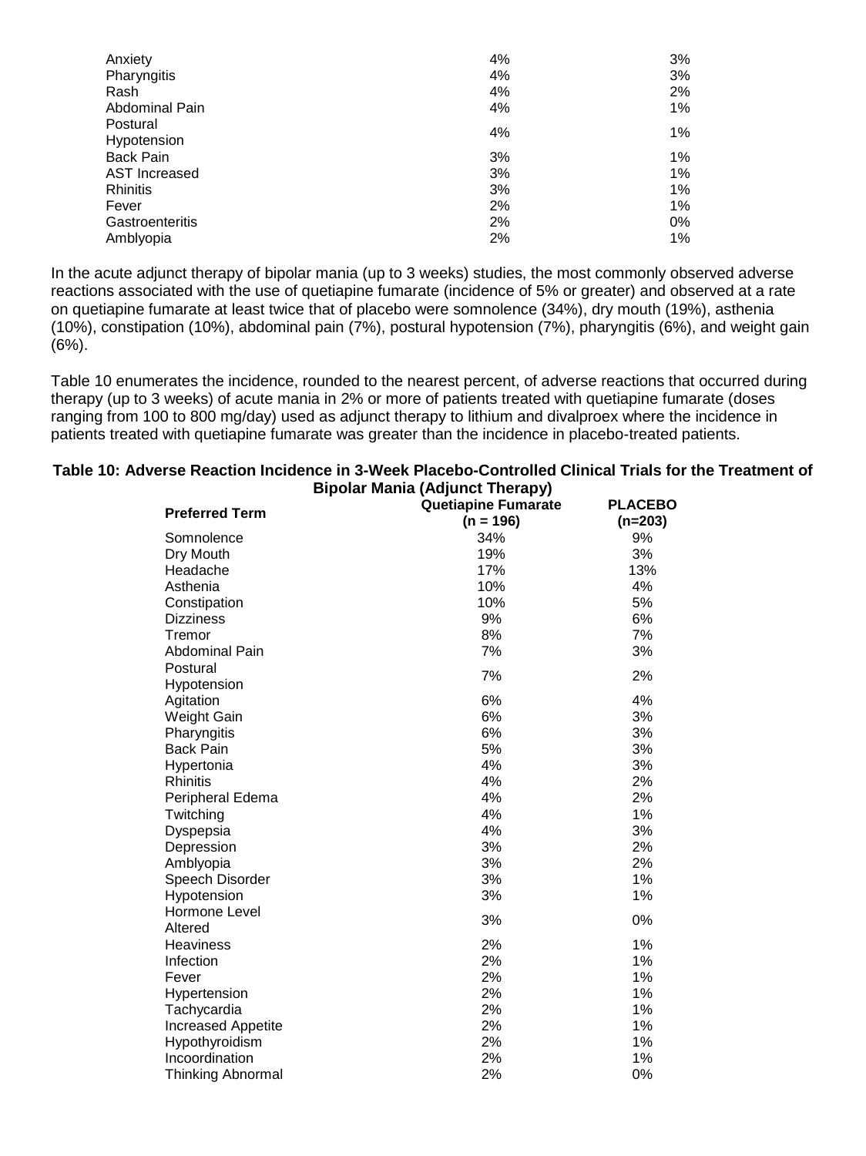| 4% | 3%    |
|----|-------|
| 4% | 3%    |
| 4% | 2%    |
| 4% | $1\%$ |
| 4% | $1\%$ |
| 3% | $1\%$ |
| 3% | 1%    |
| 3% | $1\%$ |
| 2% | 1%    |
| 2% | 0%    |
| 2% | $1\%$ |
|    |       |

In the acute adjunct therapy of bipolar mania (up to 3 weeks) studies, the most commonly observed adverse reactions associated with the use of quetiapine fumarate (incidence of 5% or greater) and observed at a rate on quetiapine fumarate at least twice that of placebo were somnolence (34%), dry mouth (19%), asthenia (10%), constipation (10%), abdominal pain (7%), postural hypotension (7%), pharyngitis (6%), and weight gain (6%).

Table 10 enumerates the incidence, rounded to the nearest percent, of adverse reactions that occurred during therapy (up to 3 weeks) of acute mania in 2% or more of patients treated with quetiapine fumarate (doses ranging from 100 to 800 mg/day) used as adjunct therapy to lithium and divalproex where the incidence in patients treated with quetiapine fumarate was greater than the incidence in placebo-treated patients.

| <b>Preferred Term</b>     | <b>Quetiapine Fumarate</b><br>$(n = 196)$ | <b>PLACEBO</b><br>$(n=203)$ |
|---------------------------|-------------------------------------------|-----------------------------|
| Somnolence                | 34%                                       | 9%                          |
| Dry Mouth                 | 19%                                       | 3%                          |
| Headache                  | 17%                                       | 13%                         |
| Asthenia                  | 10%                                       | 4%                          |
| Constipation              | 10%                                       | 5%                          |
| <b>Dizziness</b>          | 9%                                        | 6%                          |
| Tremor                    | 8%                                        | 7%                          |
| <b>Abdominal Pain</b>     | 7%                                        | 3%                          |
| Postural                  |                                           |                             |
| Hypotension               | 7%                                        | 2%                          |
| Agitation                 | 6%                                        | 4%                          |
| Weight Gain               | 6%                                        | 3%                          |
| Pharyngitis               | 6%                                        | 3%                          |
| <b>Back Pain</b>          | 5%                                        | 3%                          |
| Hypertonia                | 4%                                        | 3%                          |
| <b>Rhinitis</b>           | 4%                                        | 2%                          |
| Peripheral Edema          | 4%                                        | 2%                          |
| Twitching                 | 4%                                        | 1%                          |
| Dyspepsia                 | 4%                                        | 3%                          |
| Depression                | 3%                                        | 2%                          |
| Amblyopia                 | 3%                                        | 2%                          |
| Speech Disorder           | 3%                                        | 1%                          |
| Hypotension               | 3%                                        | 1%                          |
| Hormone Level             |                                           |                             |
| Altered                   | 3%                                        | 0%                          |
| <b>Heaviness</b>          | 2%                                        | 1%                          |
| Infection                 | 2%                                        | 1%                          |
| Fever                     | 2%                                        | 1%                          |
| Hypertension              | 2%                                        | 1%                          |
| Tachycardia               | 2%                                        | 1%                          |
| <b>Increased Appetite</b> | 2%                                        | 1%                          |
| Hypothyroidism            | 2%                                        | 1%                          |
| Incoordination            | 2%                                        | 1%                          |
| <b>Thinking Abnormal</b>  | 2%                                        | 0%                          |

| Table 10: Adverse Reaction Incidence in 3-Week Placebo-Controlled Clinical Trials for the Treatment of |
|--------------------------------------------------------------------------------------------------------|
| <b>Bipolar Mania (Adjunct Therapy)</b>                                                                 |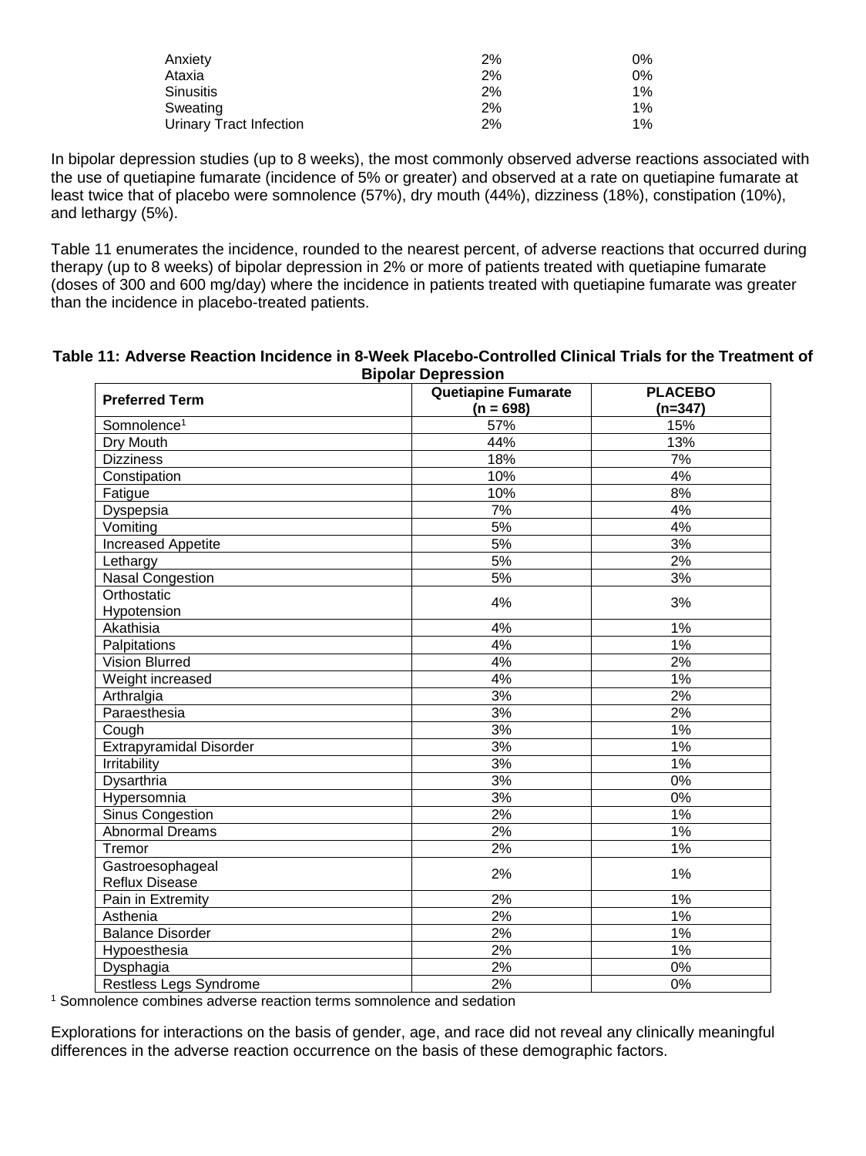| Anxiety                        | 2% | $0\%$ |
|--------------------------------|----|-------|
| Ataxia                         | 2% | $0\%$ |
| Sinusitis                      | 2% | $1\%$ |
| Sweating                       | 2% | $1\%$ |
| <b>Urinary Tract Infection</b> | 2% | $1\%$ |

In bipolar depression studies (up to 8 weeks), the most commonly observed adverse reactions associated with the use of quetiapine fumarate (incidence of 5% or greater) and observed at a rate on quetiapine fumarate at least twice that of placebo were somnolence (57%), dry mouth (44%), dizziness (18%), constipation (10%), and lethargy (5%).

Table 11 enumerates the incidence, rounded to the nearest percent, of adverse reactions that occurred during therapy (up to 8 weeks) of bipolar depression in 2% or more of patients treated with quetiapine fumarate (doses of 300 and 600 mg/day) where the incidence in patients treated with quetiapine fumarate was greater than the incidence in placebo-treated patients.

| <b>Preferred Term</b>                     | <b>Quetiapine Fumarate</b> | <b>PLACEBO</b>   |  |  |
|-------------------------------------------|----------------------------|------------------|--|--|
|                                           | $(n = 698)$<br>57%         | $(n=347)$<br>15% |  |  |
| Somnolence <sup>1</sup>                   |                            |                  |  |  |
| Dry Mouth                                 | 44%                        | 13%              |  |  |
| <b>Dizziness</b>                          | 18%                        | 7%               |  |  |
| Constipation                              | 10%                        | 4%               |  |  |
| Fatigue                                   | 10%                        | 8%               |  |  |
| Dyspepsia                                 | 7%                         | 4%               |  |  |
| Vomiting                                  | 5%                         | 4%               |  |  |
| <b>Increased Appetite</b>                 | 5%                         | 3%               |  |  |
| Lethargy                                  | 5%                         | 2%               |  |  |
| <b>Nasal Congestion</b>                   | 5%                         | 3%               |  |  |
| Orthostatic<br>Hypotension                | 4%                         | 3%               |  |  |
| Akathisia                                 | 4%                         | $1\%$            |  |  |
| Palpitations                              | 4%                         | 1%               |  |  |
| <b>Vision Blurred</b>                     | 4%                         | 2%               |  |  |
| Weight increased                          | 4%                         | 1%               |  |  |
| Arthralgia                                | 3%                         | 2%               |  |  |
| Paraesthesia                              | 3%                         | 2%               |  |  |
| Cough                                     | 3%                         | $1\%$            |  |  |
| Extrapyramidal Disorder                   | 3%                         | $1\%$            |  |  |
| Irritability                              | 3%                         | $1\%$            |  |  |
| <b>Dysarthria</b>                         | 3%                         | $0\%$            |  |  |
| Hypersomnia                               | 3%                         | $0\%$            |  |  |
| <b>Sinus Congestion</b>                   | 2%                         | $1\%$            |  |  |
| <b>Abnormal Dreams</b>                    | 2%                         | 1%               |  |  |
| Tremor                                    | 2%                         | 1%               |  |  |
| Gastroesophageal<br><b>Reflux Disease</b> | 2%                         | 1%               |  |  |
| Pain in Extremity                         | 2%                         | $1\%$            |  |  |
| Asthenia                                  | 2%                         | $1\%$            |  |  |
| <b>Balance Disorder</b>                   | 2%                         | $1\%$            |  |  |
| Hypoesthesia                              | $2\%$                      | $1\%$            |  |  |
| Dysphagia                                 | 2%                         | $0\%$            |  |  |
| Restless Legs Syndrome                    | 2%                         | 0%               |  |  |

| Table 11: Adverse Reaction Incidence in 8-Week Placebo-Controlled Clinical Trials for the Treatment of |
|--------------------------------------------------------------------------------------------------------|
| <b>Bipolar Depression</b>                                                                              |

<sup>1</sup> Somnolence combines adverse reaction terms somnolence and sedation

Explorations for interactions on the basis of gender, age, and race did not reveal any clinically meaningful differences in the adverse reaction occurrence on the basis of these demographic factors.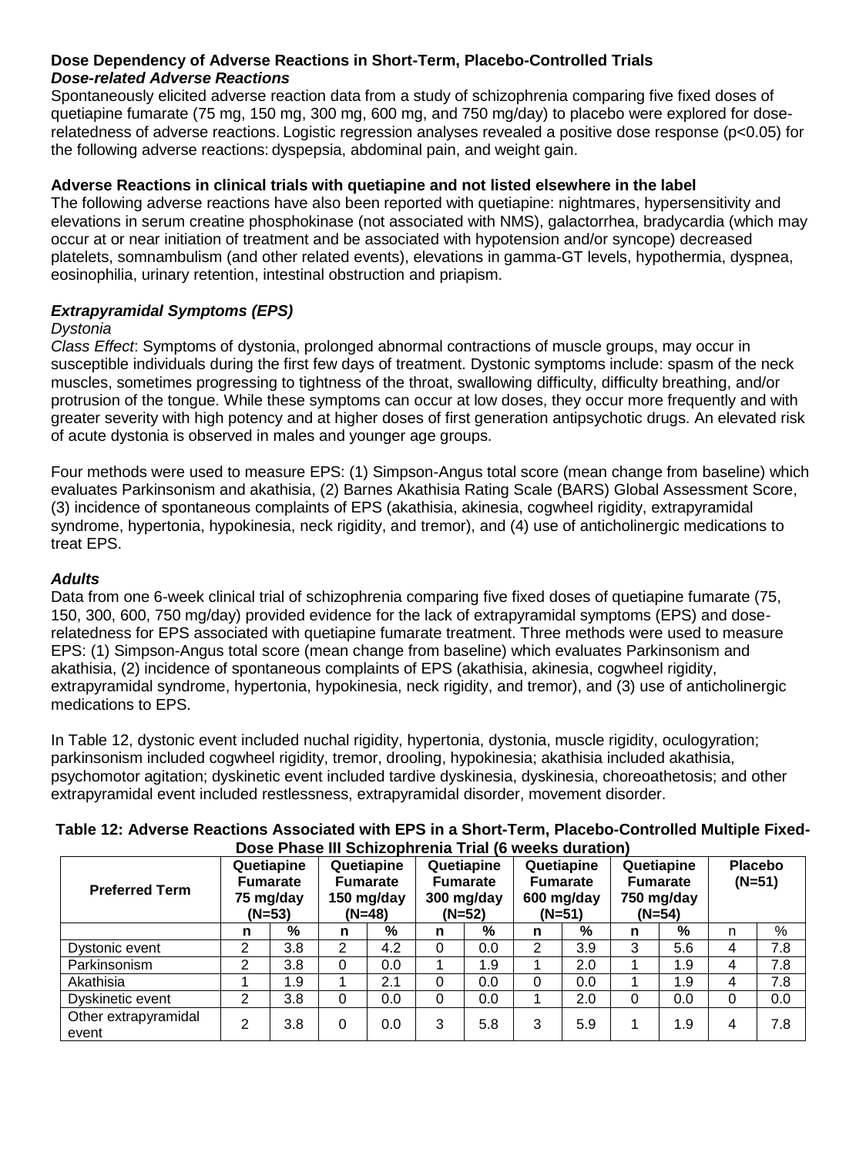#### **Dose Dependency of Adverse Reactions in Short-Term, Placebo-Controlled Trials**  *Dose-related Adverse Reactions*

Spontaneously elicited adverse reaction data from a study of schizophrenia comparing five fixed doses of quetiapine fumarate (75 mg, 150 mg, 300 mg, 600 mg, and 750 mg/day) to placebo were explored for doserelatedness of adverse reactions. Logistic regression analyses revealed a positive dose response (p<0.05) for the following adverse reactions: dyspepsia, abdominal pain, and weight gain.

#### **Adverse Reactions in clinical trials with quetiapine and not listed elsewhere in the label**

The following adverse reactions have also been reported with quetiapine: nightmares, hypersensitivity and elevations in serum creatine phosphokinase (not associated with NMS), galactorrhea, bradycardia (which may occur at or near initiation of treatment and be associated with hypotension and/or syncope) decreased platelets, somnambulism (and other related events), elevations in gamma-GT levels, hypothermia, dyspnea, eosinophilia, urinary retention, intestinal obstruction and priapism.

## *Extrapyramidal Symptoms (EPS)*

#### *Dystonia*

*Class Effect*: Symptoms of dystonia, prolonged abnormal contractions of muscle groups, may occur in susceptible individuals during the first few days of treatment. Dystonic symptoms include: spasm of the neck muscles, sometimes progressing to tightness of the throat, swallowing difficulty, difficulty breathing, and/or protrusion of the tongue. While these symptoms can occur at low doses, they occur more frequently and with greater severity with high potency and at higher doses of first generation antipsychotic drugs. An elevated risk of acute dystonia is observed in males and younger age groups.

Four methods were used to measure EPS: (1) Simpson-Angus total score (mean change from baseline) which evaluates Parkinsonism and akathisia, (2) Barnes Akathisia Rating Scale (BARS) Global Assessment Score, (3) incidence of spontaneous complaints of EPS (akathisia, akinesia, cogwheel rigidity, extrapyramidal syndrome, hypertonia, hypokinesia, neck rigidity, and tremor), and (4) use of anticholinergic medications to treat EPS.

#### *Adults*

Data from one 6-week clinical trial of schizophrenia comparing five fixed doses of quetiapine fumarate (75, 150, 300, 600, 750 mg/day) provided evidence for the lack of extrapyramidal symptoms (EPS) and doserelatedness for EPS associated with quetiapine fumarate treatment. Three methods were used to measure EPS: (1) Simpson-Angus total score (mean change from baseline) which evaluates Parkinsonism and akathisia, (2) incidence of spontaneous complaints of EPS (akathisia, akinesia, cogwheel rigidity, extrapyramidal syndrome, hypertonia, hypokinesia, neck rigidity, and tremor), and (3) use of anticholinergic medications to EPS.

In Table 12, dystonic event included nuchal rigidity, hypertonia, dystonia, muscle rigidity, oculogyration; parkinsonism included cogwheel rigidity, tremor, drooling, hypokinesia; akathisia included akathisia, psychomotor agitation; dyskinetic event included tardive dyskinesia, dyskinesia, choreoathetosis; and other extrapyramidal event included restlessness, extrapyramidal disorder, movement disorder.

| Dose Phase III Schizophrenia Trial (6 weeks duration) |   |                                                      |          |                                                         |   |                                                       |        |                                             |          |                                                         |   |                            |
|-------------------------------------------------------|---|------------------------------------------------------|----------|---------------------------------------------------------|---|-------------------------------------------------------|--------|---------------------------------------------|----------|---------------------------------------------------------|---|----------------------------|
| <b>Preferred Term</b>                                 |   | Quetiapine<br><b>Fumarate</b><br>75 mg/day<br>(N=53) |          | Quetiapine<br><b>Fumarate</b><br>150 mg/day<br>$(N=48)$ |   | Quetiapine<br><b>Fumarate</b><br>300 mg/day<br>(N=52) | (N=51) | Quetiapine<br><b>Fumarate</b><br>600 mg/day |          | Quetiapine<br><b>Fumarate</b><br>750 mg/day<br>$(N=54)$ |   | <b>Placebo</b><br>$(N=51)$ |
|                                                       | n | %                                                    | n        | %                                                       | n | %                                                     | n      | %                                           | n        | %                                                       | n | %                          |
| Dystonic event                                        | 2 | 3.8                                                  | 2        | 4.2                                                     | 0 | 0.0                                                   | 2      | 3.9                                         | 3        | 5.6                                                     | 4 | 7.8                        |
| Parkinsonism                                          | 2 | 3.8                                                  | $\Omega$ | 0.0                                                     |   | 1.9                                                   |        | 2.0                                         |          | 1.9                                                     | 4 | 7.8                        |
| Akathisia                                             |   | 1.9                                                  |          | 2.1                                                     | 0 | 0.0                                                   | 0      | 0.0                                         |          | 1.9                                                     | 4 | 7.8                        |
| Dyskinetic event                                      | 2 | 3.8                                                  | $\Omega$ | 0.0                                                     | 0 | 0.0                                                   |        | 2.0                                         | $\Omega$ | 0.0                                                     | 0 | 0.0                        |
| Other extrapyramidal<br>event                         | 2 | 3.8                                                  | 0        | 0.0                                                     | 3 | 5.8                                                   | 3      | 5.9                                         |          | 1.9                                                     | 4 | 7.8                        |

#### **Table 12: Adverse Reactions Associated with EPS in a Short-Term, Placebo-Controlled Multiple Fixed-Dose Phase III Schizophrenia Trial (6 weeks duration)**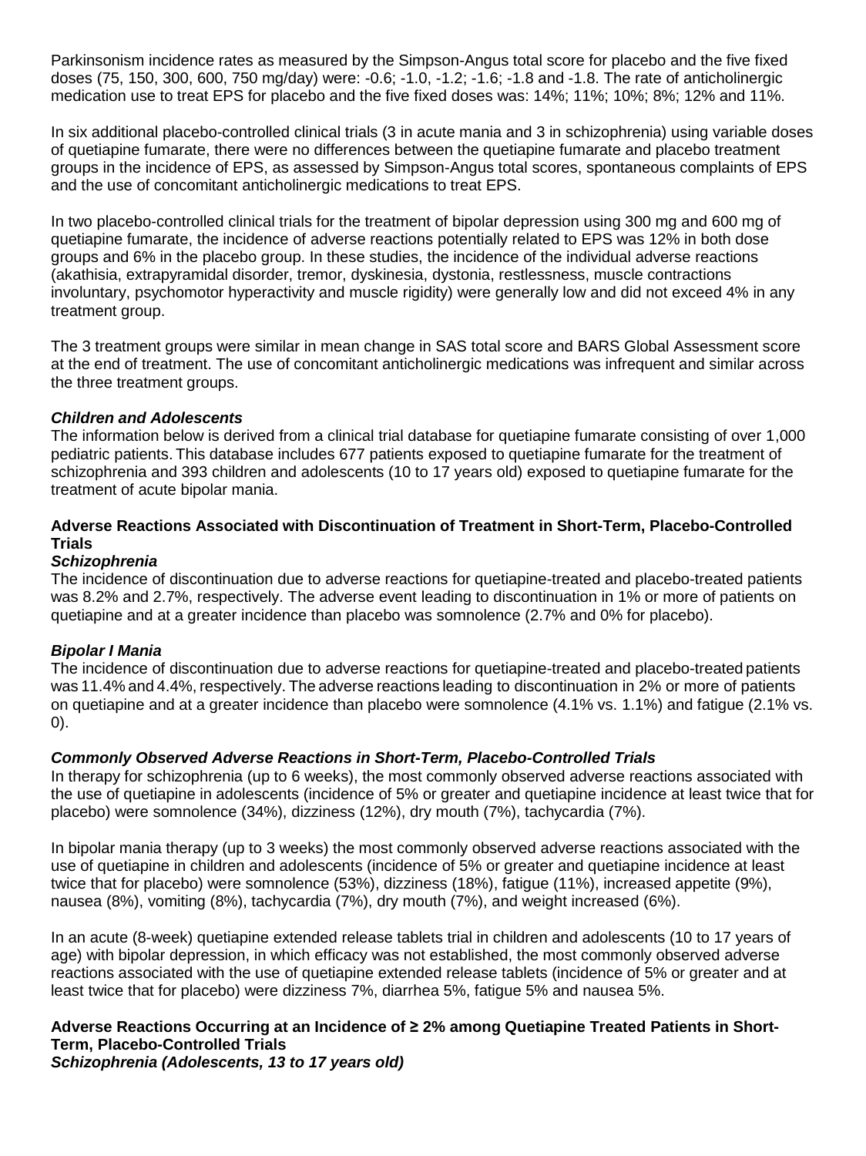Parkinsonism incidence rates as measured by the Simpson-Angus total score for placebo and the five fixed doses (75, 150, 300, 600, 750 mg/day) were: -0.6; -1.0, -1.2; -1.6; -1.8 and -1.8. The rate of anticholinergic medication use to treat EPS for placebo and the five fixed doses was: 14%; 11%; 10%; 8%; 12% and 11%.

In six additional placebo-controlled clinical trials (3 in acute mania and 3 in schizophrenia) using variable doses of quetiapine fumarate, there were no differences between the quetiapine fumarate and placebo treatment groups in the incidence of EPS, as assessed by Simpson-Angus total scores, spontaneous complaints of EPS and the use of concomitant anticholinergic medications to treat EPS.

In two placebo-controlled clinical trials for the treatment of bipolar depression using 300 mg and 600 mg of quetiapine fumarate, the incidence of adverse reactions potentially related to EPS was 12% in both dose groups and 6% in the placebo group. In these studies, the incidence of the individual adverse reactions (akathisia, extrapyramidal disorder, tremor, dyskinesia, dystonia, restlessness, muscle contractions involuntary, psychomotor hyperactivity and muscle rigidity) were generally low and did not exceed 4% in any treatment group.

The 3 treatment groups were similar in mean change in SAS total score and BARS Global Assessment score at the end of treatment. The use of concomitant anticholinergic medications was infrequent and similar across the three treatment groups.

#### *Children and Adolescents*

The information below is derived from a clinical trial database for quetiapine fumarate consisting of over 1,000 pediatric patients. This database includes 677 patients exposed to quetiapine fumarate for the treatment of schizophrenia and 393 children and adolescents (10 to 17 years old) exposed to quetiapine fumarate for the treatment of acute bipolar mania.

## **Adverse Reactions Associated with Discontinuation of Treatment in Short-Term, Placebo-Controlled Trials**

#### *Schizophrenia*

The incidence of discontinuation due to adverse reactions for quetiapine-treated and placebo-treated patients was 8.2% and 2.7%, respectively. The adverse event leading to discontinuation in 1% or more of patients on quetiapine and at a greater incidence than placebo was somnolence (2.7% and 0% for placebo).

## *Bipolar I Mania*

The incidence of discontinuation due to adverse reactions for quetiapine-treated and placebo-treated patients was 11.4% and 4.4%, respectively. The adverse reactions leading to discontinuation in 2% or more of patients on quetiapine and at a greater incidence than placebo were somnolence (4.1% vs. 1.1%) and fatigue (2.1% vs. 0).

## *Commonly Observed Adverse Reactions in Short-Term, Placebo-Controlled Trials*

In therapy for schizophrenia (up to 6 weeks), the most commonly observed adverse reactions associated with the use of quetiapine in adolescents (incidence of 5% or greater and quetiapine incidence at least twice that for placebo) were somnolence (34%), dizziness (12%), dry mouth (7%), tachycardia (7%).

In bipolar mania therapy (up to 3 weeks) the most commonly observed adverse reactions associated with the use of quetiapine in children and adolescents (incidence of 5% or greater and quetiapine incidence at least twice that for placebo) were somnolence (53%), dizziness (18%), fatigue (11%), increased appetite (9%), nausea (8%), vomiting (8%), tachycardia (7%), dry mouth (7%), and weight increased (6%).

In an acute (8-week) quetiapine extended release tablets trial in children and adolescents (10 to 17 years of age) with bipolar depression, in which efficacy was not established, the most commonly observed adverse reactions associated with the use of quetiapine extended release tablets (incidence of 5% or greater and at least twice that for placebo) were dizziness 7%, diarrhea 5%, fatigue 5% and nausea 5%.

#### **Adverse Reactions Occurring at an Incidence of ≥ 2% among Quetiapine Treated Patients in Short-Term, Placebo-Controlled Trials** *Schizophrenia (Adolescents, 13 to 17 years old)*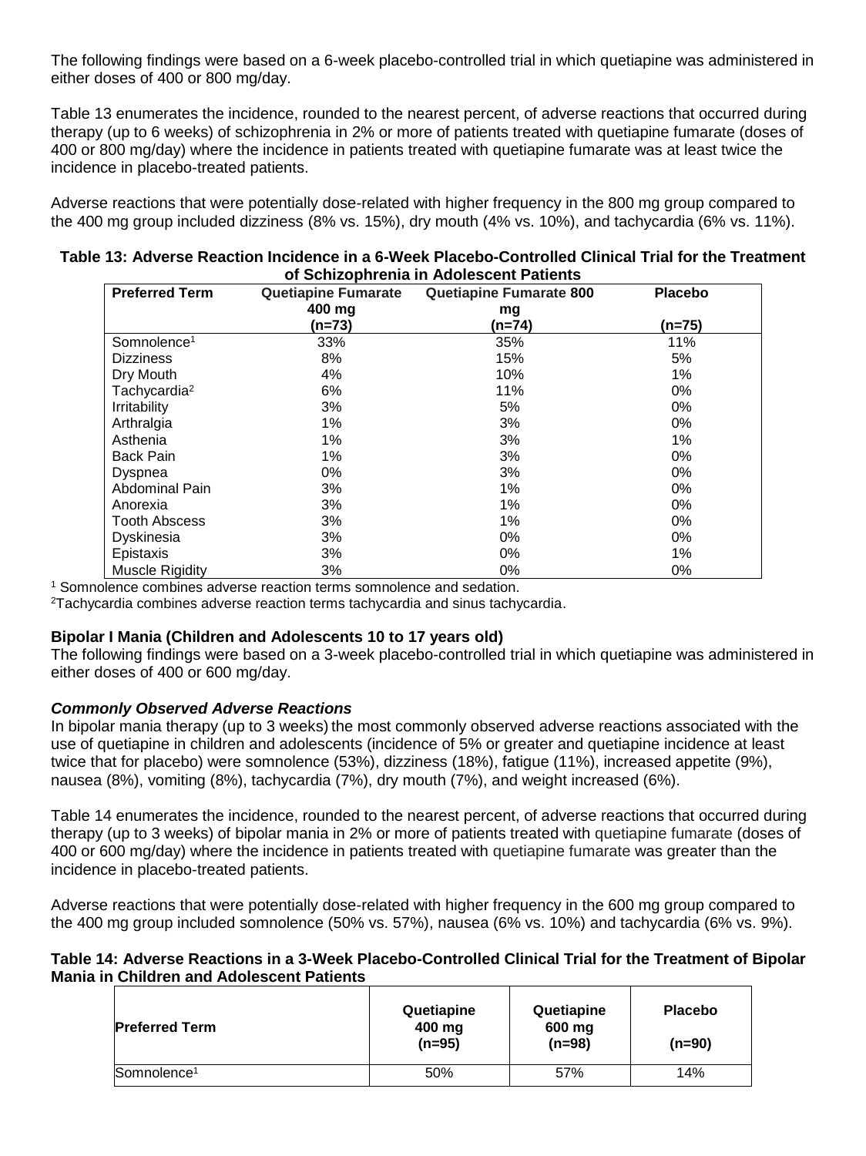The following findings were based on a 6-week placebo-controlled trial in which quetiapine was administered in either doses of 400 or 800 mg/day.

Table 13 enumerates the incidence, rounded to the nearest percent, of adverse reactions that occurred during therapy (up to 6 weeks) of schizophrenia in 2% or more of patients treated with quetiapine fumarate (doses of 400 or 800 mg/day) where the incidence in patients treated with quetiapine fumarate was at least twice the incidence in placebo-treated patients.

Adverse reactions that were potentially dose-related with higher frequency in the 800 mg group compared to the 400 mg group included dizziness (8% vs. 15%), dry mouth (4% vs. 10%), and tachycardia (6% vs. 11%).

| <b>Preferred Term</b>    | <b>Quetiapine Fumarate</b> | Quetiapine Fumarate 800 | <b>Placebo</b> |
|--------------------------|----------------------------|-------------------------|----------------|
|                          | 400 mg<br>(n=73)           | mg<br>(n=74)            | (n=75)         |
| Somnolence <sup>1</sup>  | 33%                        | 35%                     | 11%            |
| <b>Dizziness</b>         | 8%                         | 15%                     | 5%             |
| Dry Mouth                | 4%                         | 10%                     | 1%             |
| Tachycardia <sup>2</sup> | 6%                         | 11%                     | $0\%$          |
| <b>Irritability</b>      | 3%                         | 5%                      | $0\%$          |
| Arthralgia               | $1\%$                      | 3%                      | $0\%$          |
| Asthenia                 | $1\%$                      | 3%                      | 1%             |
| <b>Back Pain</b>         | $1\%$                      | 3%                      | $0\%$          |
| Dyspnea                  | $0\%$                      | 3%                      | 0%             |
| Abdominal Pain           | 3%                         | 1%                      | 0%             |
| Anorexia                 | 3%                         | 1%                      | $0\%$          |
| <b>Tooth Abscess</b>     | 3%                         | 1%                      | 0%             |
| Dyskinesia               | 3%                         | 0%                      | 0%             |
| Epistaxis                | 3%                         | 0%                      | 1%             |
| <b>Muscle Rigidity</b>   | 3%                         | 0%                      | 0%             |

| Table 13: Adverse Reaction Incidence in a 6-Week Placebo-Controlled Clinical Trial for the Treatment |
|------------------------------------------------------------------------------------------------------|
| of Schizophrenia in Adolescent Patients                                                              |

<sup>1</sup> Somnolence combines adverse reaction terms somnolence and sedation.

<sup>2</sup>Tachycardia combines adverse reaction terms tachycardia and sinus tachycardia.

## **Bipolar I Mania (Children and Adolescents 10 to 17 years old)**

The following findings were based on a 3-week placebo-controlled trial in which quetiapine was administered in either doses of 400 or 600 mg/day.

## *Commonly Observed Adverse Reactions*

In bipolar mania therapy (up to 3 weeks) the most commonly observed adverse reactions associated with the use of quetiapine in children and adolescents (incidence of 5% or greater and quetiapine incidence at least twice that for placebo) were somnolence (53%), dizziness (18%), fatigue (11%), increased appetite (9%), nausea (8%), vomiting (8%), tachycardia (7%), dry mouth (7%), and weight increased (6%).

Table 14 enumerates the incidence, rounded to the nearest percent, of adverse reactions that occurred during therapy (up to 3 weeks) of bipolar mania in 2% or more of patients treated with quetiapine fumarate (doses of 400 or 600 mg/day) where the incidence in patients treated with quetiapine fumarate was greater than the incidence in placebo-treated patients.

Adverse reactions that were potentially dose-related with higher frequency in the 600 mg group compared to the 400 mg group included somnolence (50% vs. 57%), nausea (6% vs. 10%) and tachycardia (6% vs. 9%).

#### **Table 14: Adverse Reactions in a 3-Week Placebo-Controlled Clinical Trial for the Treatment of Bipolar Mania in Children and Adolescent Patients**

| <b>Preferred Term</b>   | Quetiapine<br>400 mg<br>(n=95) | Quetiapine<br>600 mg<br>$(n=98)$ | <b>Placebo</b><br>$(n=90)$ |
|-------------------------|--------------------------------|----------------------------------|----------------------------|
| Somnolence <sup>1</sup> | 50%                            | 57%                              | 14%                        |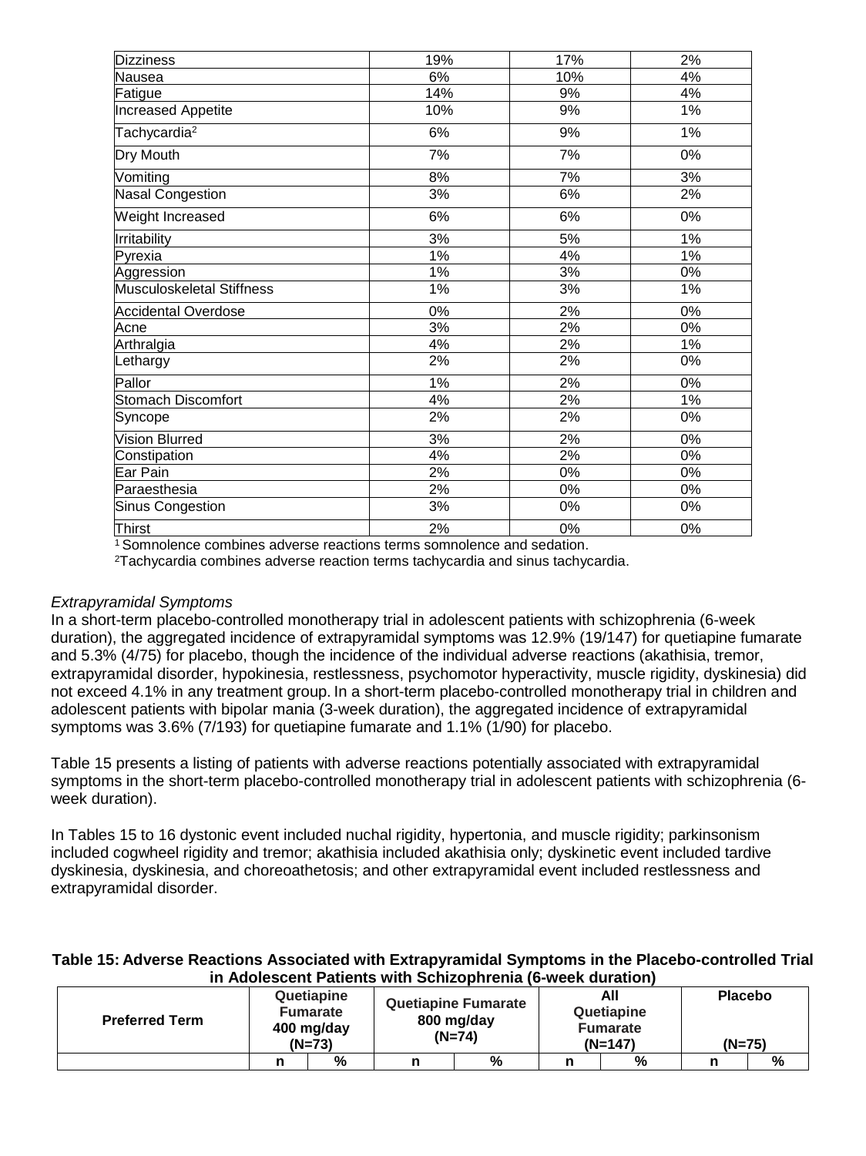| <b>Dizziness</b>                 | 19%   | 17% | 2%    |
|----------------------------------|-------|-----|-------|
| Nausea                           | 6%    | 10% | 4%    |
| Fatigue                          | 14%   | 9%  | 4%    |
| Increased Appetite               | 10%   | 9%  | 1%    |
| Tachycardia <sup>2</sup>         | 6%    | 9%  | 1%    |
| Dry Mouth                        | 7%    | 7%  | 0%    |
| Vomiting                         | 8%    | 7%  | 3%    |
| <b>Nasal Congestion</b>          | 3%    | 6%  | 2%    |
| Weight Increased                 | 6%    | 6%  | 0%    |
| Irritability                     | 3%    | 5%  | 1%    |
| Pyrexia                          | 1%    | 4%  | 1%    |
| Aggression                       | 1%    | 3%  | 0%    |
| <b>Musculoskeletal Stiffness</b> | 1%    | 3%  | 1%    |
| <b>Accidental Overdose</b>       | $0\%$ | 2%  | 0%    |
| Acne                             | 3%    | 2%  | 0%    |
| Arthralgia                       | 4%    | 2%  | 1%    |
| Lethargy                         | 2%    | 2%  | 0%    |
| Pallor                           | 1%    | 2%  | 0%    |
| <b>Stomach Discomfort</b>        | 4%    | 2%  | $1\%$ |
| Syncope                          | 2%    | 2%  | 0%    |
| <b>Vision Blurred</b>            | 3%    | 2%  | 0%    |
| Constipation                     | 4%    | 2%  | 0%    |
| Ear Pain                         | 2%    | 0%  | 0%    |
| Paraesthesia                     | 2%    | 0%  | 0%    |
| Sinus Congestion                 | 3%    | 0%  | 0%    |
| <b>Thirst</b>                    | 2%    | 0%  | 0%    |

 $1$ Somnolence combines adverse reactions terms somnolence and sedation.

<sup>2</sup>Tachycardia combines adverse reaction terms tachycardia and sinus tachycardia.

#### *Extrapyramidal Symptoms*

In a short-term placebo-controlled monotherapy trial in adolescent patients with schizophrenia (6-week duration), the aggregated incidence of extrapyramidal symptoms was 12.9% (19/147) for quetiapine fumarate and 5.3% (4/75) for placebo, though the incidence of the individual adverse reactions (akathisia, tremor, extrapyramidal disorder, hypokinesia, restlessness, psychomotor hyperactivity, muscle rigidity, dyskinesia) did not exceed 4.1% in any treatment group. In a short-term placebo-controlled monotherapy trial in children and adolescent patients with bipolar mania (3-week duration), the aggregated incidence of extrapyramidal symptoms was 3.6% (7/193) for quetiapine fumarate and 1.1% (1/90) for placebo.

Table 15 presents a listing of patients with adverse reactions potentially associated with extrapyramidal symptoms in the short-term placebo-controlled monotherapy trial in adolescent patients with schizophrenia (6 week duration).

In Tables 15 to 16 dystonic event included nuchal rigidity, hypertonia, and muscle rigidity; parkinsonism included cogwheel rigidity and tremor; akathisia included akathisia only; dyskinetic event included tardive dyskinesia, dyskinesia, and choreoathetosis; and other extrapyramidal event included restlessness and extrapyramidal disorder.

#### **Table 15: Adverse Reactions Associated with Extrapyramidal Symptoms in the Placebo-controlled Trial in Adolescent Patients with Schizophrenia (6-week duration)**

| <b>Preferred Term</b> | Quetiapine<br><b>Fumarate</b><br>400 mg/day<br>$(N=73)$ |   | <b>Quetiapine Fumarate</b><br>800 mg/day<br>$(N=74)$ |   | All<br>Quetiapine<br><b>Fumarate</b><br>$(N=147)$ | <b>Placebo</b><br>$(N=75)$ |   |
|-----------------------|---------------------------------------------------------|---|------------------------------------------------------|---|---------------------------------------------------|----------------------------|---|
|                       |                                                         | % |                                                      | % | $\frac{9}{6}$                                     |                            | % |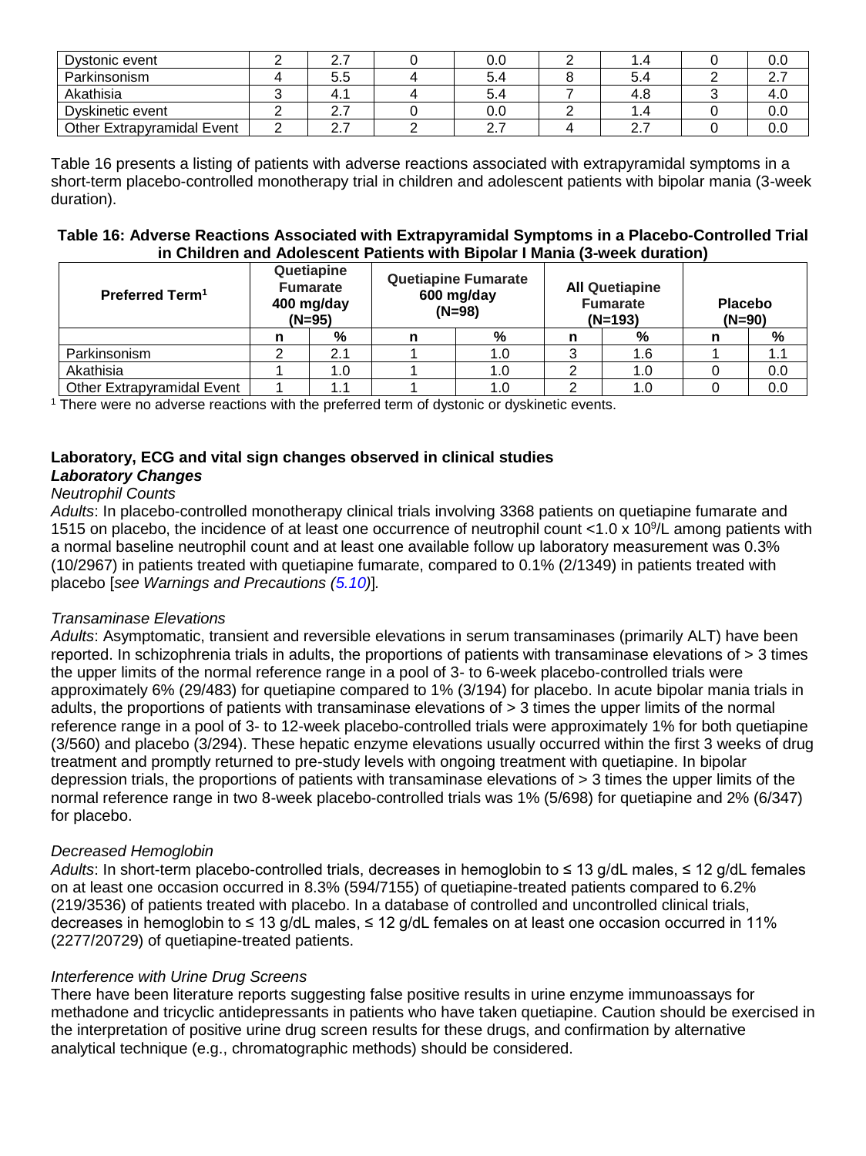| Dystonic event             | .        | v.v      |     | v.v      |
|----------------------------|----------|----------|-----|----------|
| Parkinsonism               | 5.5      |          |     | <u>.</u> |
| Akathisia                  | 4.,      | 5.4      | 4.8 | 4.U      |
| Dyskinetic event           | <u>.</u> | v.v      | ۵.۹ | v.v      |
| Other Extrapyramidal Event | <u>.</u> | <u>.</u> | .   | v.v      |

Table 16 presents a listing of patients with adverse reactions associated with extrapyramidal symptoms in a short-term placebo-controlled monotherapy trial in children and adolescent patients with bipolar mania (3-week duration).

#### **Table 16: Adverse Reactions Associated with Extrapyramidal Symptoms in a Placebo-Controlled Trial in Children and Adolescent Patients with Bipolar I Mania (3-week duration)**

| Preferred Term <sup>1</sup> | Quetiapine<br><b>Fumarate</b><br>400 mg/day<br>$(N=95)$ |     | <b>Quetiapine Fumarate</b><br>600 mg/day<br>$(N=98)$ |     | <b>All Quetiapine</b><br><b>Fumarate</b><br>$(N=193)$ |     | <b>Placebo</b><br>$(N=90)$ |     |
|-----------------------------|---------------------------------------------------------|-----|------------------------------------------------------|-----|-------------------------------------------------------|-----|----------------------------|-----|
|                             |                                                         | %   |                                                      | %   |                                                       | %   |                            | %   |
| Parkinsonism                |                                                         | 2.1 |                                                      | 1.0 |                                                       | 1.6 |                            | 1.1 |
| Akathisia                   |                                                         | 1.0 |                                                      | 1.0 |                                                       | 1.0 |                            | 0.0 |
| Other Extrapyramidal Event  |                                                         | 1.1 |                                                      | 1.0 |                                                       | 1.0 |                            | 0.0 |

<sup>1</sup> There were no adverse reactions with the preferred term of dystonic or dyskinetic events.

# **Laboratory, ECG and vital sign changes observed in clinical studies**

# *Laboratory Changes*

#### *Neutrophil Counts*

*Adults*: In placebo-controlled monotherapy clinical trials involving 3368 patients on quetiapine fumarate and 1515 on placebo, the incidence of at least one occurrence of neutrophil count <1.0 x 10 $^9$ /L among patients with a normal baseline neutrophil count and at least one available follow up laboratory measurement was 0.3% (10/2967) in patients treated with quetiapine fumarate, compared to 0.1% (2/1349) in patients treated with placebo [*see Warnings and Precautions [\(5.10\)](#page-11-0)*]*.*

#### *Transaminase Elevations*

*Adults*: Asymptomatic, transient and reversible elevations in serum transaminases (primarily ALT) have been reported. In schizophrenia trials in adults, the proportions of patients with transaminase elevations of > 3 times the upper limits of the normal reference range in a pool of 3- to 6-week placebo-controlled trials were approximately 6% (29/483) for quetiapine compared to 1% (3/194) for placebo. In acute bipolar mania trials in adults, the proportions of patients with transaminase elevations of > 3 times the upper limits of the normal reference range in a pool of 3- to 12-week placebo-controlled trials were approximately 1% for both quetiapine (3/560) and placebo (3/294). These hepatic enzyme elevations usually occurred within the first 3 weeks of drug treatment and promptly returned to pre-study levels with ongoing treatment with quetiapine. In bipolar depression trials, the proportions of patients with transaminase elevations of > 3 times the upper limits of the normal reference range in two 8-week placebo-controlled trials was 1% (5/698) for quetiapine and 2% (6/347) for placebo.

#### *Decreased Hemoglobin*

*Adults*: In short-term placebo-controlled trials, decreases in hemoglobin to ≤ 13 g/dL males, ≤ 12 g/dL females on at least one occasion occurred in 8.3% (594/7155) of quetiapine-treated patients compared to 6.2% (219/3536) of patients treated with placebo. In a database of controlled and uncontrolled clinical trials, decreases in hemoglobin to ≤ 13 g/dL males, ≤ 12 g/dL females on at least one occasion occurred in 11% (2277/20729) of quetiapine-treated patients.

#### *Interference with Urine Drug Screens*

There have been literature reports suggesting false positive results in urine enzyme immunoassays for methadone and tricyclic antidepressants in patients who have taken quetiapine. Caution should be exercised in the interpretation of positive urine drug screen results for these drugs, and confirmation by alternative analytical technique (e.g., chromatographic methods) should be considered.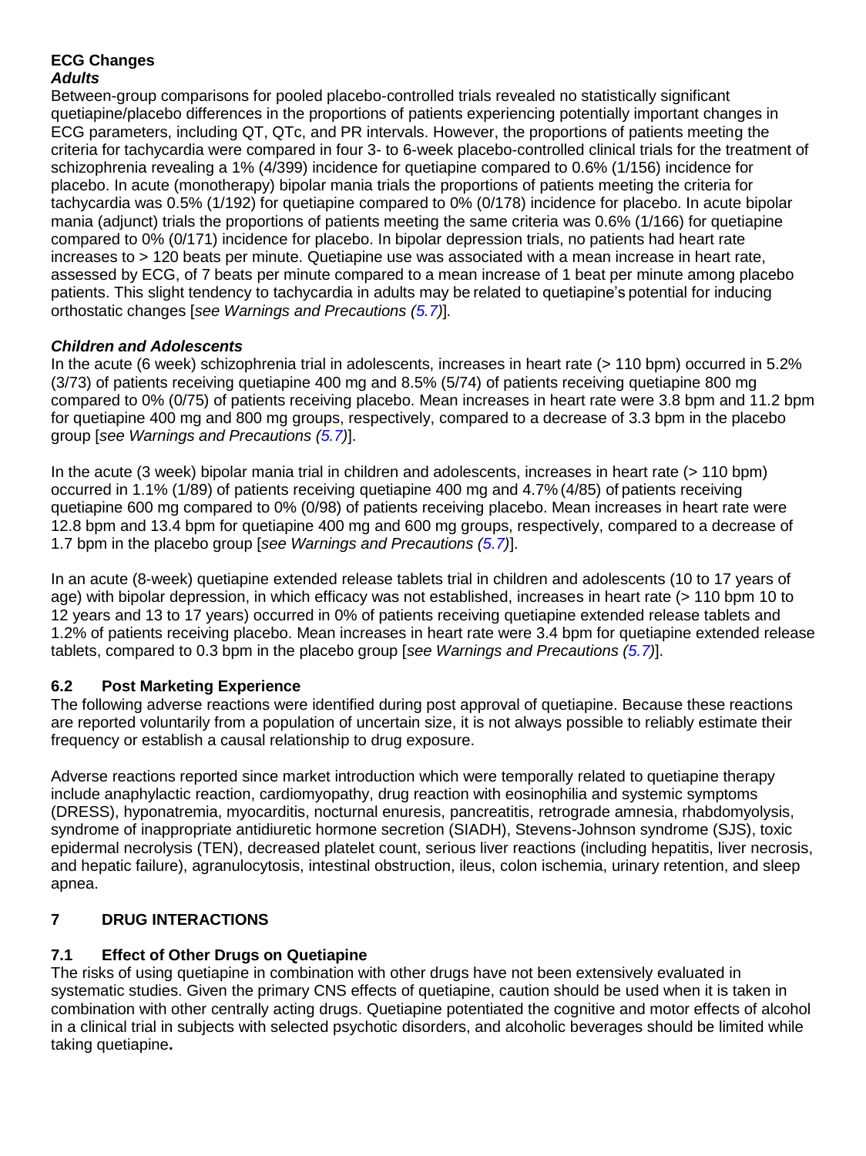# **ECG Changes** *Adults*

Between-group comparisons for pooled placebo-controlled trials revealed no statistically significant quetiapine/placebo differences in the proportions of patients experiencing potentially important changes in ECG parameters, including QT, QTc, and PR intervals. However, the proportions of patients meeting the criteria for tachycardia were compared in four 3- to 6-week placebo-controlled clinical trials for the treatment of schizophrenia revealing a 1% (4/399) incidence for quetiapine compared to 0.6% (1/156) incidence for placebo. In acute (monotherapy) bipolar mania trials the proportions of patients meeting the criteria for tachycardia was 0.5% (1/192) for quetiapine compared to 0% (0/178) incidence for placebo. In acute bipolar mania (adjunct) trials the proportions of patients meeting the same criteria was 0.6% (1/166) for quetiapine compared to 0% (0/171) incidence for placebo. In bipolar depression trials, no patients had heart rate increases to > 120 beats per minute. Quetiapine use was associated with a mean increase in heart rate, assessed by ECG, of 7 beats per minute compared to a mean increase of 1 beat per minute among placebo patients. This slight tendency to tachycardia in adults may be related to quetiapine's potential for inducing orthostatic changes [*see Warnings and Precautions [\(5.7\)](#page-11-1)*]*.*

# *Children and Adolescents*

In the acute (6 week) schizophrenia trial in adolescents, increases in heart rate (> 110 bpm) occurred in 5.2% (3/73) of patients receiving quetiapine 400 mg and 8.5% (5/74) of patients receiving quetiapine 800 mg compared to 0% (0/75) of patients receiving placebo. Mean increases in heart rate were 3.8 bpm and 11.2 bpm for quetiapine 400 mg and 800 mg groups, respectively, compared to a decrease of 3.3 bpm in the placebo group [*see Warnings and Precautions [\(5.7\)](#page-11-1)*].

In the acute (3 week) bipolar mania trial in children and adolescents, increases in heart rate (> 110 bpm) occurred in 1.1% (1/89) of patients receiving quetiapine 400 mg and 4.7% (4/85) of patients receiving quetiapine 600 mg compared to 0% (0/98) of patients receiving placebo. Mean increases in heart rate were 12.8 bpm and 13.4 bpm for quetiapine 400 mg and 600 mg groups, respectively, compared to a decrease of 1.7 bpm in the placebo group [*see Warnings and Precautions [\(5.7\)](#page-11-1)*].

In an acute (8-week) quetiapine extended release tablets trial in children and adolescents (10 to 17 years of age) with bipolar depression, in which efficacy was not established, increases in heart rate (> 110 bpm 10 to 12 years and 13 to 17 years) occurred in 0% of patients receiving quetiapine extended release tablets and 1.2% of patients receiving placebo. Mean increases in heart rate were 3.4 bpm for quetiapine extended release tablets, compared to 0.3 bpm in the placebo group [*see Warnings and Precautions [\(5.7\)](#page-11-1)*].

# <span id="page-24-1"></span>**6.2 Post Marketing Experience**

The following adverse reactions were identified during post approval of quetiapine. Because these reactions are reported voluntarily from a population of uncertain size, it is not always possible to reliably estimate their frequency or establish a causal relationship to drug exposure.

Adverse reactions reported since market introduction which were temporally related to quetiapine therapy include anaphylactic reaction, cardiomyopathy, drug reaction with eosinophilia and systemic symptoms (DRESS), hyponatremia, myocarditis, nocturnal enuresis, pancreatitis, retrograde amnesia, rhabdomyolysis, syndrome of inappropriate antidiuretic hormone secretion (SIADH), Stevens-Johnson syndrome (SJS), toxic epidermal necrolysis (TEN), decreased platelet count, serious liver reactions (including hepatitis, liver necrosis, and hepatic failure), agranulocytosis, intestinal obstruction, ileus, colon ischemia, urinary retention, and sleep apnea.

# <span id="page-24-2"></span>**7 DRUG INTERACTIONS**

# <span id="page-24-0"></span>**7.1 Effect of Other Drugs on Quetiapine**

The risks of using quetiapine in combination with other drugs have not been extensively evaluated in systematic studies. Given the primary CNS effects of quetiapine, caution should be used when it is taken in combination with other centrally acting drugs. Quetiapine potentiated the cognitive and motor effects of alcohol in a clinical trial in subjects with selected psychotic disorders, and alcoholic beverages should be limited while taking quetiapine**.**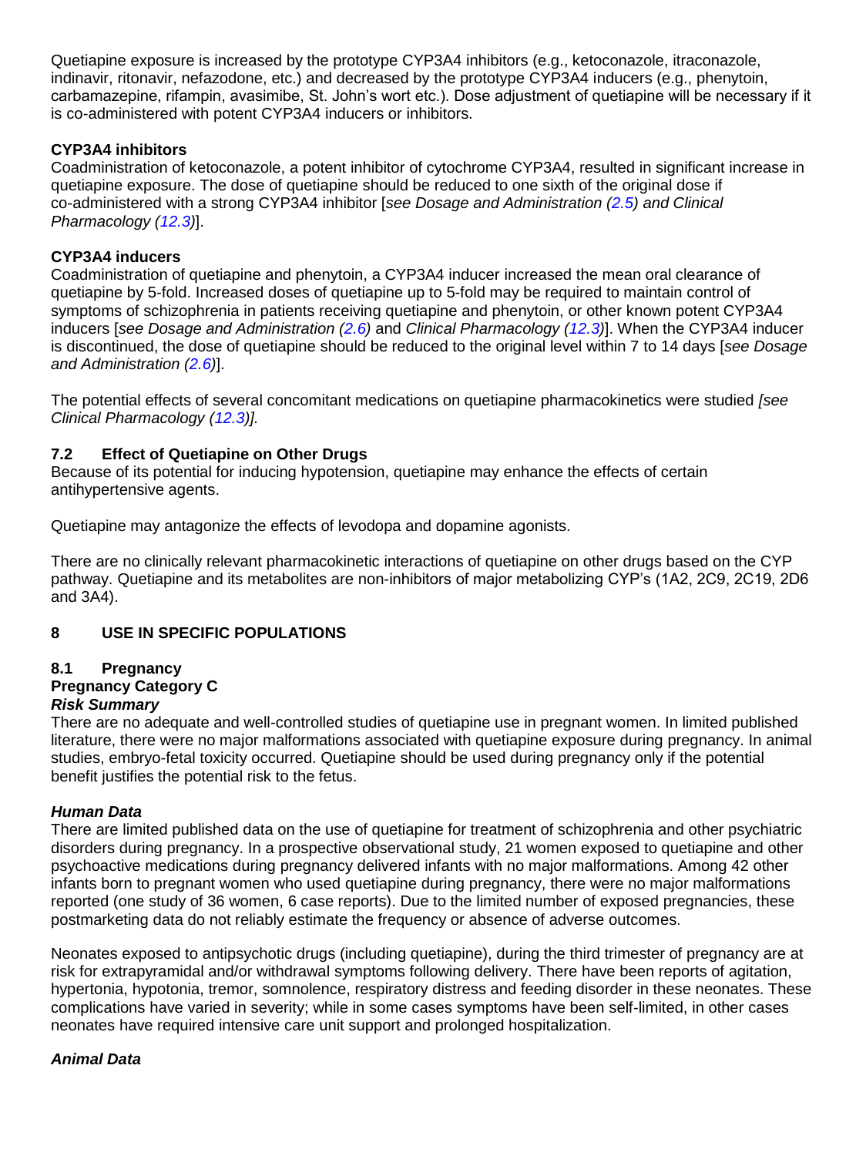Quetiapine exposure is increased by the prototype CYP3A4 inhibitors (e.g., ketoconazole, itraconazole, indinavir, ritonavir, nefazodone, etc.) and decreased by the prototype CYP3A4 inducers (e.g., phenytoin, carbamazepine, rifampin, avasimibe, St. John's wort etc.). Dose adjustment of quetiapine will be necessary if it is co-administered with potent CYP3A4 inducers or inhibitors.

# **CYP3A4 inhibitors**

Coadministration of ketoconazole, a potent inhibitor of cytochrome CYP3A4, resulted in significant increase in quetiapine exposure. The dose of quetiapine should be reduced to one sixth of the original dose if co-administered with a strong CYP3A4 inhibitor [*see Dosage and Administration [\(2.5\)](#page-4-3) and Clinical Pharmacology [\(12.3\)](#page-29-0)*].

## **CYP3A4 inducers**

Coadministration of quetiapine and phenytoin, a CYP3A4 inducer increased the mean oral clearance of quetiapine by 5-fold. Increased doses of quetiapine up to 5-fold may be required to maintain control of symptoms of schizophrenia in patients receiving quetiapine and phenytoin, or other known potent CYP3A4 inducers [*see Dosage and Administration [\(2.6\)](#page-4-4)* and *Clinical Pharmacology [\(12.3\)](#page-29-0)*]. When the CYP3A4 inducer is discontinued, the dose of quetiapine should be reduced to the original level within 7 to 14 days [*see Dosage and Administration [\(2.6\)](#page-4-4)*].

The potential effects of several concomitant medications on quetiapine pharmacokinetics were studied *[see Clinical Pharmacology [\(12.3\)](#page-29-0)].*

# <span id="page-25-1"></span>**7.2 Effect of Quetiapine on Other Drugs**

Because of its potential for inducing hypotension, quetiapine may enhance the effects of certain antihypertensive agents.

Quetiapine may antagonize the effects of levodopa and dopamine agonists.

There are no clinically relevant pharmacokinetic interactions of quetiapine on other drugs based on the CYP pathway. Quetiapine and its metabolites are non-inhibitors of major metabolizing CYP's (1A2, 2C9, 2C19, 2D6 and 3A4).

## <span id="page-25-2"></span>**8 USE IN SPECIFIC POPULATIONS**

## <span id="page-25-0"></span>**8.1 Pregnancy**

**Pregnancy Category C**

## *Risk Summary*

There are no adequate and well-controlled studies of quetiapine use in pregnant women. In limited published literature, there were no major malformations associated with quetiapine exposure during pregnancy. In animal studies, embryo-fetal toxicity occurred. Quetiapine should be used during pregnancy only if the potential benefit justifies the potential risk to the fetus.

## *Human Data*

There are limited published data on the use of quetiapine for treatment of schizophrenia and other psychiatric disorders during pregnancy. In a prospective observational study, 21 women exposed to quetiapine and other psychoactive medications during pregnancy delivered infants with no major malformations. Among 42 other infants born to pregnant women who used quetiapine during pregnancy, there were no major malformations reported (one study of 36 women, 6 case reports). Due to the limited number of exposed pregnancies, these postmarketing data do not reliably estimate the frequency or absence of adverse outcomes.

Neonates exposed to antipsychotic drugs (including quetiapine), during the third trimester of pregnancy are at risk for extrapyramidal and/or withdrawal symptoms following delivery. There have been reports of agitation, hypertonia, hypotonia, tremor, somnolence, respiratory distress and feeding disorder in these neonates. These complications have varied in severity; while in some cases symptoms have been self-limited, in other cases neonates have required intensive care unit support and prolonged hospitalization.

## *Animal Data*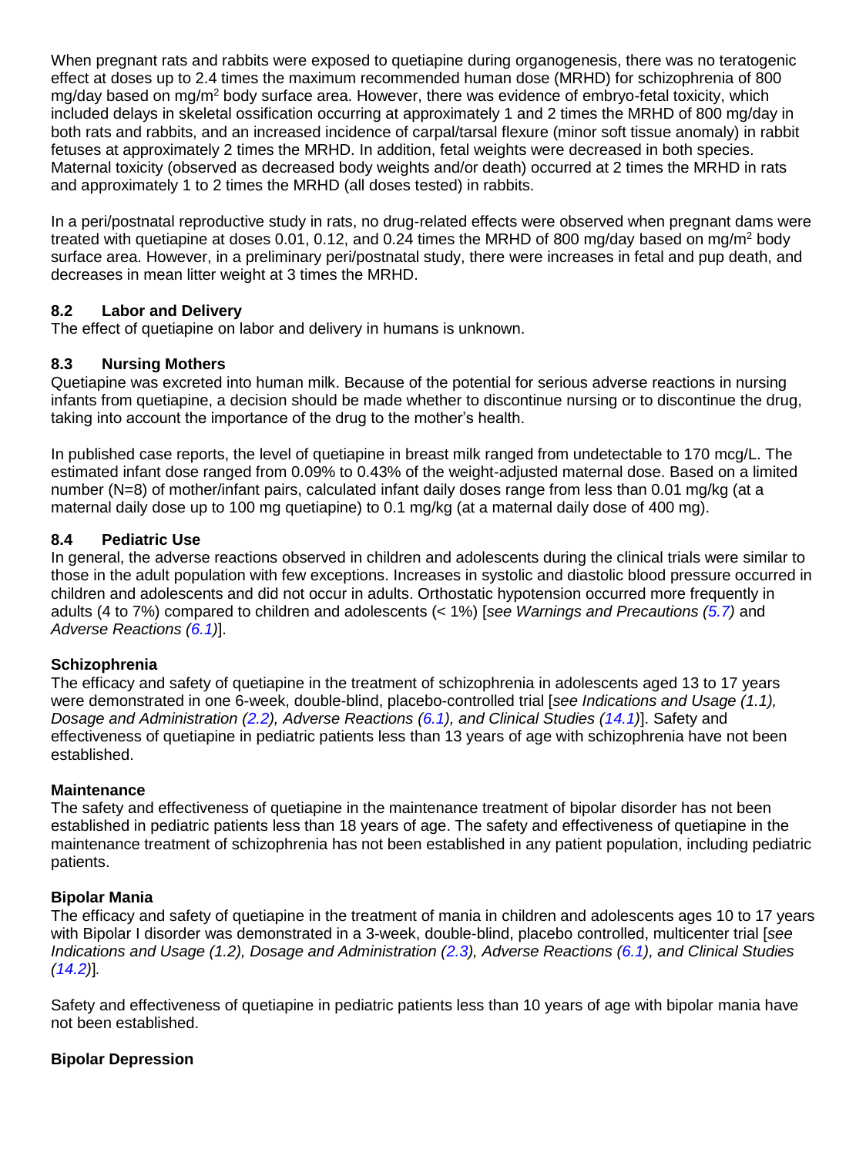When pregnant rats and rabbits were exposed to quetiapine during organogenesis, there was no teratogenic effect at doses up to 2.4 times the maximum recommended human dose (MRHD) for schizophrenia of 800 mg/day based on mg/m<sup>2</sup> body surface area. However, there was evidence of embryo-fetal toxicity, which included delays in skeletal ossification occurring at approximately 1 and 2 times the MRHD of 800 mg/day in both rats and rabbits, and an increased incidence of carpal/tarsal flexure (minor soft tissue anomaly) in rabbit fetuses at approximately 2 times the MRHD. In addition, fetal weights were decreased in both species. Maternal toxicity (observed as decreased body weights and/or death) occurred at 2 times the MRHD in rats and approximately 1 to 2 times the MRHD (all doses tested) in rabbits.

In a peri/postnatal reproductive study in rats, no drug-related effects were observed when pregnant dams were treated with quetiapine at doses 0.01, 0.12, and 0.24 times the MRHD of 800 mg/day based on mg/m<sup>2</sup> body surface area. However, in a preliminary peri/postnatal study, there were increases in fetal and pup death, and decreases in mean litter weight at 3 times the MRHD.

## <span id="page-26-1"></span>**8.2 Labor and Delivery**

The effect of quetiapine on labor and delivery in humans is unknown.

# <span id="page-26-0"></span>**8.3 Nursing Mothers**

Quetiapine was excreted into human milk. Because of the potential for serious adverse reactions in nursing infants from quetiapine, a decision should be made whether to discontinue nursing or to discontinue the drug, taking into account the importance of the drug to the mother's health.

In published case reports, the level of quetiapine in breast milk ranged from undetectable to 170 mcg/L. The estimated infant dose ranged from 0.09% to 0.43% of the weight-adjusted maternal dose. Based on a limited number (N=8) of mother/infant pairs, calculated infant daily doses range from less than 0.01 mg/kg (at a maternal daily dose up to 100 mg quetiapine) to 0.1 mg/kg (at a maternal daily dose of 400 mg).

# <span id="page-26-2"></span>**8.4 Pediatric Use**

In general, the adverse reactions observed in children and adolescents during the clinical trials were similar to those in the adult population with few exceptions. Increases in systolic and diastolic blood pressure occurred in children and adolescents and did not occur in adults. Orthostatic hypotension occurred more frequently in adults (4 to 7%) compared to children and adolescents (< 1%) [*see Warnings and Precautions [\(5.7\)](#page-11-1)* and *Adverse Reactions [\(6.1\)](#page-15-0)*].

## **Schizophrenia**

The efficacy and safety of quetiapine in the treatment of schizophrenia in adolescents aged 13 to 17 years were demonstrated in one 6-week, double-blind, placebo-controlled trial [*see Indications and Usage (1.1), Dosage and Administration [\(2.2\)](#page-3-0), Adverse Reactions [\(6.1\)](#page-15-0), and Clinical Studies [\(14.1\)](#page-32-2)*]. Safety and effectiveness of quetiapine in pediatric patients less than 13 years of age with schizophrenia have not been established.

## **Maintenance**

The safety and effectiveness of quetiapine in the maintenance treatment of bipolar disorder has not been established in pediatric patients less than 18 years of age. The safety and effectiveness of quetiapine in the maintenance treatment of schizophrenia has not been established in any patient population, including pediatric patients.

## **Bipolar Mania**

The efficacy and safety of quetiapine in the treatment of mania in children and adolescents ages 10 to 17 years with Bipolar I disorder was demonstrated in a 3-week, double-blind, placebo controlled, multicenter trial [*see Indications and Usage (1.2), Dosage and Administration [\(2.3\)](#page-4-0), Adverse Reactions [\(6.1\)](#page-15-0), and Clinical Studies [\(14.2\)](#page-33-0)*]*.*

Safety and effectiveness of quetiapine in pediatric patients less than 10 years of age with bipolar mania have not been established.

# **Bipolar Depression**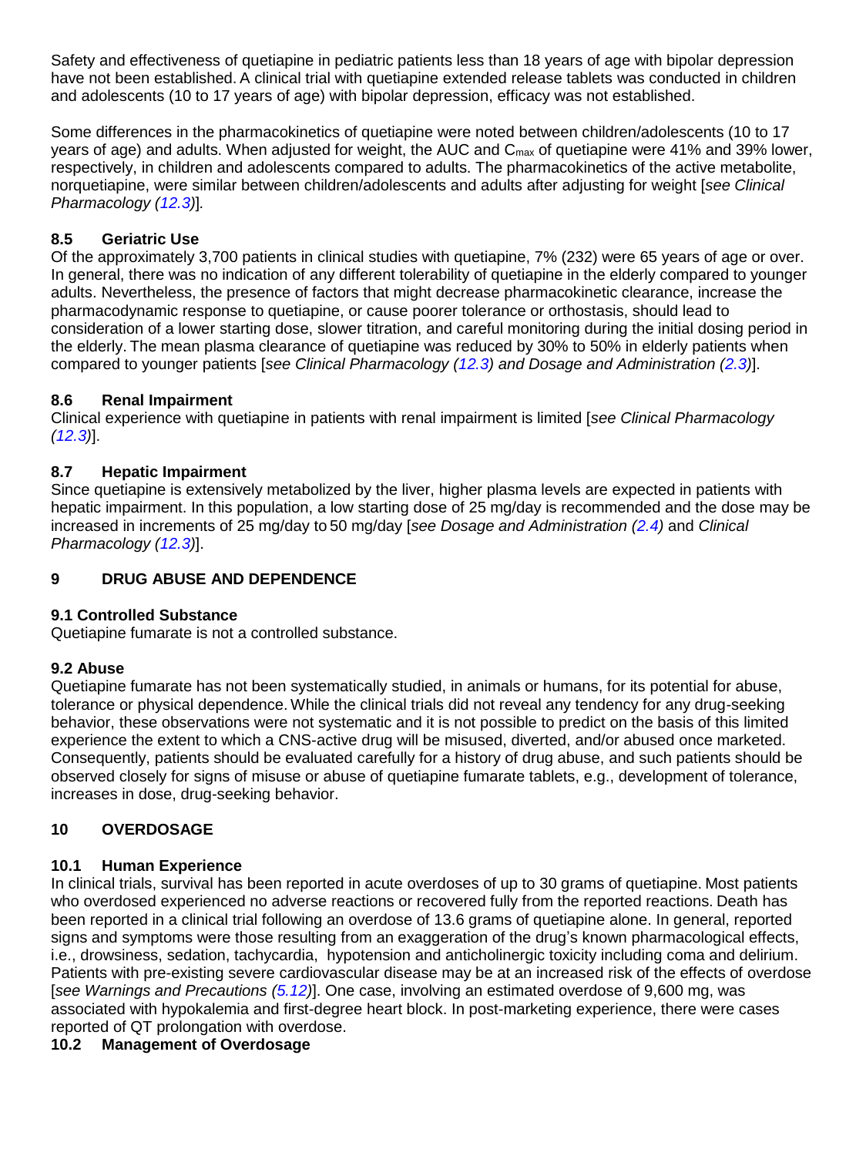Safety and effectiveness of quetiapine in pediatric patients less than 18 years of age with bipolar depression have not been established. A clinical trial with quetiapine extended release tablets was conducted in children and adolescents (10 to 17 years of age) with bipolar depression, efficacy was not established.

Some differences in the pharmacokinetics of quetiapine were noted between children/adolescents (10 to 17 years of age) and adults. When adjusted for weight, the AUC and  $C_{\text{max}}$  of quetiapine were 41% and 39% lower, respectively, in children and adolescents compared to adults. The pharmacokinetics of the active metabolite, norquetiapine, were similar between children/adolescents and adults after adjusting for weight [*see Clinical Pharmacology [\(12.3\)](#page-29-0)*]*.*

# <span id="page-27-0"></span>**8.5 Geriatric Use**

Of the approximately 3,700 patients in clinical studies with quetiapine, 7% (232) were 65 years of age or over. In general, there was no indication of any different tolerability of quetiapine in the elderly compared to younger adults. Nevertheless, the presence of factors that might decrease pharmacokinetic clearance, increase the pharmacodynamic response to quetiapine, or cause poorer tolerance or orthostasis, should lead to consideration of a lower starting dose, slower titration, and careful monitoring during the initial dosing period in the elderly. The mean plasma clearance of quetiapine was reduced by 30% to 50% in elderly patients when compared to younger patients [*see Clinical Pharmacology [\(12.3\)](#page-29-0) and Dosage and Administration [\(2.3\)](#page-4-0)*].

## <span id="page-27-2"></span>**8.6 Renal Impairment**

Clinical experience with quetiapine in patients with renal impairment is limited [*see Clinical Pharmacology [\(12.3\)](#page-29-0)*].

# <span id="page-27-1"></span>**8.7 Hepatic Impairment**

Since quetiapine is extensively metabolized by the liver, higher plasma levels are expected in patients with hepatic impairment. In this population, a low starting dose of 25 mg/day is recommended and the dose may be increased in increments of 25 mg/day to 50 mg/day [*see Dosage and Administration [\(2.4\)](#page-4-1)* and *Clinical Pharmacology [\(12.3\)](#page-29-0)*].

## <span id="page-27-3"></span>**9 DRUG ABUSE AND DEPENDENCE**

## <span id="page-27-4"></span>**9.1 Controlled Substance**

Quetiapine fumarate is not a controlled substance.

## <span id="page-27-5"></span>**9.2 Abuse**

Quetiapine fumarate has not been systematically studied, in animals or humans, for its potential for abuse, tolerance or physical dependence. While the clinical trials did not reveal any tendency for any drug-seeking behavior, these observations were not systematic and it is not possible to predict on the basis of this limited experience the extent to which a CNS-active drug will be misused, diverted, and/or abused once marketed. Consequently, patients should be evaluated carefully for a history of drug abuse, and such patients should be observed closely for signs of misuse or abuse of quetiapine fumarate tablets, e.g., development of tolerance, increases in dose, drug-seeking behavior.

## <span id="page-27-6"></span>**10 OVERDOSAGE**

## <span id="page-27-7"></span>**10.1 Human Experience**

In clinical trials, survival has been reported in acute overdoses of up to 30 grams of quetiapine. Most patients who overdosed experienced no adverse reactions or recovered fully from the reported reactions. Death has been reported in a clinical trial following an overdose of 13.6 grams of quetiapine alone. In general, reported signs and symptoms were those resulting from an exaggeration of the drug's known pharmacological effects, i.e., drowsiness, sedation, tachycardia, hypotension and anticholinergic toxicity including coma and delirium. Patients with pre-existing severe cardiovascular disease may be at an increased risk of the effects of overdose [*see Warnings and Precautions [\(5.12\)](#page-12-1)*]. One case, involving an estimated overdose of 9,600 mg, was associated with hypokalemia and first-degree heart block. In post-marketing experience, there were cases reported of QT prolongation with overdose.

## <span id="page-27-8"></span>**10.2 Management of Overdosage**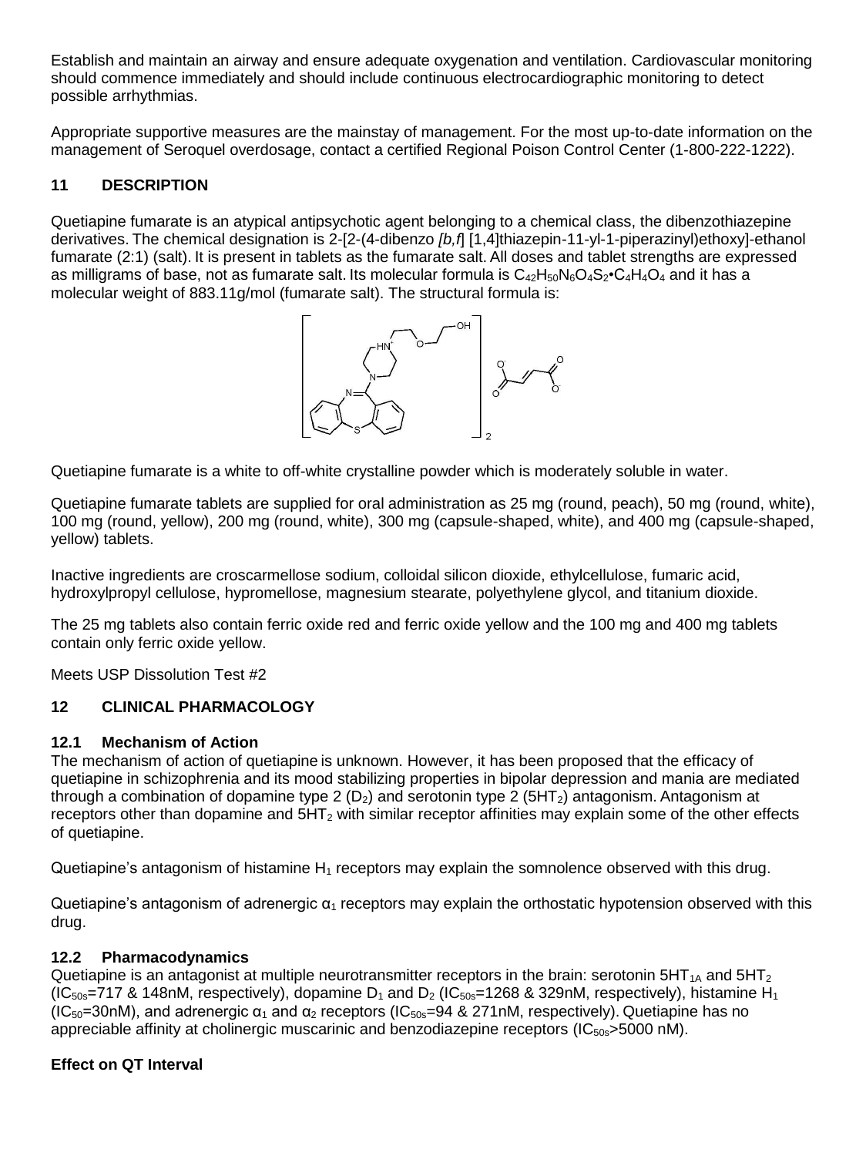Establish and maintain an airway and ensure adequate oxygenation and ventilation. Cardiovascular monitoring should commence immediately and should include continuous electrocardiographic monitoring to detect possible arrhythmias.

Appropriate supportive measures are the mainstay of management. For the most up-to-date information on the management of Seroquel overdosage, contact a certified Regional Poison Control Center (1-800-222-1222).

# <span id="page-28-0"></span>**11 DESCRIPTION**

Quetiapine fumarate is an atypical antipsychotic agent belonging to a chemical class, the dibenzothiazepine derivatives. The chemical designation is 2-[2-(4-dibenzo *[b,f*] [1,4]thiazepin-11-yl-1-piperazinyl)ethoxy]-ethanol fumarate (2:1) (salt). It is present in tablets as the fumarate salt. All doses and tablet strengths are expressed as milligrams of base, not as fumarate salt. Its molecular formula is  $C_{42}H_{50}N_6O_4S_2$ • $C_4H_4O_4$  and it has a molecular weight of 883.11g/mol (fumarate salt). The structural formula is:



Quetiapine fumarate is a white to off-white crystalline powder which is moderately soluble in water.

Quetiapine fumarate tablets are supplied for oral administration as 25 mg (round, peach), 50 mg (round, white), 100 mg (round, yellow), 200 mg (round, white), 300 mg (capsule-shaped, white), and 400 mg (capsule-shaped, yellow) tablets.

Inactive ingredients are croscarmellose sodium, colloidal silicon dioxide, ethylcellulose, fumaric acid, hydroxylpropyl cellulose, hypromellose, magnesium stearate, polyethylene glycol, and titanium dioxide.

The 25 mg tablets also contain ferric oxide red and ferric oxide yellow and the 100 mg and 400 mg tablets contain only ferric oxide yellow.

Meets USP Dissolution Test #2

## <span id="page-28-1"></span>**12 CLINICAL PHARMACOLOGY**

## <span id="page-28-2"></span>**12.1 Mechanism of Action**

The mechanism of action of quetiapine is unknown. However, it has been proposed that the efficacy of quetiapine in schizophrenia and its mood stabilizing properties in bipolar depression and mania are mediated through a combination of dopamine type 2 ( $D_2$ ) and serotonin type 2 ( $5HT_2$ ) antagonism. Antagonism at receptors other than dopamine and  $5HT<sub>2</sub>$  with similar receptor affinities may explain some of the other effects of quetiapine.

Quetiapine's antagonism of histamine  $H_1$  receptors may explain the somnolence observed with this drug.

Quetiapine's antagonism of adrenergic  $α_1$  receptors may explain the orthostatic hypotension observed with this drug.

## <span id="page-28-3"></span>**12.2 Pharmacodynamics**

Quetiapine is an antagonist at multiple neurotransmitter receptors in the brain: serotonin 5HT<sub>1A</sub> and 5HT<sub>2</sub>  $(IC<sub>50s</sub>=717 \& 148nM, respectively)$ , dopamine D<sub>1</sub> and D<sub>2</sub> (IC<sub>50s</sub>=1268 & 329nM, respectively), histamine H<sub>1</sub> (IC<sub>50</sub>=30nM), and adrenergic  $\alpha_1$  and  $\alpha_2$  receptors (IC<sub>50s</sub>=94 & 271nM, respectively). Quetiapine has no appreciable affinity at cholinergic muscarinic and benzodiazepine receptors ( $IC_{50s}$ >5000 nM).

## **Effect on QT Interval**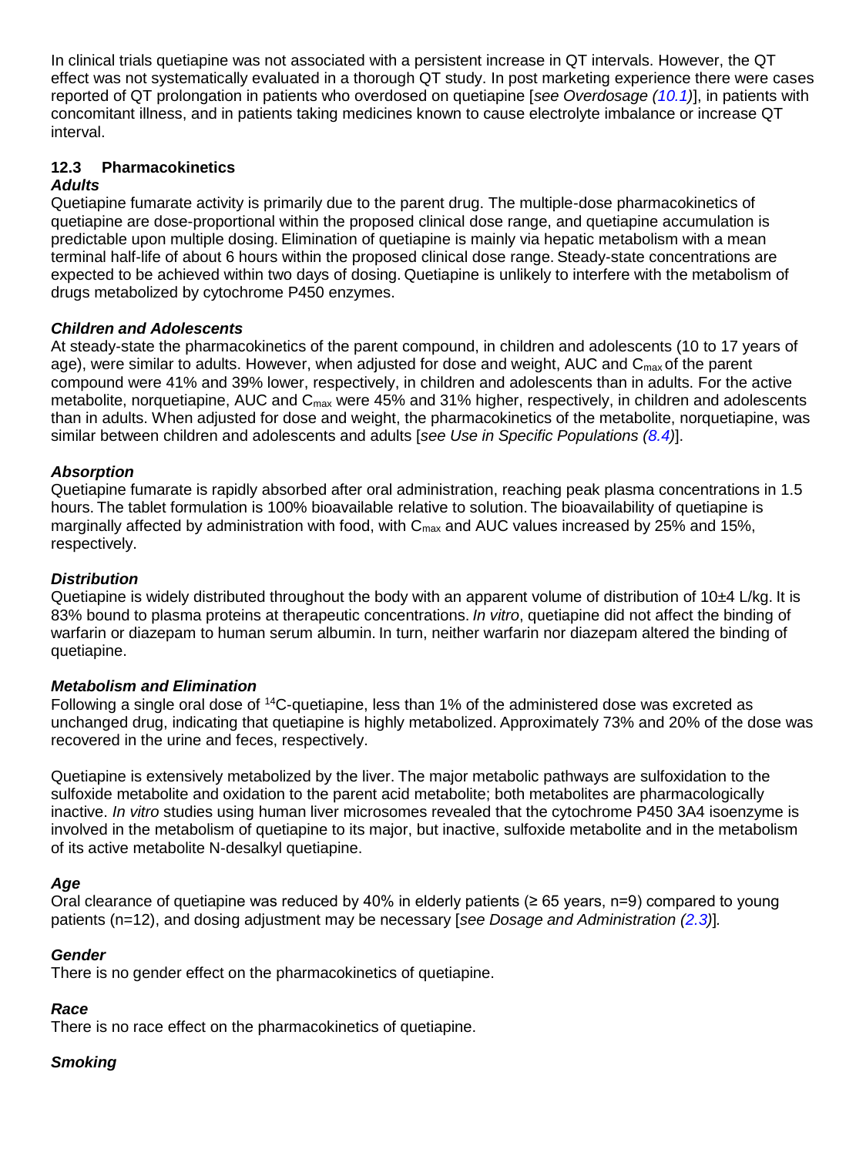In clinical trials quetiapine was not associated with a persistent increase in QT intervals. However, the QT effect was not systematically evaluated in a thorough QT study. In post marketing experience there were cases reported of QT prolongation in patients who overdosed on quetiapine [*see Overdosage [\(10.1\)](#page-27-7)*], in patients with concomitant illness, and in patients taking medicines known to cause electrolyte imbalance or increase QT interval.

# <span id="page-29-0"></span>**12.3 Pharmacokinetics**

# *Adults*

Quetiapine fumarate activity is primarily due to the parent drug. The multiple-dose pharmacokinetics of quetiapine are dose-proportional within the proposed clinical dose range, and quetiapine accumulation is predictable upon multiple dosing. Elimination of quetiapine is mainly via hepatic metabolism with a mean terminal half-life of about 6 hours within the proposed clinical dose range. Steady-state concentrations are expected to be achieved within two days of dosing. Quetiapine is unlikely to interfere with the metabolism of drugs metabolized by cytochrome P450 enzymes.

## *Children and Adolescents*

At steady-state the pharmacokinetics of the parent compound, in children and adolescents (10 to 17 years of age), were similar to adults. However, when adjusted for dose and weight, AUC and C<sub>max</sub> of the parent compound were 41% and 39% lower, respectively, in children and adolescents than in adults. For the active metabolite, norquetiapine, AUC and C<sub>max</sub> were 45% and 31% higher, respectively, in children and adolescents than in adults. When adjusted for dose and weight, the pharmacokinetics of the metabolite, norquetiapine, was similar between children and adolescents and adults [*see Use in Specific Populations [\(8.4\)](#page-26-2)*].

## *Absorption*

Quetiapine fumarate is rapidly absorbed after oral administration, reaching peak plasma concentrations in 1.5 hours. The tablet formulation is 100% bioavailable relative to solution. The bioavailability of quetiapine is marginally affected by administration with food, with  $C_{\text{max}}$  and AUC values increased by 25% and 15%, respectively.

#### *Distribution*

Quetiapine is widely distributed throughout the body with an apparent volume of distribution of 10±4 L/kg. It is 83% bound to plasma proteins at therapeutic concentrations. *In vitro*, quetiapine did not affect the binding of warfarin or diazepam to human serum albumin. In turn, neither warfarin nor diazepam altered the binding of quetiapine.

## *Metabolism and Elimination*

Following a single oral dose of <sup>14</sup>C-quetiapine, less than 1% of the administered dose was excreted as unchanged drug, indicating that quetiapine is highly metabolized. Approximately 73% and 20% of the dose was recovered in the urine and feces, respectively.

Quetiapine is extensively metabolized by the liver. The major metabolic pathways are sulfoxidation to the sulfoxide metabolite and oxidation to the parent acid metabolite; both metabolites are pharmacologically inactive. *In vitro* studies using human liver microsomes revealed that the cytochrome P450 3A4 isoenzyme is involved in the metabolism of quetiapine to its major, but inactive, sulfoxide metabolite and in the metabolism of its active metabolite N-desalkyl quetiapine.

#### *Age*

Oral clearance of quetiapine was reduced by 40% in elderly patients ( $\geq 65$  years, n=9) compared to young patients (n=12), and dosing adjustment may be necessary [*see Dosage and Administration [\(2.3\)](#page-4-0)*]*.*

## *Gender*

There is no gender effect on the pharmacokinetics of quetiapine.

# *Race*

There is no race effect on the pharmacokinetics of quetiapine.

# *Smoking*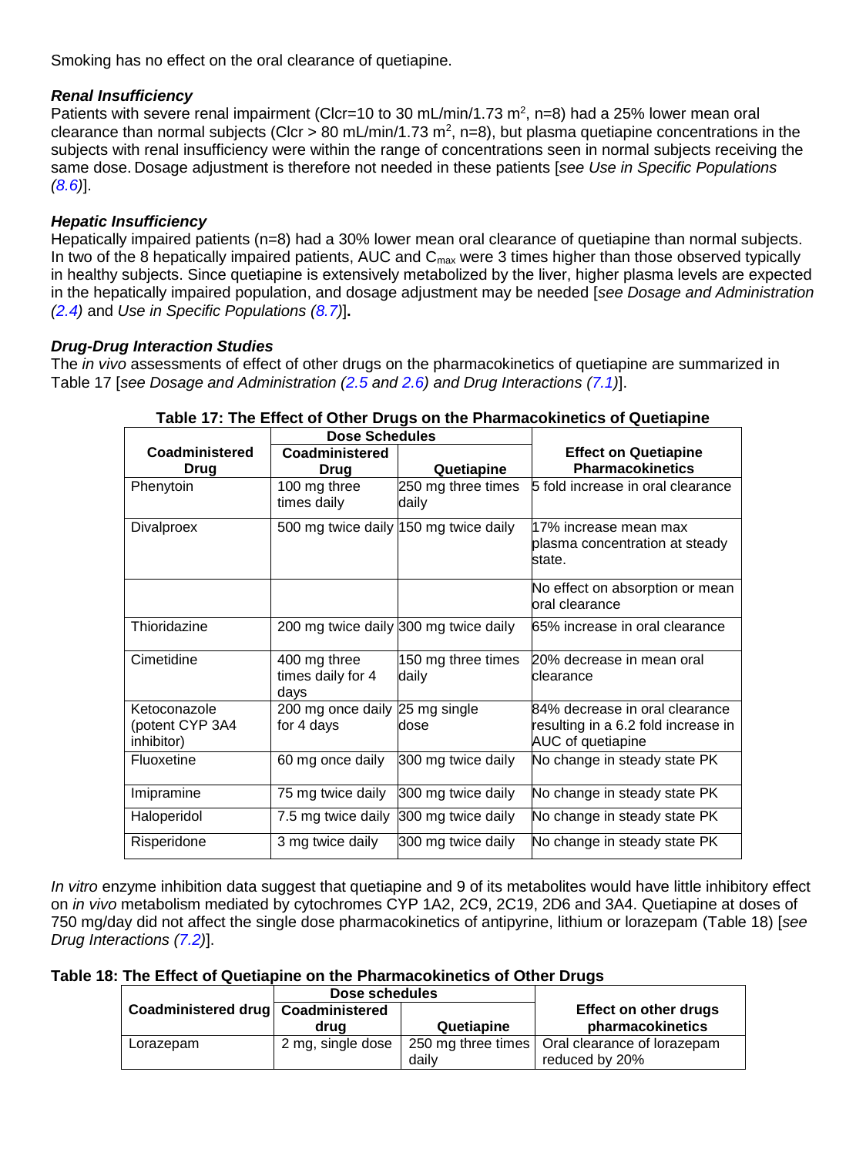Smoking has no effect on the oral clearance of quetiapine.

#### *Renal Insufficiency*

Patients with severe renal impairment (Clcr=10 to 30 mL/min/1.73 m<sup>2</sup>, n=8) had a 25% lower mean oral clearance than normal subjects (Clcr > 80 mL/min/1.73 m<sup>2</sup>, n=8), but plasma quetiapine concentrations in the subjects with renal insufficiency were within the range of concentrations seen in normal subjects receiving the same dose. Dosage adjustment is therefore not needed in these patients [*see Use in Specific Populations [\(8.6\)](#page-27-2)*].

#### *Hepatic Insufficiency*

Hepatically impaired patients (n=8) had a 30% lower mean oral clearance of quetiapine than normal subjects. In two of the 8 hepatically impaired patients, AUC and C<sub>max</sub> were 3 times higher than those observed typically in healthy subjects. Since quetiapine is extensively metabolized by the liver, higher plasma levels are expected in the hepatically impaired population, and dosage adjustment may be needed [*see Dosage and Administration [\(2.4\)](#page-4-1)* and *Use in Specific Populations [\(8.7\)](#page-27-1)*]**.**

#### *Drug-Drug Interaction Studies*

The *in vivo* assessments of effect of other drugs on the pharmacokinetics of quetiapine are summarized in Table 17 [*see Dosage and Administration [\(2.5](#page-4-3) and [2.6\)](#page-4-4) and Drug Interactions [\(7.1\)](#page-24-0)*].

|                                               | <b>Dose Schedules</b>                        |                                       |                                                                                             |
|-----------------------------------------------|----------------------------------------------|---------------------------------------|---------------------------------------------------------------------------------------------|
| Coadministered<br><b>Drug</b>                 | Coadministered<br>Drug                       | Quetiapine                            | <b>Effect on Quetiapine</b><br><b>Pharmacokinetics</b>                                      |
| Phenytoin                                     | 100 mg three<br>times daily                  | 250 mg three times<br>daily           | 5 fold increase in oral clearance                                                           |
| <b>Divalproex</b>                             |                                              | 500 mg twice daily 150 mg twice daily | 17% increase mean max<br>plasma concentration at steady<br>state.                           |
|                                               |                                              |                                       | No effect on absorption or mean<br>loral clearance                                          |
| Thioridazine                                  |                                              | 200 mg twice daily 300 mg twice daily | 165% increase in oral clearance                                                             |
| Cimetidine                                    | 400 mg three<br>times daily for 4<br>days    | 150 mg three times<br>daily           | 20% decrease in mean oral<br>lclearance                                                     |
| Ketoconazole<br>(potent CYP 3A4<br>inhibitor) | 200 mg once daily 25 mg single<br>for 4 days | ldose                                 | l84% decrease in oral clearance<br>resulting in a 6.2 fold increase in<br>AUC of quetiapine |
| Fluoxetine                                    | 60 mg once daily                             | 300 mg twice daily                    | No change in steady state PK                                                                |
| Imipramine                                    | 75 mg twice daily                            | 300 mg twice daily                    | No change in steady state PK                                                                |
| Haloperidol                                   | 7.5 mg twice daily                           | 300 mg twice daily                    | No change in steady state PK                                                                |
| Risperidone                                   | 3 mg twice daily                             | 300 mg twice daily                    | No change in steady state PK                                                                |

#### **Table 17: The Effect of Other Drugs on the Pharmacokinetics of Quetiapine**

*In vitro* enzyme inhibition data suggest that quetiapine and 9 of its metabolites would have little inhibitory effect on *in vivo* metabolism mediated by cytochromes CYP 1A2, 2C9, 2C19, 2D6 and 3A4. Quetiapine at doses of 750 mg/day did not affect the single dose pharmacokinetics of antipyrine, lithium or lorazepam (Table 18) [*see Drug Interactions [\(7.2\)](#page-25-1)*].

**Table 18: The Effect of Quetiapine on the Pharmacokinetics of Other Drugs**

|                                    | Dose schedules    |            |                                                  |
|------------------------------------|-------------------|------------|--------------------------------------------------|
| Coadministered drug Coadministered |                   |            | <b>Effect on other drugs</b>                     |
|                                    | drua              | Quetiapine | pharmacokinetics                                 |
| Lorazepam                          | 2 mg, single dose |            | 250 mg three times   Oral clearance of lorazepam |
|                                    |                   | dailv      | reduced by 20%                                   |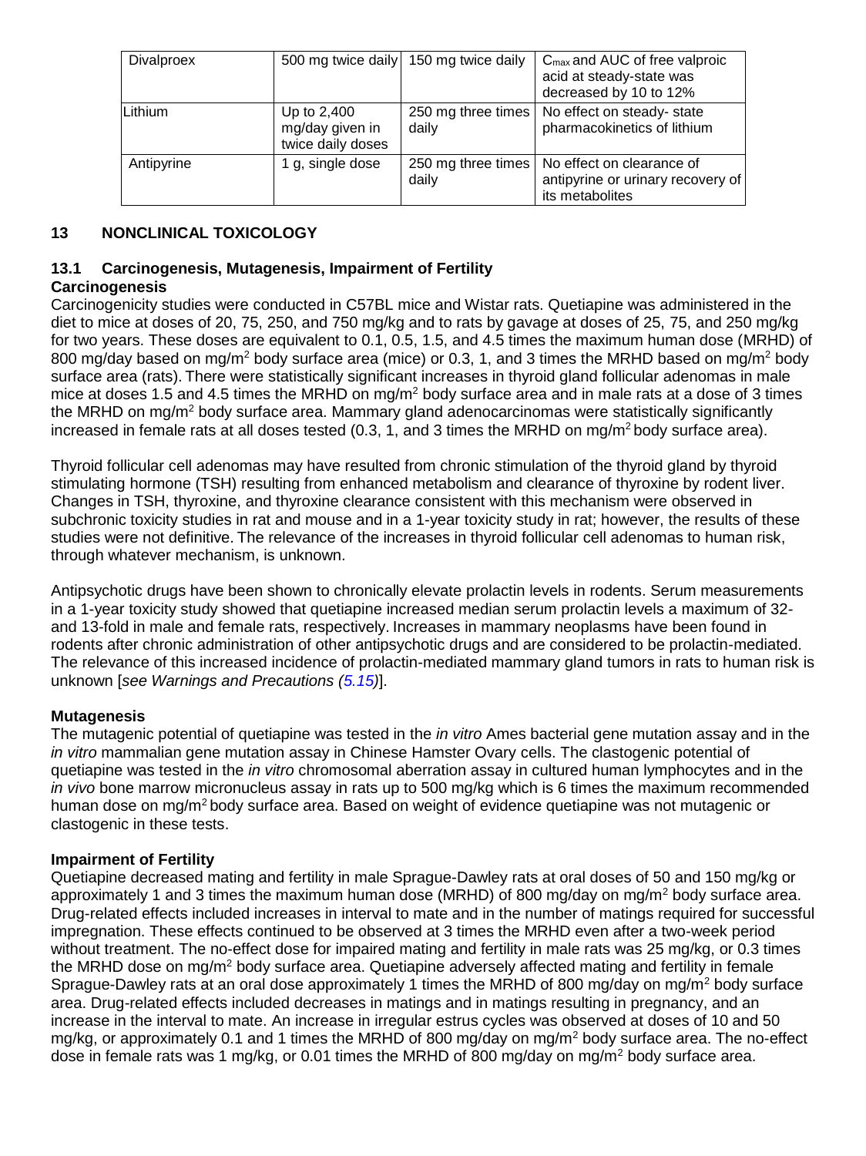| Divalproex |                                                     | 500 mg twice daily   150 mg twice daily | $C_{\text{max}}$ and AUC of free valproic<br>acid at steady-state was<br>decreased by 10 to 12% |
|------------|-----------------------------------------------------|-----------------------------------------|-------------------------------------------------------------------------------------------------|
| Lithium    | Up to 2,400<br>mg/day given in<br>twice daily doses | 250 mg three times<br>daily             | No effect on steady- state<br>pharmacokinetics of lithium                                       |
| Antipyrine | 1 g, single dose                                    | 250 mg three times<br>daily             | No effect on clearance of<br>antipyrine or urinary recovery of<br>its metabolites               |

# <span id="page-31-0"></span>**13 NONCLINICAL TOXICOLOGY**

# <span id="page-31-1"></span>**13.1 Carcinogenesis, Mutagenesis, Impairment of Fertility**

# **Carcinogenesis**

Carcinogenicity studies were conducted in C57BL mice and Wistar rats. Quetiapine was administered in the diet to mice at doses of 20, 75, 250, and 750 mg/kg and to rats by gavage at doses of 25, 75, and 250 mg/kg for two years. These doses are equivalent to 0.1, 0.5, 1.5, and 4.5 times the maximum human dose (MRHD) of 800 mg/day based on mg/m<sup>2</sup> body surface area (mice) or 0.3, 1, and 3 times the MRHD based on mg/m<sup>2</sup> body surface area (rats). There were statistically significant increases in thyroid gland follicular adenomas in male mice at doses 1.5 and 4.5 times the MRHD on mg/m<sup>2</sup> body surface area and in male rats at a dose of 3 times the MRHD on mg/m<sup>2</sup> body surface area. Mammary gland adenocarcinomas were statistically significantly increased in female rats at all doses tested (0.3, 1, and 3 times the MRHD on mg/m<sup>2</sup> body surface area).

Thyroid follicular cell adenomas may have resulted from chronic stimulation of the thyroid gland by thyroid stimulating hormone (TSH) resulting from enhanced metabolism and clearance of thyroxine by rodent liver. Changes in TSH, thyroxine, and thyroxine clearance consistent with this mechanism were observed in subchronic toxicity studies in rat and mouse and in a 1-year toxicity study in rat; however, the results of these studies were not definitive. The relevance of the increases in thyroid follicular cell adenomas to human risk, through whatever mechanism, is unknown.

Antipsychotic drugs have been shown to chronically elevate prolactin levels in rodents. Serum measurements in a 1-year toxicity study showed that quetiapine increased median serum prolactin levels a maximum of 32 and 13-fold in male and female rats, respectively. Increases in mammary neoplasms have been found in rodents after chronic administration of other antipsychotic drugs and are considered to be prolactin-mediated. The relevance of this increased incidence of prolactin-mediated mammary gland tumors in rats to human risk is unknown [*see Warnings and Precautions [\(5.15\)](#page-13-0)*].

## **Mutagenesis**

The mutagenic potential of quetiapine was tested in the *in vitro* Ames bacterial gene mutation assay and in the *in vitro* mammalian gene mutation assay in Chinese Hamster Ovary cells. The clastogenic potential of quetiapine was tested in the *in vitro* chromosomal aberration assay in cultured human lymphocytes and in the *in vivo* bone marrow micronucleus assay in rats up to 500 mg/kg which is 6 times the maximum recommended human dose on mg/m<sup>2</sup> body surface area. Based on weight of evidence quetiapine was not mutagenic or clastogenic in these tests.

## **Impairment of Fertility**

Quetiapine decreased mating and fertility in male Sprague-Dawley rats at oral doses of 50 and 150 mg/kg or approximately 1 and 3 times the maximum human dose (MRHD) of 800 mg/day on mg/m<sup>2</sup> body surface area. Drug-related effects included increases in interval to mate and in the number of matings required for successful impregnation. These effects continued to be observed at 3 times the MRHD even after a two-week period without treatment. The no-effect dose for impaired mating and fertility in male rats was 25 mg/kg, or 0.3 times the MRHD dose on mg/m<sup>2</sup> body surface area. Quetiapine adversely affected mating and fertility in female Sprague-Dawley rats at an oral dose approximately 1 times the MRHD of 800 mg/day on mg/m<sup>2</sup> body surface area. Drug-related effects included decreases in matings and in matings resulting in pregnancy, and an increase in the interval to mate. An increase in irregular estrus cycles was observed at doses of 10 and 50 mg/kg, or approximately 0.1 and 1 times the MRHD of 800 mg/day on mg/m<sup>2</sup> body surface area. The no-effect dose in female rats was 1 mg/kg, or 0.01 times the MRHD of 800 mg/day on mg/m<sup>2</sup> body surface area.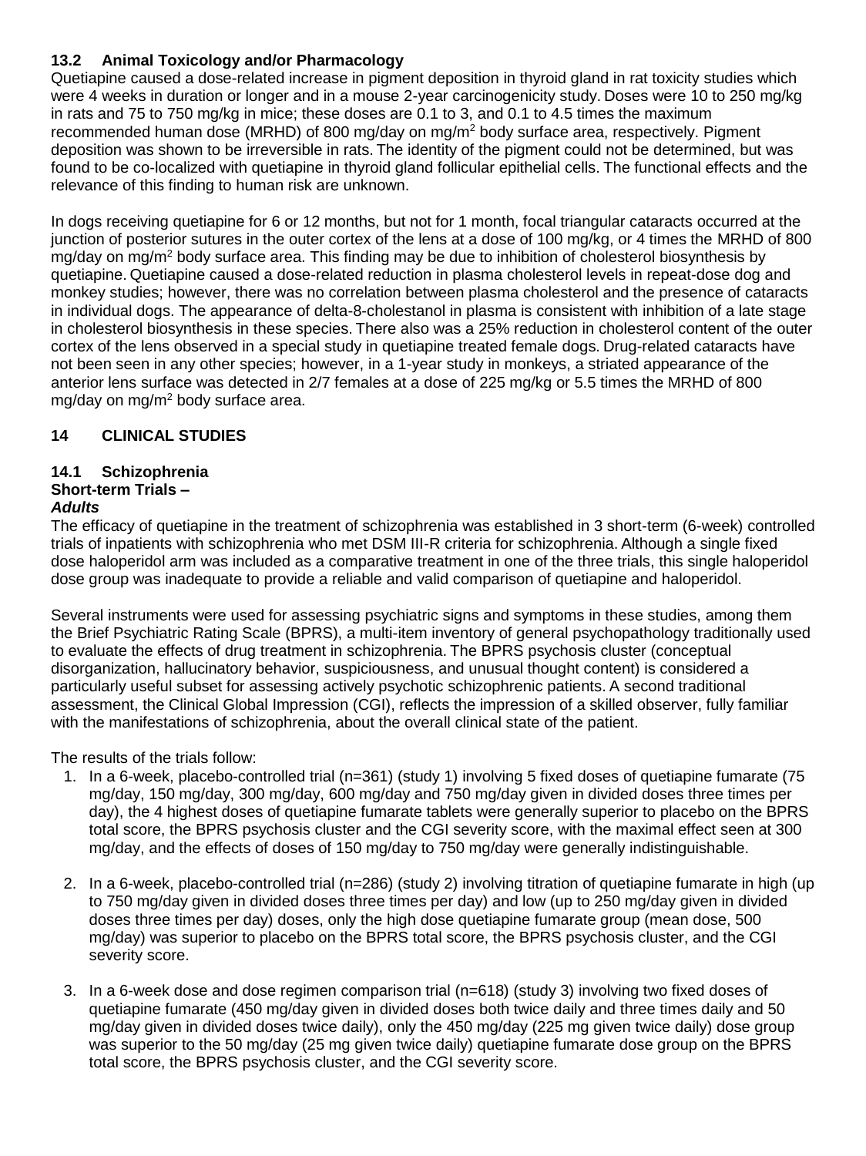# <span id="page-32-0"></span>**13.2 Animal Toxicology and/or Pharmacology**

Quetiapine caused a dose-related increase in pigment deposition in thyroid gland in rat toxicity studies which were 4 weeks in duration or longer and in a mouse 2-year carcinogenicity study. Doses were 10 to 250 mg/kg in rats and 75 to 750 mg/kg in mice; these doses are 0.1 to 3, and 0.1 to 4.5 times the maximum recommended human dose (MRHD) of 800 mg/day on mg/m<sup>2</sup> body surface area, respectively. Pigment deposition was shown to be irreversible in rats. The identity of the pigment could not be determined, but was found to be co-localized with quetiapine in thyroid gland follicular epithelial cells. The functional effects and the relevance of this finding to human risk are unknown.

In dogs receiving quetiapine for 6 or 12 months, but not for 1 month, focal triangular cataracts occurred at the junction of posterior sutures in the outer cortex of the lens at a dose of 100 mg/kg, or 4 times the MRHD of 800 mg/day on mg/m<sup>2</sup> body surface area. This finding may be due to inhibition of cholesterol biosynthesis by quetiapine. Quetiapine caused a dose-related reduction in plasma cholesterol levels in repeat-dose dog and monkey studies; however, there was no correlation between plasma cholesterol and the presence of cataracts in individual dogs. The appearance of delta-8-cholestanol in plasma is consistent with inhibition of a late stage in cholesterol biosynthesis in these species. There also was a 25% reduction in cholesterol content of the outer cortex of the lens observed in a special study in quetiapine treated female dogs. Drug-related cataracts have not been seen in any other species; however, in a 1-year study in monkeys, a striated appearance of the anterior lens surface was detected in 2/7 females at a dose of 225 mg/kg or 5.5 times the MRHD of 800 mg/day on mg/m<sup>2</sup> body surface area.

# <span id="page-32-1"></span>**14 CLINICAL STUDIES**

# <span id="page-32-2"></span>**14.1 Schizophrenia**

# **Short-term Trials –**

# *Adults*

The efficacy of quetiapine in the treatment of schizophrenia was established in 3 short-term (6-week) controlled trials of inpatients with schizophrenia who met DSM III-R criteria for schizophrenia. Although a single fixed dose haloperidol arm was included as a comparative treatment in one of the three trials, this single haloperidol dose group was inadequate to provide a reliable and valid comparison of quetiapine and haloperidol.

Several instruments were used for assessing psychiatric signs and symptoms in these studies, among them the Brief Psychiatric Rating Scale (BPRS), a multi-item inventory of general psychopathology traditionally used to evaluate the effects of drug treatment in schizophrenia. The BPRS psychosis cluster (conceptual disorganization, hallucinatory behavior, suspiciousness, and unusual thought content) is considered a particularly useful subset for assessing actively psychotic schizophrenic patients. A second traditional assessment, the Clinical Global Impression (CGI), reflects the impression of a skilled observer, fully familiar with the manifestations of schizophrenia, about the overall clinical state of the patient.

The results of the trials follow:

- 1. In a 6-week, placebo-controlled trial (n=361) (study 1) involving 5 fixed doses of quetiapine fumarate (75 mg/day, 150 mg/day, 300 mg/day, 600 mg/day and 750 mg/day given in divided doses three times per day), the 4 highest doses of quetiapine fumarate tablets were generally superior to placebo on the BPRS total score, the BPRS psychosis cluster and the CGI severity score, with the maximal effect seen at 300 mg/day, and the effects of doses of 150 mg/day to 750 mg/day were generally indistinguishable.
- 2. In a 6-week, placebo-controlled trial (n=286) (study 2) involving titration of quetiapine fumarate in high (up to 750 mg/day given in divided doses three times per day) and low (up to 250 mg/day given in divided doses three times per day) doses, only the high dose quetiapine fumarate group (mean dose, 500 mg/day) was superior to placebo on the BPRS total score, the BPRS psychosis cluster, and the CGI severity score.
- 3. In a 6-week dose and dose regimen comparison trial (n=618) (study 3) involving two fixed doses of quetiapine fumarate (450 mg/day given in divided doses both twice daily and three times daily and 50 mg/day given in divided doses twice daily), only the 450 mg/day (225 mg given twice daily) dose group was superior to the 50 mg/day (25 mg given twice daily) quetiapine fumarate dose group on the BPRS total score, the BPRS psychosis cluster, and the CGI severity score.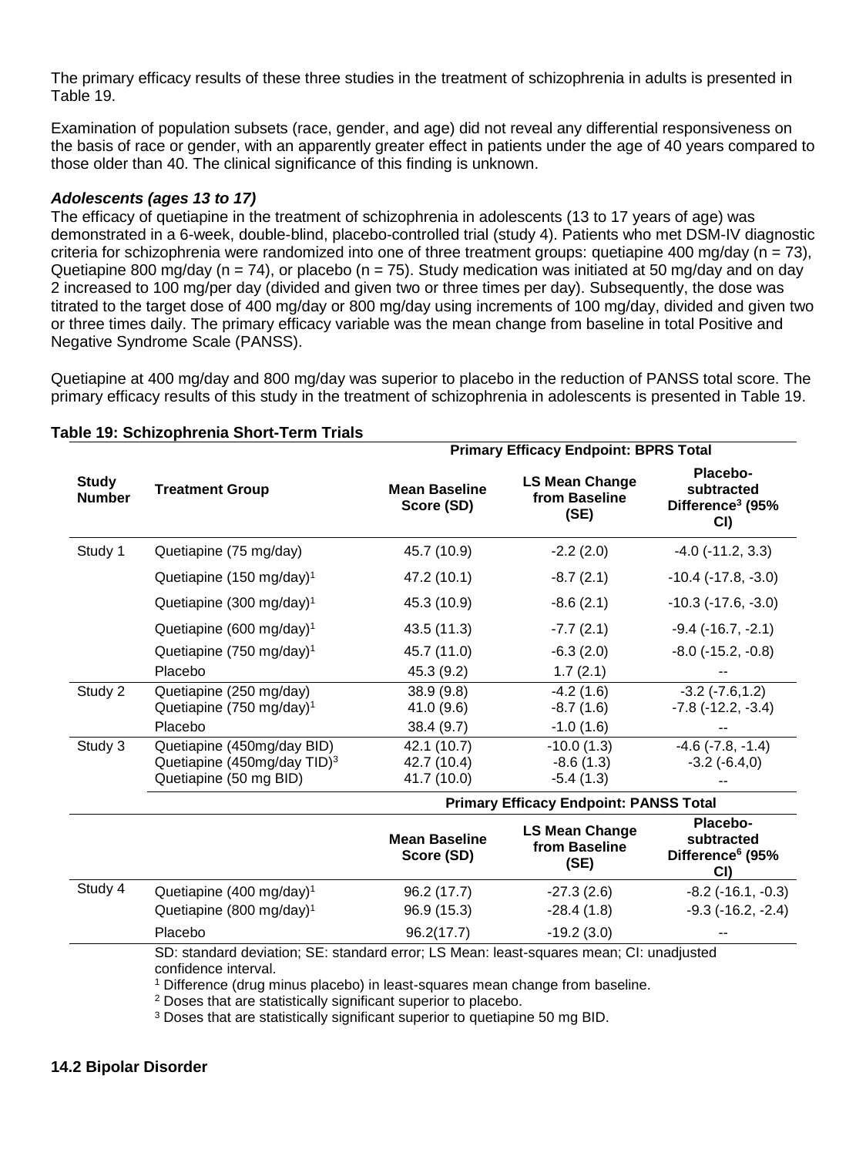The primary efficacy results of these three studies in the treatment of schizophrenia in adults is presented in Table 19.

Examination of population subsets (race, gender, and age) did not reveal any differential responsiveness on the basis of race or gender, with an apparently greater effect in patients under the age of 40 years compared to those older than 40. The clinical significance of this finding is unknown.

#### *Adolescents (ages 13 to 17)*

The efficacy of quetiapine in the treatment of schizophrenia in adolescents (13 to 17 years of age) was demonstrated in a 6-week, double-blind, placebo-controlled trial (study 4). Patients who met DSM-IV diagnostic criteria for schizophrenia were randomized into one of three treatment groups: quetiapine 400 mg/day (n = 73), Quetiapine 800 mg/day ( $n = 74$ ), or placebo ( $n = 75$ ). Study medication was initiated at 50 mg/day and on day 2 increased to 100 mg/per day (divided and given two or three times per day). Subsequently, the dose was titrated to the target dose of 400 mg/day or 800 mg/day using increments of 100 mg/day, divided and given two or three times daily. The primary efficacy variable was the mean change from baseline in total Positive and Negative Syndrome Scale (PANSS).

Quetiapine at 400 mg/day and 800 mg/day was superior to placebo in the reduction of PANSS total score. The primary efficacy results of this study in the treatment of schizophrenia in adolescents is presented in Table 19.

|                               |                                                                                                 | <b>Primary Efficacy Endpoint: BPRS Total</b> |                                                |                                                                      |  |  |  |
|-------------------------------|-------------------------------------------------------------------------------------------------|----------------------------------------------|------------------------------------------------|----------------------------------------------------------------------|--|--|--|
| <b>Study</b><br><b>Number</b> | <b>Treatment Group</b>                                                                          | <b>Mean Baseline</b><br>Score (SD)           | <b>LS Mean Change</b><br>from Baseline<br>(SE) | Placebo-<br>subtracted<br>Difference <sup>3</sup> (95%<br>CI)        |  |  |  |
| Study 1                       | Quetiapine (75 mg/day)                                                                          | 45.7 (10.9)                                  | $-2.2(2.0)$                                    | $-4.0$ ( $-11.2$ , 3.3)                                              |  |  |  |
|                               | Quetiapine (150 mg/day) <sup>1</sup>                                                            | 47.2 (10.1)                                  | $-8.7(2.1)$                                    | $-10.4$ $(-17.8, -3.0)$                                              |  |  |  |
|                               | Quetiapine (300 mg/day) <sup>1</sup>                                                            | 45.3 (10.9)                                  | $-8.6(2.1)$                                    | $-10.3$ $(-17.6, -3.0)$                                              |  |  |  |
|                               | Quetiapine (600 mg/day) <sup>1</sup>                                                            | 43.5 (11.3)                                  | $-7.7(2.1)$                                    | $-9.4$ ( $-16.7$ , $-2.1$ )                                          |  |  |  |
|                               | Quetiapine (750 mg/day) <sup>1</sup>                                                            | 45.7 (11.0)                                  | $-6.3(2.0)$                                    | $-8.0$ ( $-15.2$ , $-0.8$ )                                          |  |  |  |
|                               | Placebo                                                                                         | 45.3 (9.2)                                   | 1.7(2.1)                                       |                                                                      |  |  |  |
| Study 2                       | Quetiapine (250 mg/day)<br>Quetiapine (750 mg/day) <sup>1</sup>                                 | 38.9(9.8)<br>41.0(9.6)                       | $-4.2(1.6)$<br>$-8.7(1.6)$                     | $-3.2$ $(-7.6, 1.2)$<br>$-7.8$ ( $-12.2, -3.4$ )                     |  |  |  |
|                               | Placebo                                                                                         | 38.4(9.7)                                    | $-1.0(1.6)$                                    |                                                                      |  |  |  |
| Study 3                       | Quetiapine (450mg/day BID)<br>Quetiapine (450mg/day TID) <sup>3</sup><br>Quetiapine (50 mg BID) | 42.1 (10.7)<br>42.7 (10.4)<br>41.7 (10.0)    | $-10.0(1.3)$<br>$-8.6(1.3)$<br>$-5.4(1.3)$     | $-4.6$ ( $-7.8$ , $-1.4$ )<br>$-3.2$ $(-6.4,0)$                      |  |  |  |
|                               |                                                                                                 |                                              | <b>Primary Efficacy Endpoint: PANSS Total</b>  |                                                                      |  |  |  |
|                               |                                                                                                 | <b>Mean Baseline</b><br>Score (SD)           | <b>LS Mean Change</b><br>from Baseline<br>(SE) | <b>Placebo-</b><br>subtracted<br>Difference <sup>6</sup> (95%<br>CI) |  |  |  |

#### **Table 19: Schizophrenia Short-Term Trials**

Placebo 96.2(17.7) -19.2 (3.0) SD: standard deviation; SE: standard error; LS Mean: least-squares mean; CI: unadjusted confidence interval.

Quetiapine (800 mg/day)<sup>1</sup> 96.9 (15.3) -28.4 (1.8) -9.3 (-16.2, -2.4)

96.2 (17.7) -27.3 (2.6) -8.2 (-16.1, -0.3)

<sup>1</sup> Difference (drug minus placebo) in least-squares mean change from baseline.

<sup>2</sup> Doses that are statistically significant superior to placebo.

<span id="page-33-0"></span><sup>3</sup> Doses that are statistically significant superior to quetiapine 50 mg BID.

Study 4 Quetiapine (400 mg/day)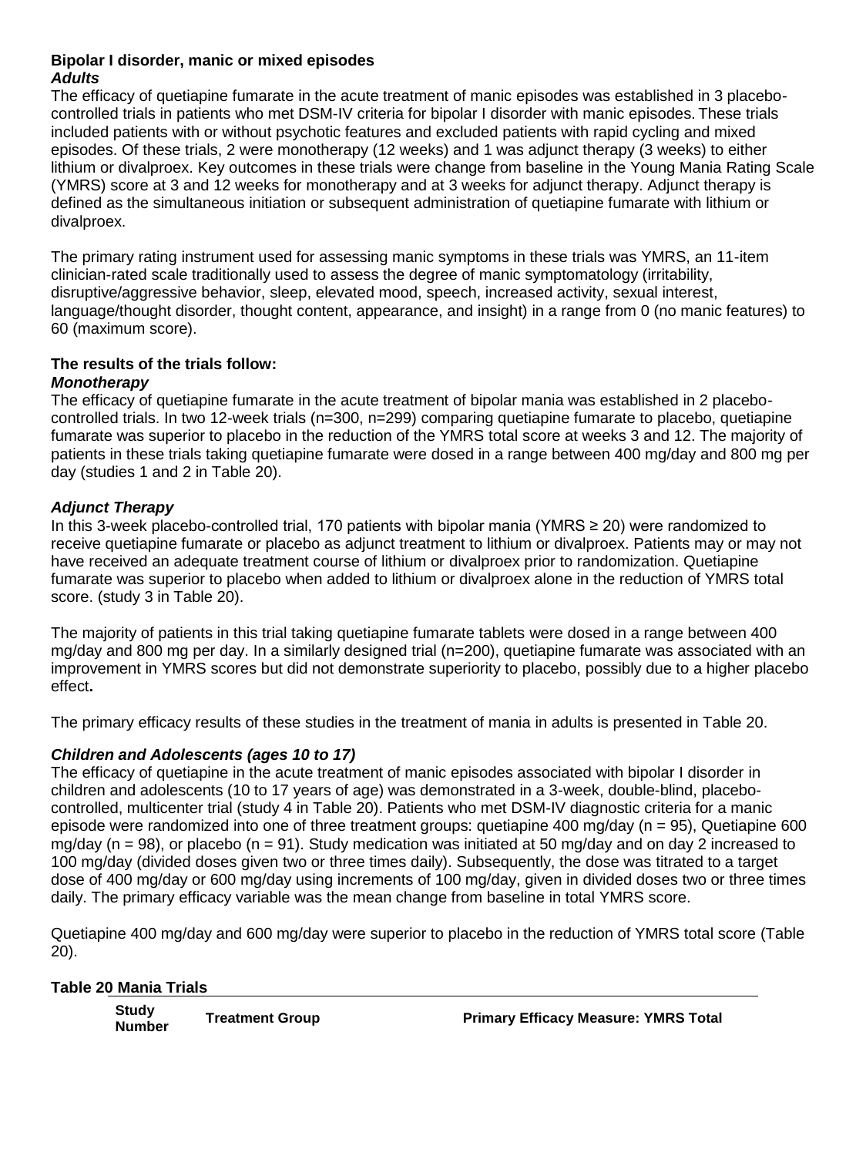#### **Bipolar I disorder, manic or mixed episodes** *Adults*

The efficacy of quetiapine fumarate in the acute treatment of manic episodes was established in 3 placebocontrolled trials in patients who met DSM-IV criteria for bipolar I disorder with manic episodes. These trials included patients with or without psychotic features and excluded patients with rapid cycling and mixed episodes. Of these trials, 2 were monotherapy (12 weeks) and 1 was adjunct therapy (3 weeks) to either lithium or divalproex. Key outcomes in these trials were change from baseline in the Young Mania Rating Scale (YMRS) score at 3 and 12 weeks for monotherapy and at 3 weeks for adjunct therapy. Adjunct therapy is defined as the simultaneous initiation or subsequent administration of quetiapine fumarate with lithium or divalproex.

The primary rating instrument used for assessing manic symptoms in these trials was YMRS, an 11-item clinician-rated scale traditionally used to assess the degree of manic symptomatology (irritability, disruptive/aggressive behavior, sleep, elevated mood, speech, increased activity, sexual interest, language/thought disorder, thought content, appearance, and insight) in a range from 0 (no manic features) to 60 (maximum score).

# **The results of the trials follow:**

# *Monotherapy*

The efficacy of quetiapine fumarate in the acute treatment of bipolar mania was established in 2 placebocontrolled trials. In two 12-week trials (n=300, n=299) comparing quetiapine fumarate to placebo, quetiapine fumarate was superior to placebo in the reduction of the YMRS total score at weeks 3 and 12. The majority of patients in these trials taking quetiapine fumarate were dosed in a range between 400 mg/day and 800 mg per day (studies 1 and 2 in Table 20).

# *Adjunct Therapy*

In this 3-week placebo-controlled trial, 170 patients with bipolar mania (YMRS ≥ 20) were randomized to receive quetiapine fumarate or placebo as adjunct treatment to lithium or divalproex. Patients may or may not have received an adequate treatment course of lithium or divalproex prior to randomization. Quetiapine fumarate was superior to placebo when added to lithium or divalproex alone in the reduction of YMRS total score. (study 3 in Table 20).

The majority of patients in this trial taking quetiapine fumarate tablets were dosed in a range between 400 mg/day and 800 mg per day. In a similarly designed trial (n=200), quetiapine fumarate was associated with an improvement in YMRS scores but did not demonstrate superiority to placebo, possibly due to a higher placebo effect**.**

The primary efficacy results of these studies in the treatment of mania in adults is presented in Table 20.

# *Children and Adolescents (ages 10 to 17)*

The efficacy of quetiapine in the acute treatment of manic episodes associated with bipolar I disorder in children and adolescents (10 to 17 years of age) was demonstrated in a 3-week, double-blind, placebocontrolled, multicenter trial (study 4 in Table 20). Patients who met DSM-IV diagnostic criteria for a manic episode were randomized into one of three treatment groups: quetiapine 400 mg/day (n = 95), Quetiapine 600 mg/day (n = 98), or placebo (n = 91). Study medication was initiated at 50 mg/day and on day 2 increased to 100 mg/day (divided doses given two or three times daily). Subsequently, the dose was titrated to a target dose of 400 mg/day or 600 mg/day using increments of 100 mg/day, given in divided doses two or three times daily. The primary efficacy variable was the mean change from baseline in total YMRS score.

Quetiapine 400 mg/day and 600 mg/day were superior to placebo in the reduction of YMRS total score (Table 20).

**Table 20 Mania Trials**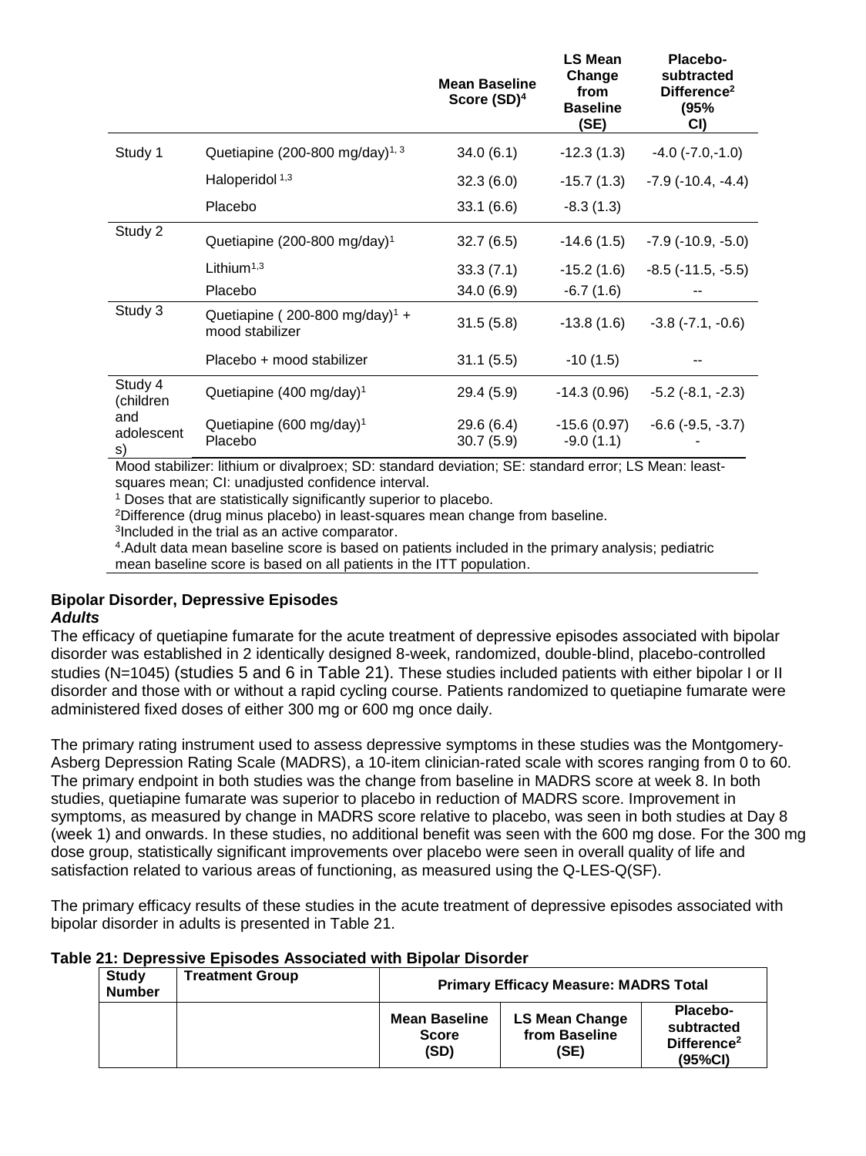|                         |                                                               | <b>Mean Baseline</b><br>Score (SD) <sup>4</sup> | <b>LS Mean</b><br>Change<br>from<br><b>Baseline</b><br>(SE) | Placebo-<br>subtracted<br>Difference <sup>2</sup><br>(95%<br>CI) |
|-------------------------|---------------------------------------------------------------|-------------------------------------------------|-------------------------------------------------------------|------------------------------------------------------------------|
| Study 1                 | Quetiapine (200-800 mg/day) $1,3$                             | 34.0(6.1)                                       | $-12.3(1.3)$                                                | $-4.0$ $(-7.0,-1.0)$                                             |
|                         | Haloperidol <sup>1,3</sup>                                    | 32.3(6.0)                                       | $-15.7(1.3)$                                                | $-7.9$ ( $-10.4$ , $-4.4$ )                                      |
|                         | Placebo                                                       | 33.1(6.6)                                       | $-8.3(1.3)$                                                 |                                                                  |
| Study 2                 | Quetiapine (200-800 mg/day) <sup>1</sup>                      | 32.7(6.5)                                       | $-14.6(1.5)$                                                | $-7.9$ ( $-10.9$ , $-5.0$ )                                      |
|                         | Lithium <sup>1,3</sup>                                        | 33.3(7.1)                                       | $-15.2(1.6)$                                                | $-8.5$ ( $-11.5, -5.5$ )                                         |
|                         | Placebo                                                       | 34.0(6.9)                                       | $-6.7(1.6)$                                                 |                                                                  |
| Study 3                 | Quetiapine (200-800 mg/day) <sup>1</sup> +<br>mood stabilizer | 31.5(5.8)                                       | $-13.8(1.6)$                                                | $-3.8$ $(-7.1, -0.6)$                                            |
|                         | Placebo + mood stabilizer                                     | 31.1(5.5)                                       | $-10(1.5)$                                                  |                                                                  |
| Study 4<br>(children    | Quetiapine (400 mg/day) <sup>1</sup>                          | 29.4 (5.9)                                      | $-14.3(0.96)$                                               | $-5.2$ $(-8.1, -2.3)$                                            |
| and<br>adolescent<br>s) | Quetiapine (600 mg/day) <sup>1</sup><br>Placebo               | 29.6(6.4)<br>30.7(5.9)                          | $-15.6(0.97)$<br>$-9.0(1.1)$                                | $-6.6$ $(-9.5, -3.7)$                                            |

Mood stabilizer: lithium or divalproex; SD: standard deviation; SE: standard error; LS Mean: leastsquares mean; CI: unadjusted confidence interval.

<sup>1</sup> Doses that are statistically significantly superior to placebo.

<sup>2</sup>Difference (drug minus placebo) in least-squares mean change from baseline.

3 Included in the trial as an active comparator.

4 .Adult data mean baseline score is based on patients included in the primary analysis; pediatric mean baseline score is based on all patients in the ITT population.

## **Bipolar Disorder, Depressive Episodes** *Adults*

The efficacy of quetiapine fumarate for the acute treatment of depressive episodes associated with bipolar disorder was established in 2 identically designed 8-week, randomized, double-blind, placebo-controlled studies (N=1045) (studies 5 and 6 in Table 21). These studies included patients with either bipolar I or II disorder and those with or without a rapid cycling course. Patients randomized to quetiapine fumarate were administered fixed doses of either 300 mg or 600 mg once daily.

The primary rating instrument used to assess depressive symptoms in these studies was the Montgomery-Asberg Depression Rating Scale (MADRS), a 10-item clinician-rated scale with scores ranging from 0 to 60. The primary endpoint in both studies was the change from baseline in MADRS score at week 8. In both studies, quetiapine fumarate was superior to placebo in reduction of MADRS score. Improvement in symptoms, as measured by change in MADRS score relative to placebo, was seen in both studies at Day 8 (week 1) and onwards. In these studies, no additional benefit was seen with the 600 mg dose. For the 300 mg dose group, statistically significant improvements over placebo were seen in overall quality of life and satisfaction related to various areas of functioning, as measured using the Q-LES-Q(SF).

The primary efficacy results of these studies in the acute treatment of depressive episodes associated with bipolar disorder in adults is presented in Table 21.

|  |  |  |  | Table 21: Depressive Episodes Associated with Bipolar Disorder |  |  |  |
|--|--|--|--|----------------------------------------------------------------|--|--|--|
|--|--|--|--|----------------------------------------------------------------|--|--|--|

| <b>Study</b><br><b>Number</b> | <b>Treatment Group</b> | <b>Primary Efficacy Measure: MADRS Total</b> |                                                |                                                                     |  |  |  |
|-------------------------------|------------------------|----------------------------------------------|------------------------------------------------|---------------------------------------------------------------------|--|--|--|
|                               |                        | <b>Mean Baseline</b><br><b>Score</b><br>(SD) | <b>LS Mean Change</b><br>from Baseline<br>(SE) | <b>Placebo-</b><br>subtracted<br>Difference <sup>2</sup><br>(95%CI) |  |  |  |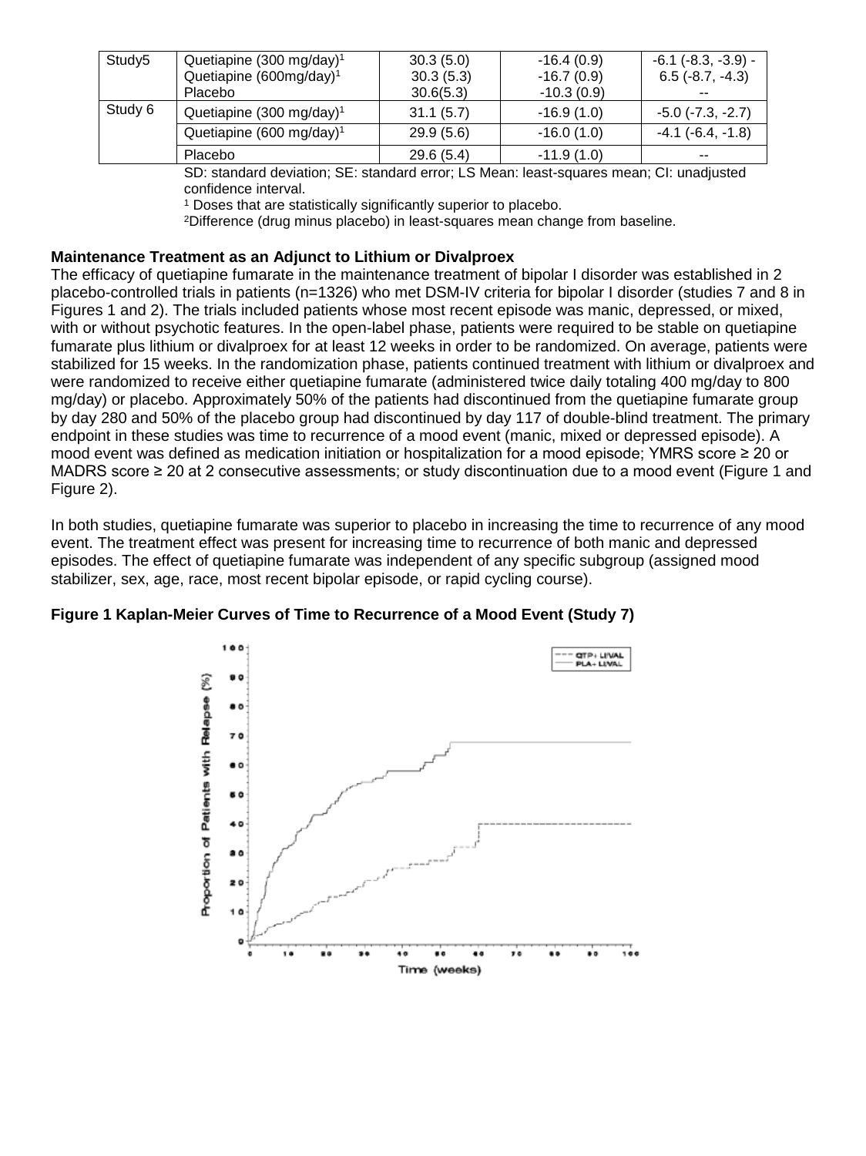| Study <sub>5</sub> | Quetiapine (300 mg/day) <sup>1</sup> | 30.3(5.0) | $-16.4(0.9)$ | $-6.1$ $(-8.3, -3.9)$ - |
|--------------------|--------------------------------------|-----------|--------------|-------------------------|
|                    | Quetiapine (600mg/day) <sup>1</sup>  | 30.3(5.3) | $-16.7(0.9)$ | $6.5(-8.7, -4.3)$       |
|                    | Placebo                              | 30.6(5.3) | $-10.3(0.9)$ | $- -$                   |
| Study 6            | Quetiapine (300 mg/day) <sup>1</sup> | 31.1(5.7) | $-16.9(1.0)$ | $-5.0$ $(-7.3, -2.7)$   |
|                    | Quetiapine (600 mg/day) <sup>1</sup> | 29.9(5.6) | $-16.0(1.0)$ | $-4.1$ $(-6.4, -1.8)$   |
|                    | Placebo                              | 29.6(5.4) | $-11.9(1.0)$ | $- -$                   |

SD: standard deviation; SE: standard error; LS Mean: least-squares mean; CI: unadjusted confidence interval.

<sup>1</sup> Doses that are statistically significantly superior to placebo.

<sup>2</sup>Difference (drug minus placebo) in least-squares mean change from baseline.

#### **Maintenance Treatment as an Adjunct to Lithium or Divalproex**

The efficacy of quetiapine fumarate in the maintenance treatment of bipolar I disorder was established in 2 placebo-controlled trials in patients (n=1326) who met DSM-IV criteria for bipolar I disorder (studies 7 and 8 in Figures 1 and 2). The trials included patients whose most recent episode was manic, depressed, or mixed, with or without psychotic features. In the open-label phase, patients were required to be stable on quetiapine fumarate plus lithium or divalproex for at least 12 weeks in order to be randomized. On average, patients were stabilized for 15 weeks. In the randomization phase, patients continued treatment with lithium or divalproex and were randomized to receive either quetiapine fumarate (administered twice daily totaling 400 mg/day to 800 mg/day) or placebo. Approximately 50% of the patients had discontinued from the quetiapine fumarate group by day 280 and 50% of the placebo group had discontinued by day 117 of double-blind treatment. The primary endpoint in these studies was time to recurrence of a mood event (manic, mixed or depressed episode). A mood event was defined as medication initiation or hospitalization for a mood episode; YMRS score ≥ 20 or MADRS score ≥ 20 at 2 consecutive assessments; or study discontinuation due to a mood event (Figure 1 and Figure 2).

In both studies, quetiapine fumarate was superior to placebo in increasing the time to recurrence of any mood event. The treatment effect was present for increasing time to recurrence of both manic and depressed episodes. The effect of quetiapine fumarate was independent of any specific subgroup (assigned mood stabilizer, sex, age, race, most recent bipolar episode, or rapid cycling course).



#### **Figure 1 Kaplan-Meier Curves of Time to Recurrence of a Mood Event (Study 7)**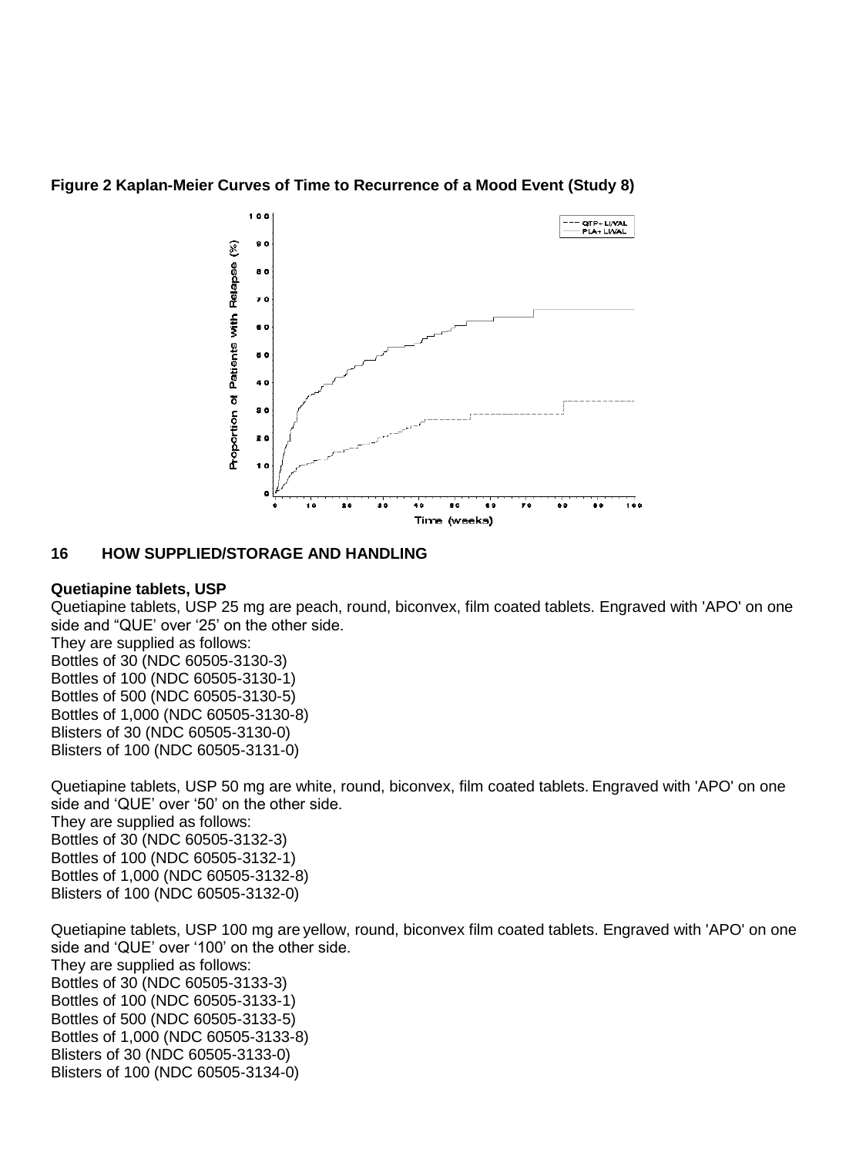

## **Figure 2 Kaplan-Meier Curves of Time to Recurrence of a Mood Event (Study 8)**

#### <span id="page-37-0"></span>**16 HOW SUPPLIED/STORAGE AND HANDLING**

#### **Quetiapine tablets, USP**

Quetiapine tablets, USP 25 mg are peach, round, biconvex, film coated tablets. Engraved with 'APO' on one side and "QUE' over '25' on the other side.

They are supplied as follows: Bottles of 30 (NDC 60505-3130-3) Bottles of 100 (NDC 60505-3130-1) Bottles of 500 (NDC 60505-3130-5) Bottles of 1,000 (NDC 60505-3130-8) Blisters of 30 (NDC 60505-3130-0) Blisters of 100 (NDC 60505-3131-0)

Quetiapine tablets, USP 50 mg are white, round, biconvex, film coated tablets. Engraved with 'APO' on one side and 'QUE' over '50' on the other side. They are supplied as follows: Bottles of 30 (NDC 60505-3132-3) Bottles of 100 (NDC 60505-3132-1) Bottles of 1,000 (NDC 60505-3132-8) Blisters of 100 (NDC 60505-3132-0)

Quetiapine tablets, USP 100 mg are yellow, round, biconvex film coated tablets. Engraved with 'APO' on one side and 'QUE' over '100' on the other side. They are supplied as follows: Bottles of 30 (NDC 60505-3133-3) Bottles of 100 (NDC 60505-3133-1) Bottles of 500 (NDC 60505-3133-5) Bottles of 1,000 (NDC 60505-3133-8) Blisters of 30 (NDC 60505-3133-0) Blisters of 100 (NDC 60505-3134-0)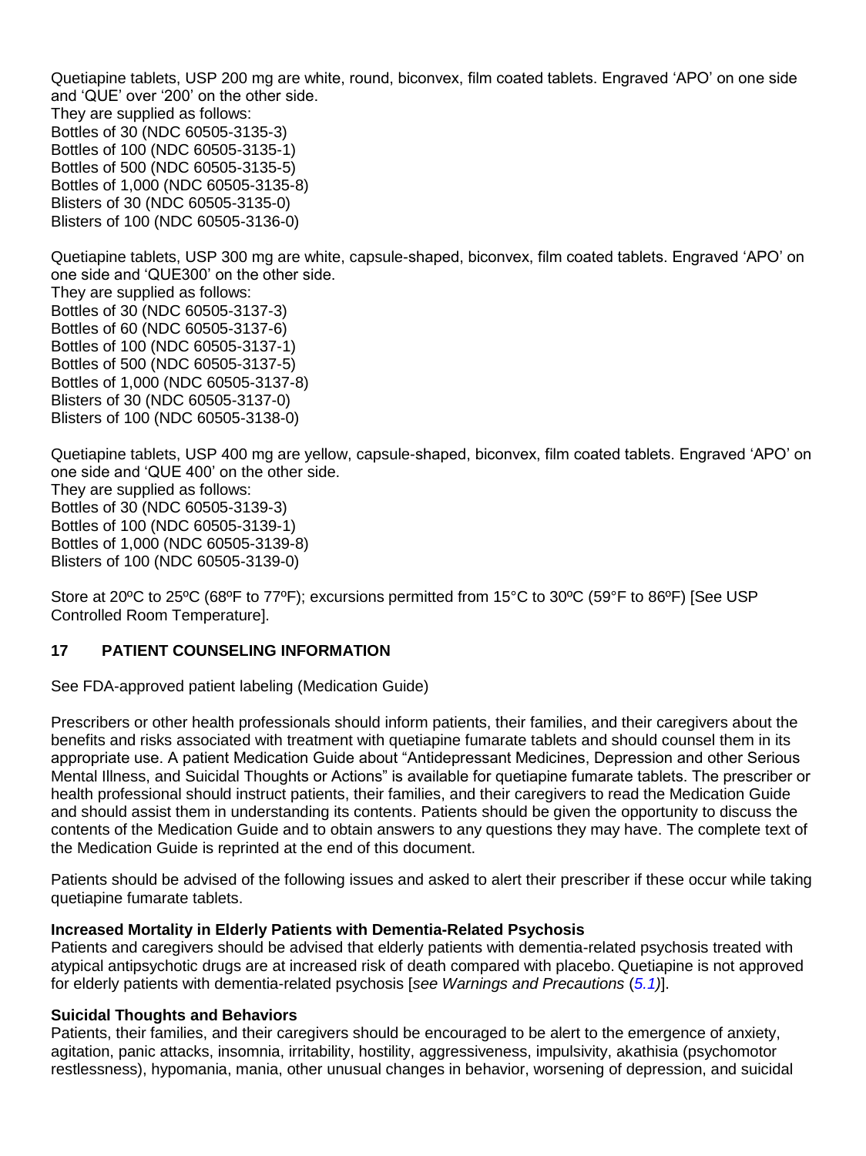Quetiapine tablets, USP 200 mg are white, round, biconvex, film coated tablets. Engraved 'APO' on one side and 'QUE' over '200' on the other side. They are supplied as follows: Bottles of 30 (NDC 60505-3135-3) Bottles of 100 (NDC 60505-3135-1) Bottles of 500 (NDC 60505-3135-5) Bottles of 1,000 (NDC 60505-3135-8) Blisters of 30 (NDC 60505-3135-0) Blisters of 100 (NDC 60505-3136-0)

Quetiapine tablets, USP 300 mg are white, capsule-shaped, biconvex, film coated tablets. Engraved 'APO' on one side and 'QUE300' on the other side. They are supplied as follows: Bottles of 30 (NDC 60505-3137-3) Bottles of 60 (NDC 60505-3137-6) Bottles of 100 (NDC 60505-3137-1) Bottles of 500 (NDC 60505-3137-5) Bottles of 1,000 (NDC 60505-3137-8) Blisters of 30 (NDC 60505-3137-0) Blisters of 100 (NDC 60505-3138-0)

Quetiapine tablets, USP 400 mg are yellow, capsule-shaped, biconvex, film coated tablets. Engraved 'APO' on one side and 'QUE 400' on the other side. They are supplied as follows: Bottles of 30 (NDC 60505-3139-3) Bottles of 100 (NDC 60505-3139-1) Bottles of 1,000 (NDC 60505-3139-8) Blisters of 100 (NDC 60505-3139-0)

Store at 20ºC to 25ºC (68ºF to 77ºF); excursions permitted from 15°C to 30ºC (59°F to 86ºF) [See USP Controlled Room Temperature].

#### <span id="page-38-0"></span>**17 PATIENT COUNSELING INFORMATION**

See FDA-approved patient labeling (Medication Guide)

Prescribers or other health professionals should inform patients, their families, and their caregivers about the benefits and risks associated with treatment with quetiapine fumarate tablets and should counsel them in its appropriate use. A patient Medication Guide about "Antidepressant Medicines, Depression and other Serious Mental Illness, and Suicidal Thoughts or Actions" is available for quetiapine fumarate tablets. The prescriber or health professional should instruct patients, their families, and their caregivers to read the Medication Guide and should assist them in understanding its contents. Patients should be given the opportunity to discuss the contents of the Medication Guide and to obtain answers to any questions they may have. The complete text of the Medication Guide is reprinted at the end of this document.

Patients should be advised of the following issues and asked to alert their prescriber if these occur while taking quetiapine fumarate tablets.

#### **Increased Mortality in Elderly Patients with Dementia-Related Psychosis**

Patients and caregivers should be advised that elderly patients with dementia-related psychosis treated with atypical antipsychotic drugs are at increased risk of death compared with placebo. Quetiapine is not approved for elderly patients with dementia-related psychosis [*see Warnings and Precautions* (*[5.1\)](#page-5-1)*].

#### **Suicidal Thoughts and Behaviors**

Patients, their families, and their caregivers should be encouraged to be alert to the emergence of anxiety, agitation, panic attacks, insomnia, irritability, hostility, aggressiveness, impulsivity, akathisia (psychomotor restlessness), hypomania, mania, other unusual changes in behavior, worsening of depression, and suicidal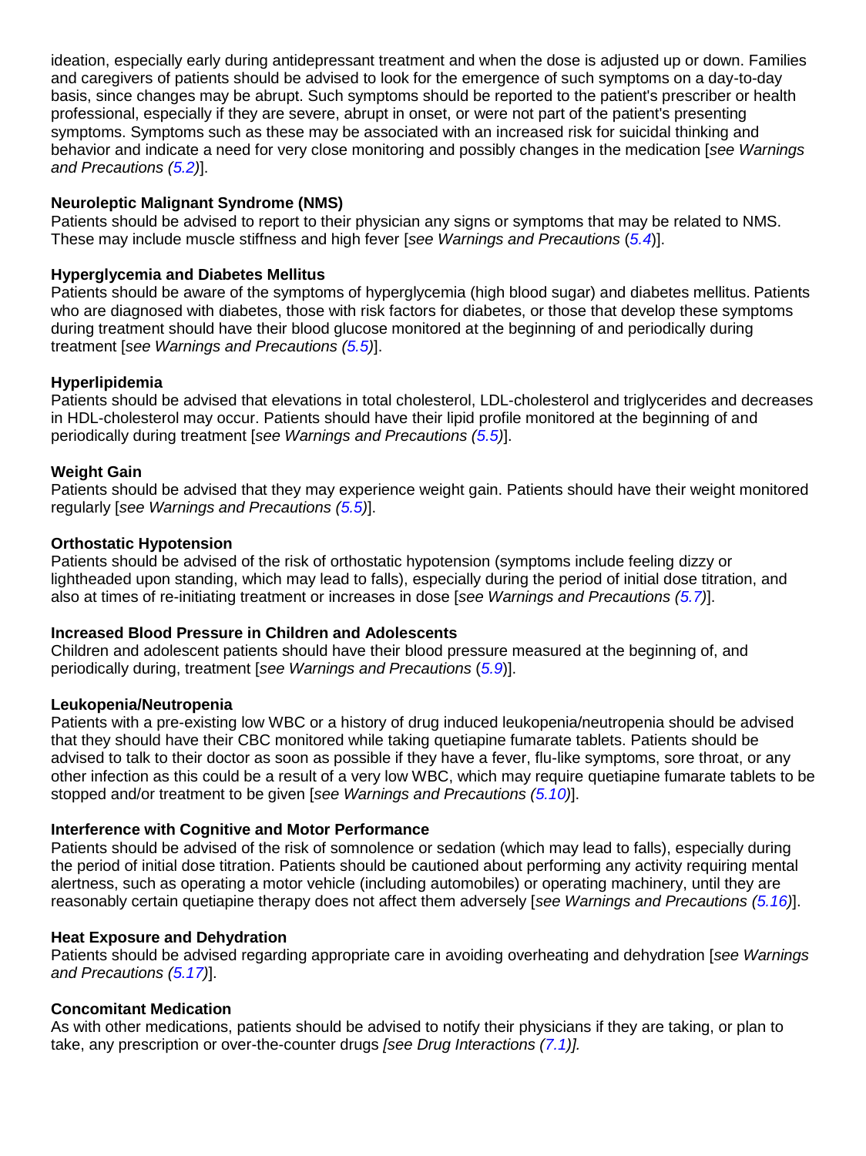ideation, especially early during antidepressant treatment and when the dose is adjusted up or down. Families and caregivers of patients should be advised to look for the emergence of such symptoms on a day-to-day basis, since changes may be abrupt. Such symptoms should be reported to the patient's prescriber or health professional, especially if they are severe, abrupt in onset, or were not part of the patient's presenting symptoms. Symptoms such as these may be associated with an increased risk for suicidal thinking and behavior and indicate a need for very close monitoring and possibly changes in the medication [*see Warnings and Precautions [\(5.2\)](#page-5-2)*].

#### **Neuroleptic Malignant Syndrome (NMS)**

Patients should be advised to report to their physician any signs or symptoms that may be related to NMS. These may include muscle stiffness and high fever [*see Warnings and Precautions* (*[5.4](#page-7-0)*)].

#### **Hyperglycemia and Diabetes Mellitus**

Patients should be aware of the symptoms of hyperglycemia (high blood sugar) and diabetes mellitus. Patients who are diagnosed with diabetes, those with risk factors for diabetes, or those that develop these symptoms during treatment should have their blood glucose monitored at the beginning of and periodically during treatment [*see Warnings and Precautions [\(5.5\)](#page-7-1)*].

#### **Hyperlipidemia**

Patients should be advised that elevations in total cholesterol, LDL-cholesterol and triglycerides and decreases in HDL-cholesterol may occur. Patients should have their lipid profile monitored at the beginning of and periodically during treatment [*see Warnings and Precautions [\(5.5\)](#page-7-1)*].

#### **Weight Gain**

Patients should be advised that they may experience weight gain. Patients should have their weight monitored regularly [*see Warnings and Precautions [\(5.5\)](#page-7-1)*].

#### **Orthostatic Hypotension**

Patients should be advised of the risk of orthostatic hypotension (symptoms include feeling dizzy or lightheaded upon standing, which may lead to falls), especially during the period of initial dose titration, and also at times of re-initiating treatment or increases in dose [*see Warnings and Precautions [\(5.7\)](#page-11-1)*].

#### **Increased Blood Pressure in Children and Adolescents**

Children and adolescent patients should have their blood pressure measured at the beginning of, and periodically during, treatment [*see Warnings and Precautions* (*[5.9](#page-11-2)*)].

#### **Leukopenia/Neutropenia**

Patients with a pre-existing low WBC or a history of drug induced leukopenia/neutropenia should be advised that they should have their CBC monitored while taking quetiapine fumarate tablets. Patients should be advised to talk to their doctor as soon as possible if they have a fever, flu-like symptoms, sore throat, or any other infection as this could be a result of a very low WBC, which may require quetiapine fumarate tablets to be stopped and/or treatment to be given [*see Warnings and Precautions [\(5.10\)](#page-11-0)*].

#### **Interference with Cognitive and Motor Performance**

Patients should be advised of the risk of somnolence or sedation (which may lead to falls), especially during the period of initial dose titration. Patients should be cautioned about performing any activity requiring mental alertness, such as operating a motor vehicle (including automobiles) or operating machinery, until they are reasonably certain quetiapine therapy does not affect them adversely [*see Warnings and Precautions [\(5.16\)](#page-14-1)*].

#### **Heat Exposure and Dehydration**

Patients should be advised regarding appropriate care in avoiding overheating and dehydration [*see Warnings and Precautions [\(5.17\)](#page-14-2)*].

#### **Concomitant Medication**

As with other medications, patients should be advised to notify their physicians if they are taking, or plan to take, any prescription or over-the-counter drugs *[see Drug Interactions [\(7.1\)](#page-24-0)].*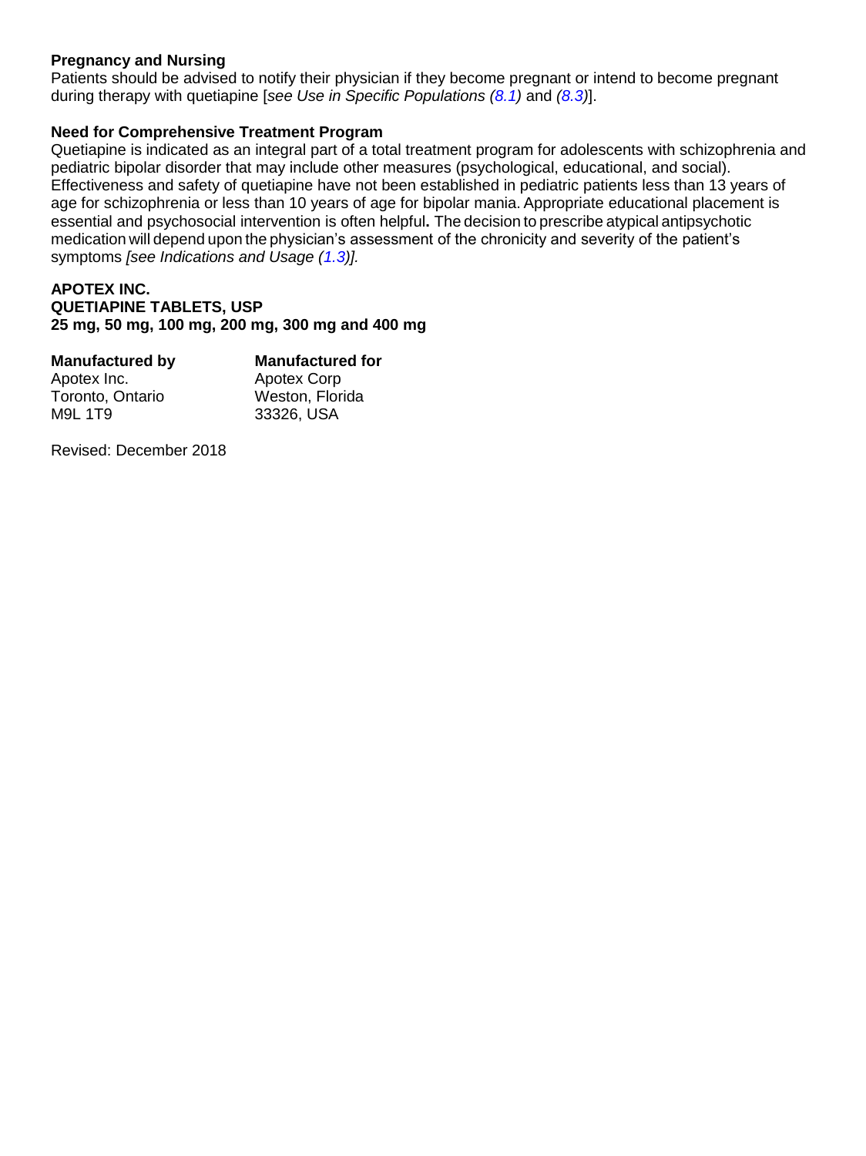#### **Pregnancy and Nursing**

Patients should be advised to notify their physician if they become pregnant or intend to become pregnant during therapy with quetiapine [*see Use in Specific Populations [\(8.1\)](#page-25-0)* and *[\(8.3\)](#page-26-0)*].

#### **Need for Comprehensive Treatment Program**

Quetiapine is indicated as an integral part of a total treatment program for adolescents with schizophrenia and pediatric bipolar disorder that may include other measures (psychological, educational, and social). Effectiveness and safety of quetiapine have not been established in pediatric patients less than 13 years of age for schizophrenia or less than 10 years of age for bipolar mania. Appropriate educational placement is essential and psychosocial intervention is often helpful**.** The decision to prescribe atypical antipsychotic medication will depend upon the physician's assessment of the chronicity and severity of the patient's symptoms *[see Indications and Usage [\(1.3\)](#page-2-3)].*

#### **APOTEX INC. QUETIAPINE TABLETS, USP 25 mg, 50 mg, 100 mg, 200 mg, 300 mg and 400 mg**

| <b>Manufactured by</b> | <b>Manufactured for</b> |  |
|------------------------|-------------------------|--|
| Apotex Inc.            | <b>Apotex Corp</b>      |  |
| Toronto, Ontario       | Weston, Florida         |  |
| M9L 1T9                | 33326, USA              |  |

Revised: December 2018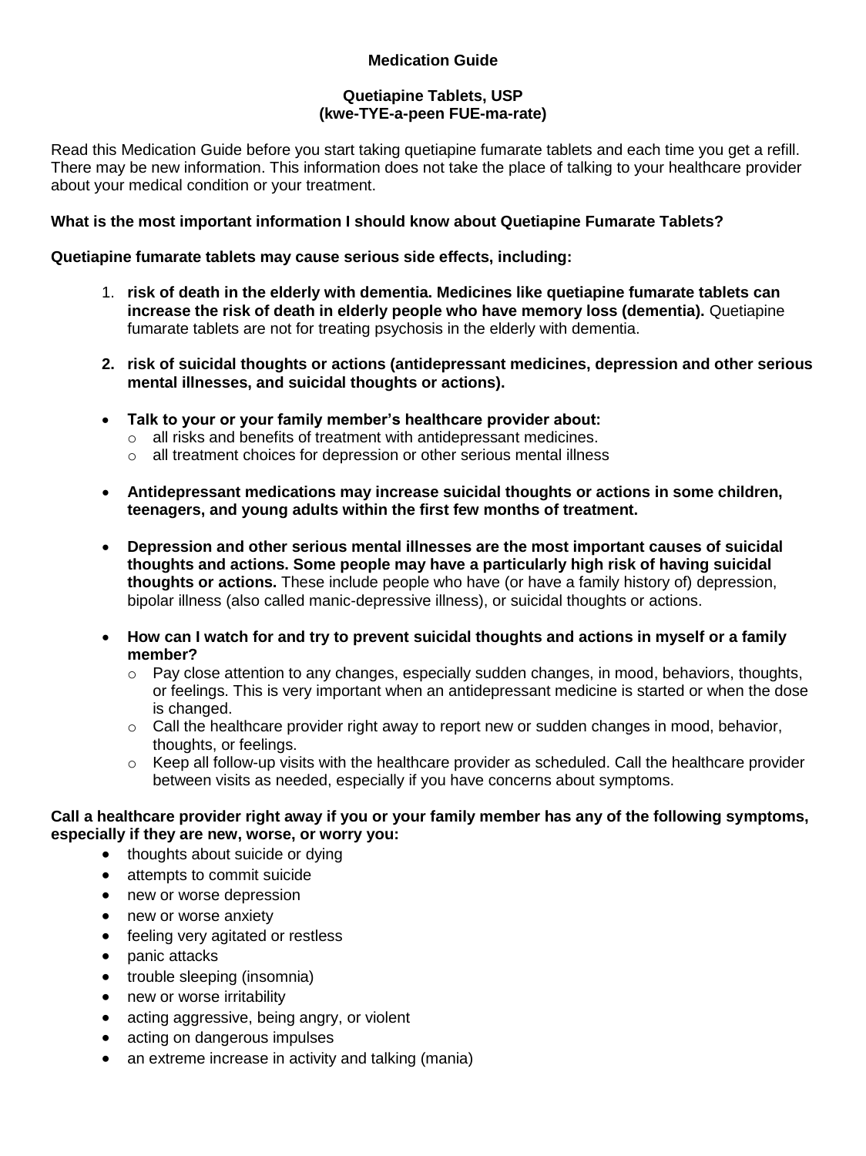## **Medication Guide**

#### **Quetiapine Tablets, USP (kwe-TYE-a-peen FUE-ma-rate)**

Read this Medication Guide before you start taking quetiapine fumarate tablets and each time you get a refill. There may be new information. This information does not take the place of talking to your healthcare provider about your medical condition or your treatment.

#### **What is the most important information I should know about Quetiapine Fumarate Tablets?**

#### **Quetiapine fumarate tablets may cause serious side effects, including:**

- 1. **risk of death in the elderly with dementia. Medicines like quetiapine fumarate tablets can increase the risk of death in elderly people who have memory loss (dementia).** Quetiapine fumarate tablets are not for treating psychosis in the elderly with dementia.
- **2. risk of suicidal thoughts or actions (antidepressant medicines, depression and other serious mental illnesses, and suicidal thoughts or actions).**
- **Talk to your or your family member's healthcare provider about:**
	- $\circ$  all risks and benefits of treatment with antidepressant medicines.
	- o all treatment choices for depression or other serious mental illness
- **Antidepressant medications may increase suicidal thoughts or actions in some children, teenagers, and young adults within the first few months of treatment.**
- **Depression and other serious mental illnesses are the most important causes of suicidal thoughts and actions. Some people may have a particularly high risk of having suicidal thoughts or actions.** These include people who have (or have a family history of) depression, bipolar illness (also called manic-depressive illness), or suicidal thoughts or actions.
- **How can I watch for and try to prevent suicidal thoughts and actions in myself or a family member?**
	- $\circ$  Pay close attention to any changes, especially sudden changes, in mood, behaviors, thoughts, or feelings. This is very important when an antidepressant medicine is started or when the dose is changed.
	- o Call the healthcare provider right away to report new or sudden changes in mood, behavior, thoughts, or feelings.
	- $\circ$  Keep all follow-up visits with the healthcare provider as scheduled. Call the healthcare provider between visits as needed, especially if you have concerns about symptoms.

#### **Call a healthcare provider right away if you or your family member has any of the following symptoms, especially if they are new, worse, or worry you:**

- thoughts about suicide or dying
- attempts to commit suicide
- new or worse depression
- new or worse anxiety
- feeling very agitated or restless
- panic attacks
- trouble sleeping (insomnia)
- new or worse irritability
- acting aggressive, being angry, or violent
- acting on dangerous impulses
- an extreme increase in activity and talking (mania)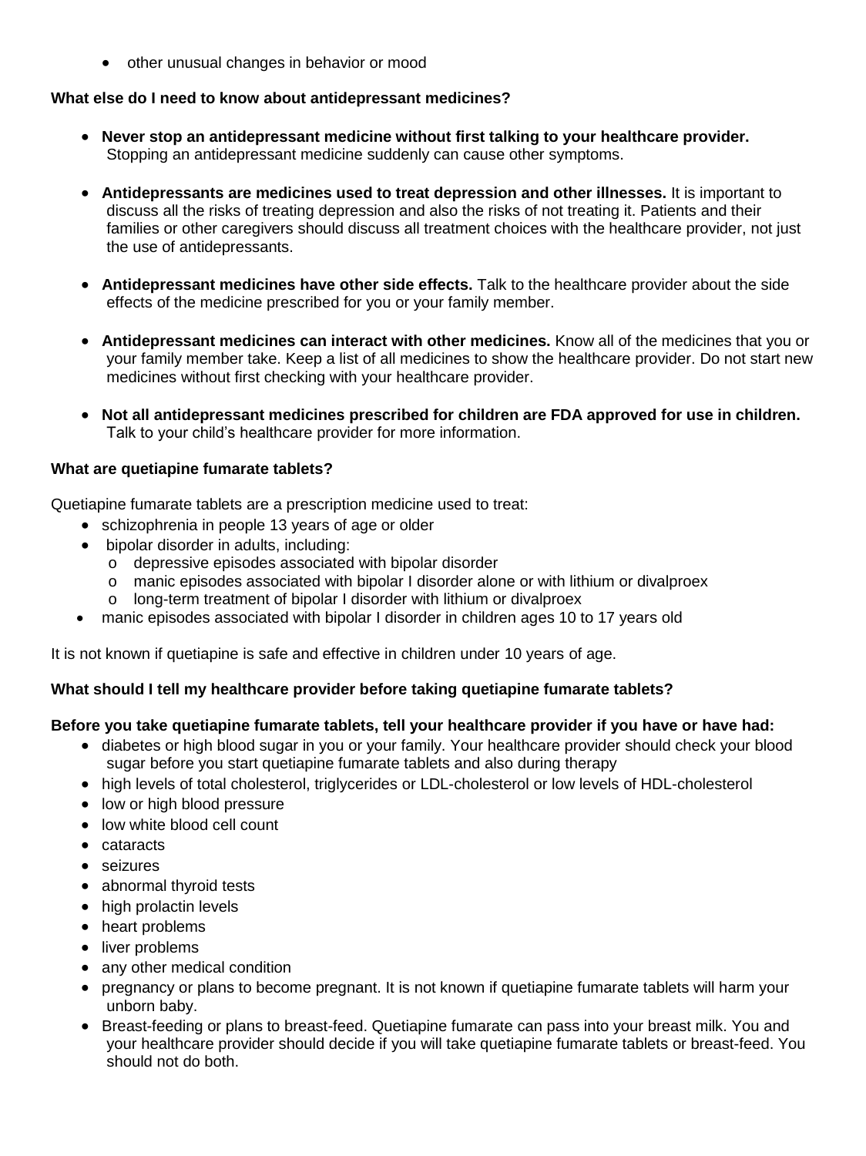• other unusual changes in behavior or mood

#### **What else do I need to know about antidepressant medicines?**

- **Never stop an antidepressant medicine without first talking to your healthcare provider.**  Stopping an antidepressant medicine suddenly can cause other symptoms.
- **Antidepressants are medicines used to treat depression and other illnesses.** It is important to discuss all the risks of treating depression and also the risks of not treating it. Patients and their families or other caregivers should discuss all treatment choices with the healthcare provider, not just the use of antidepressants.
- **Antidepressant medicines have other side effects.** Talk to the healthcare provider about the side effects of the medicine prescribed for you or your family member.
- **Antidepressant medicines can interact with other medicines.** Know all of the medicines that you or your family member take. Keep a list of all medicines to show the healthcare provider. Do not start new medicines without first checking with your healthcare provider.
- **Not all antidepressant medicines prescribed for children are FDA approved for use in children.**  Talk to your child's healthcare provider for more information.

#### **What are quetiapine fumarate tablets?**

Quetiapine fumarate tablets are a prescription medicine used to treat:

- schizophrenia in people 13 years of age or older
- bipolar disorder in adults, including:
	- o depressive episodes associated with bipolar disorder
	- o manic episodes associated with bipolar I disorder alone or with lithium or divalproex
	- o long-term treatment of bipolar I disorder with lithium or divalproex
- manic episodes associated with bipolar I disorder in children ages 10 to 17 years old

It is not known if quetiapine is safe and effective in children under 10 years of age.

## **What should I tell my healthcare provider before taking quetiapine fumarate tablets?**

## **Before you take quetiapine fumarate tablets, tell your healthcare provider if you have or have had:**

- diabetes or high blood sugar in you or your family. Your healthcare provider should check your blood sugar before you start quetiapine fumarate tablets and also during therapy
- high levels of total cholesterol, triglycerides or LDL-cholesterol or low levels of HDL-cholesterol
- low or high blood pressure
- low white blood cell count
- cataracts
- seizures
- abnormal thyroid tests
- high prolactin levels
- heart problems
- liver problems
- any other medical condition
- pregnancy or plans to become pregnant. It is not known if quetiapine fumarate tablets will harm your unborn baby.
- Breast-feeding or plans to breast-feed. Quetiapine fumarate can pass into your breast milk. You and your healthcare provider should decide if you will take quetiapine fumarate tablets or breast-feed. You should not do both.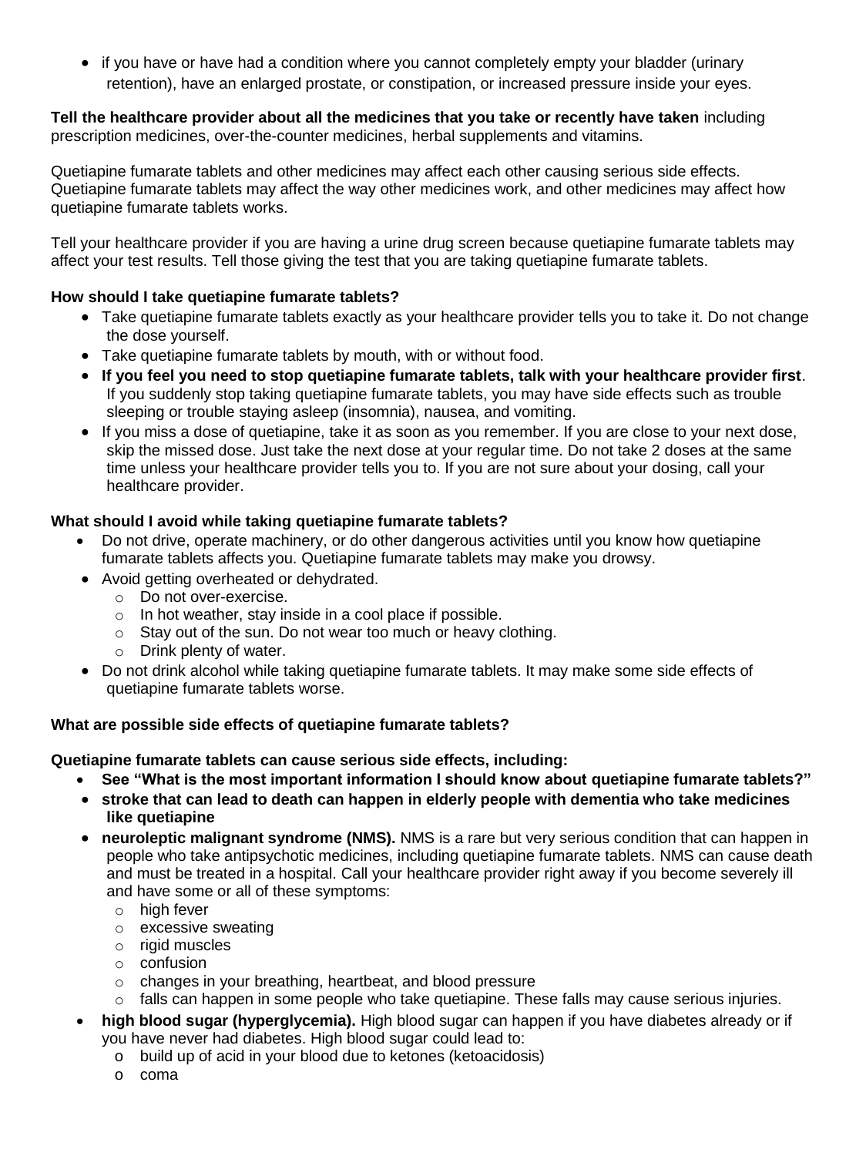• if you have or have had a condition where you cannot completely empty your bladder (urinary retention), have an enlarged prostate, or constipation, or increased pressure inside your eyes.

**Tell the healthcare provider about all the medicines that you take or recently have taken** including prescription medicines, over-the-counter medicines, herbal supplements and vitamins.

Quetiapine fumarate tablets and other medicines may affect each other causing serious side effects. Quetiapine fumarate tablets may affect the way other medicines work, and other medicines may affect how quetiapine fumarate tablets works.

Tell your healthcare provider if you are having a urine drug screen because quetiapine fumarate tablets may affect your test results. Tell those giving the test that you are taking quetiapine fumarate tablets.

#### **How should I take quetiapine fumarate tablets?**

- Take quetiapine fumarate tablets exactly as your healthcare provider tells you to take it. Do not change the dose yourself.
- Take quetiapine fumarate tablets by mouth, with or without food.
- **If you feel you need to stop quetiapine fumarate tablets, talk with your healthcare provider first**. If you suddenly stop taking quetiapine fumarate tablets, you may have side effects such as trouble sleeping or trouble staying asleep (insomnia), nausea, and vomiting.
- If you miss a dose of quetiapine, take it as soon as you remember. If you are close to your next dose, skip the missed dose. Just take the next dose at your regular time. Do not take 2 doses at the same time unless your healthcare provider tells you to. If you are not sure about your dosing, call your healthcare provider.

#### **What should I avoid while taking quetiapine fumarate tablets?**

- Do not drive, operate machinery, or do other dangerous activities until you know how quetiapine fumarate tablets affects you. Quetiapine fumarate tablets may make you drowsy.
- Avoid getting overheated or dehydrated.
	- o Do not over-exercise.
	- o In hot weather, stay inside in a cool place if possible.
	- o Stay out of the sun. Do not wear too much or heavy clothing.
	- o Drink plenty of water.
- Do not drink alcohol while taking quetiapine fumarate tablets. It may make some side effects of quetiapine fumarate tablets worse.

#### **What are possible side effects of quetiapine fumarate tablets?**

#### **Quetiapine fumarate tablets can cause serious side effects, including:**

- **See "What is the most important information I should know about quetiapine fumarate tablets?"**
- **stroke that can lead to death can happen in elderly people with dementia who take medicines like quetiapine**
- **neuroleptic malignant syndrome (NMS).** NMS is a rare but very serious condition that can happen in people who take antipsychotic medicines, including quetiapine fumarate tablets. NMS can cause death and must be treated in a hospital. Call your healthcare provider right away if you become severely ill and have some or all of these symptoms:
	- $\circ$  high fever
	- o excessive sweating
	- o rigid muscles
	- o confusion
	- o changes in your breathing, heartbeat, and blood pressure
	- falls can happen in some people who take quetiapine. These falls may cause serious injuries.
- **high blood sugar (hyperglycemia).** High blood sugar can happen if you have diabetes already or if you have never had diabetes. High blood sugar could lead to:
	- o build up of acid in your blood due to ketones (ketoacidosis)
	- o coma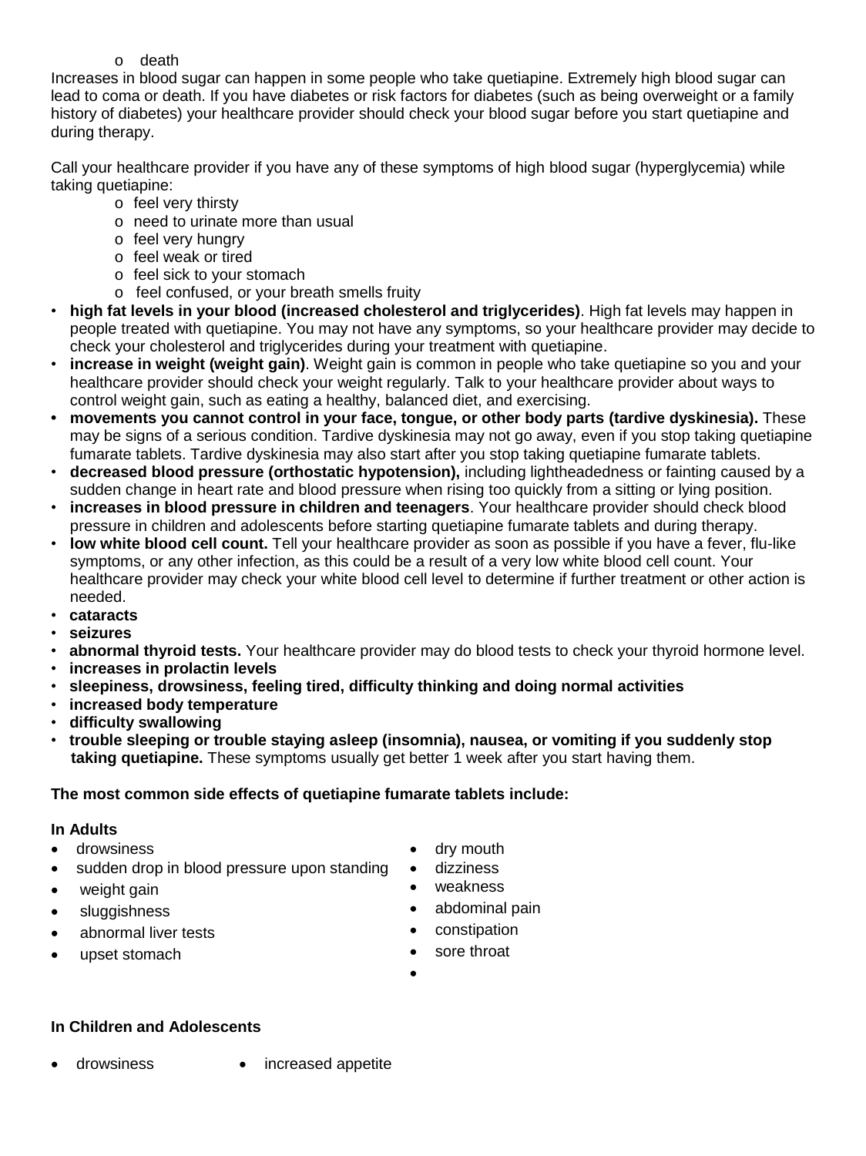#### o death

Increases in blood sugar can happen in some people who take quetiapine. Extremely high blood sugar can lead to coma or death. If you have diabetes or risk factors for diabetes (such as being overweight or a family history of diabetes) your healthcare provider should check your blood sugar before you start quetiapine and during therapy.

Call your healthcare provider if you have any of these symptoms of high blood sugar (hyperglycemia) while taking quetiapine:

- o feel very thirsty
- o need to urinate more than usual
- o feel very hungry
- o feel weak or tired
- o feel sick to your stomach
- o feel confused, or your breath smells fruity
- **high fat levels in your blood (increased cholesterol and triglycerides)**. High fat levels may happen in people treated with quetiapine. You may not have any symptoms, so your healthcare provider may decide to check your cholesterol and triglycerides during your treatment with quetiapine.
- **increase in weight (weight gain)**. Weight gain is common in people who take quetiapine so you and your healthcare provider should check your weight regularly. Talk to your healthcare provider about ways to control weight gain, such as eating a healthy, balanced diet, and exercising.
- **• movements you cannot control in your face, tongue, or other body parts (tardive dyskinesia).** These may be signs of a serious condition. Tardive dyskinesia may not go away, even if you stop taking quetiapine fumarate tablets. Tardive dyskinesia may also start after you stop taking quetiapine fumarate tablets.
- **decreased blood pressure (orthostatic hypotension),** including lightheadedness or fainting caused by a sudden change in heart rate and blood pressure when rising too quickly from a sitting or lying position.
- **increases in blood pressure in children and teenagers**. Your healthcare provider should check blood pressure in children and adolescents before starting quetiapine fumarate tablets and during therapy.
- **low white blood cell count.** Tell your healthcare provider as soon as possible if you have a fever, flu-like symptoms, or any other infection, as this could be a result of a very low white blood cell count. Your healthcare provider may check your white blood cell level to determine if further treatment or other action is needed.
- **cataracts**
- **seizures**
- **abnormal thyroid tests.** Your healthcare provider may do blood tests to check your thyroid hormone level.
- **increases in prolactin levels**
- **sleepiness, drowsiness, feeling tired, difficulty thinking and doing normal activities**
- **increased body temperature**
- **difficulty swallowing**
- **trouble sleeping or trouble staying asleep (insomnia), nausea, or vomiting if you suddenly stop taking quetiapine.** These symptoms usually get better 1 week after you start having them.

#### **The most common side effects of quetiapine fumarate tablets include:**

# **In Adults**

- 
- sudden drop in blood pressure upon standing dizziness
- 
- 
- abnormal liver tests constipation
- upset stomach **•** sore throat
- drowsiness **•** dry mouth
	-
- weight gain by the set of the set of the weakness weight gain
- sluggishness abdominal pain
	-
	-
	- •

## **In Children and Adolescents**

drowsiness • increased appetite